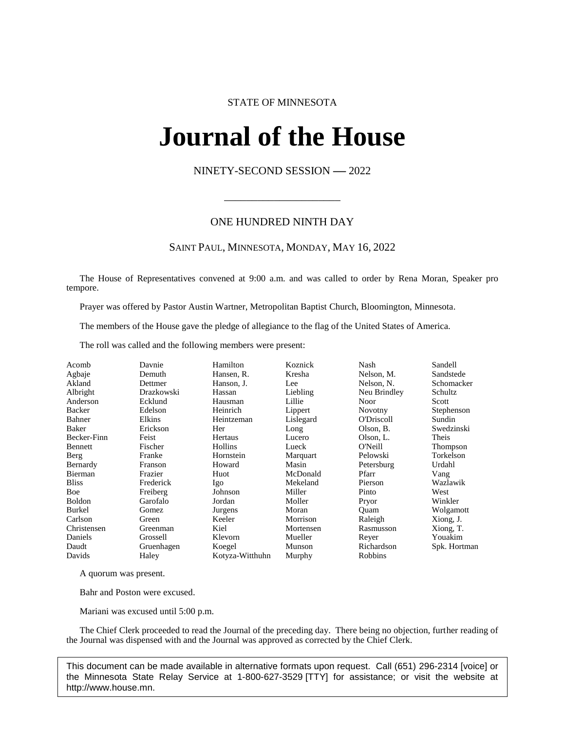# STATE OF MINNESOTA

# **Journal of the House IFINAL OL LITE FIOI**<br>NINETY-SECOND SESSION -- 2022

\_\_\_\_\_\_\_\_\_\_\_\_\_\_\_\_\_\_\_\_\_

# ONE HUNDRED NINTH DAY

# SAINT PAUL, MINNESOTA, MONDAY, MAY 16, 2022

The House of Representatives convened at 9:00 a.m. and was called to order by Rena Moran, Speaker pro tempore.

Prayer was offered by Pastor Austin Wartner, Metropolitan Baptist Church, Bloomington, Minnesota.

The members of the House gave the pledge of allegiance to the flag of the United States of America.

The roll was called and the following members were present:

| Acomb         | Davnie     | Hamilton        | Koznick   | Nash              | Sandell      |
|---------------|------------|-----------------|-----------|-------------------|--------------|
| Agbaje        | Demuth     | Hansen, R.      | Kresha    | Nelson, M.        | Sandstede    |
| Akland        | Dettmer    | Hanson, J.      | Lee       | Nelson, N.        | Schomacker   |
| Albright      | Drazkowski | Hassan          | Liebling  | Neu Brindley      | Schultz      |
| Anderson      | Ecklund    | Hausman         | Lillie    | Noor              | Scott        |
| Backer        | Edelson    | Heinrich        | Lippert   | Novotny           | Stephenson   |
| Bahner        | Elkins     | Heintzeman      | Lislegard | <b>O'Driscoll</b> | Sundin       |
| Baker         | Erickson   | Her             | Long      | Olson, B.         | Swedzinski   |
| Becker-Finn   | Feist      | Hertaus         | Lucero    | Olson, L.         | Theis        |
| Bennett       | Fischer    | Hollins         | Lueck     | O'Neill           | Thompson     |
| Berg          | Franke     | Hornstein       | Marquart  | Pelowski          | Torkelson    |
| Bernardy      | Franson    | Howard          | Masin     | Petersburg        | Urdahl       |
| Bierman       | Frazier    | Huot            | McDonald  | Pfarr             | Vang         |
| <b>Bliss</b>  | Frederick  | Igo             | Mekeland  | Pierson           | Wazlawik     |
| Boe           | Freiberg   | Johnson         | Miller    | Pinto             | West         |
| <b>Boldon</b> | Garofalo   | Jordan          | Moller    | Pryor             | Winkler      |
| Burkel        | Gomez      | Jurgens         | Moran     | Ouam              | Wolgamott    |
| Carlson       | Green      | Keeler          | Morrison  | Raleigh           | Xiong, J.    |
| Christensen   | Greenman   | Kiel            | Mortensen | Rasmusson         | Xiong, T.    |
| Daniels       | Grossell   | Klevorn         | Mueller   | Reyer             | Youakim      |
| Daudt         | Gruenhagen | Koegel          | Munson    | Richardson        | Spk. Hortman |
| Davids        | Haley      | Kotyza-Witthuhn | Murphy    | Robbins           |              |
|               |            |                 |           |                   |              |

A quorum was present.

Bahr and Poston were excused.

Mariani was excused until 5:00 p.m.

The Chief Clerk proceeded to read the Journal of the preceding day. There being no objection, further reading of the Journal was dispensed with and the Journal was approved as corrected by the Chief Clerk.

This document can be made available in alternative formats upon request. Call (651) 296-2314 [voice] or the Minnesota State Relay Service at 1-800-627-3529 [TTY] for assistance; or visit the website at http://www.house.mn.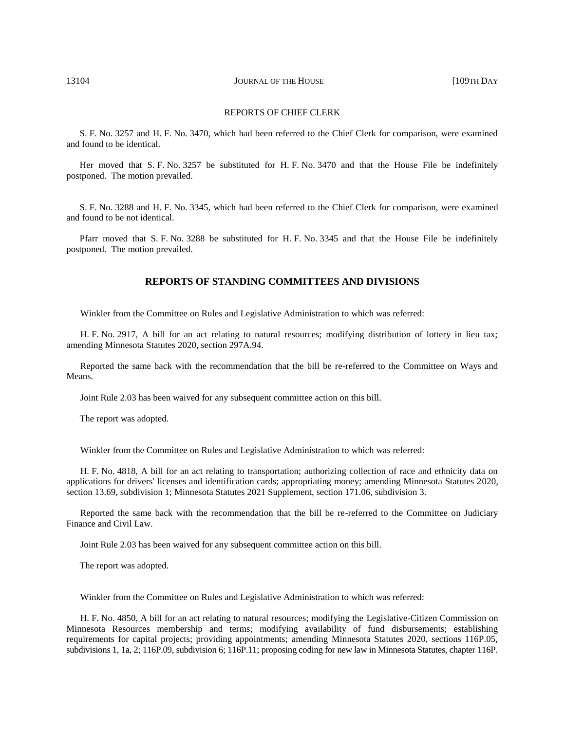#### REPORTS OF CHIEF CLERK

S. F. No. 3257 and H. F. No. 3470, which had been referred to the Chief Clerk for comparison, were examined and found to be identical.

Her moved that S. F. No. 3257 be substituted for H. F. No. 3470 and that the House File be indefinitely postponed. The motion prevailed.

S. F. No. 3288 and H. F. No. 3345, which had been referred to the Chief Clerk for comparison, were examined and found to be not identical.

Pfarr moved that S. F. No. 3288 be substituted for H. F. No. 3345 and that the House File be indefinitely postponed. The motion prevailed.

# **REPORTS OF STANDING COMMITTEES AND DIVISIONS**

Winkler from the Committee on Rules and Legislative Administration to which was referred:

H. F. No. 2917, A bill for an act relating to natural resources; modifying distribution of lottery in lieu tax; amending Minnesota Statutes 2020, section 297A.94.

Reported the same back with the recommendation that the bill be re-referred to the Committee on Ways and Means.

Joint Rule 2.03 has been waived for any subsequent committee action on this bill.

The report was adopted.

Winkler from the Committee on Rules and Legislative Administration to which was referred:

H. F. No. 4818, A bill for an act relating to transportation; authorizing collection of race and ethnicity data on applications for drivers' licenses and identification cards; appropriating money; amending Minnesota Statutes 2020, section 13.69, subdivision 1; Minnesota Statutes 2021 Supplement, section 171.06, subdivision 3.

Reported the same back with the recommendation that the bill be re-referred to the Committee on Judiciary Finance and Civil Law.

Joint Rule 2.03 has been waived for any subsequent committee action on this bill.

The report was adopted.

Winkler from the Committee on Rules and Legislative Administration to which was referred:

H. F. No. 4850, A bill for an act relating to natural resources; modifying the Legislative-Citizen Commission on Minnesota Resources membership and terms; modifying availability of fund disbursements; establishing requirements for capital projects; providing appointments; amending Minnesota Statutes 2020, sections 116P.05, subdivisions 1, 1a, 2; 116P.09, subdivision 6; 116P.11; proposing coding for new law in Minnesota Statutes, chapter 116P.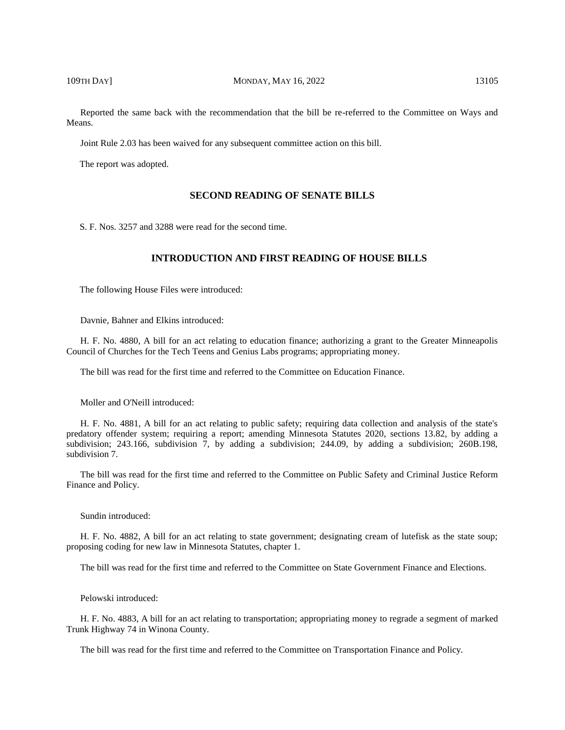Reported the same back with the recommendation that the bill be re-referred to the Committee on Ways and Means.

Joint Rule 2.03 has been waived for any subsequent committee action on this bill.

The report was adopted.

# **SECOND READING OF SENATE BILLS**

S. F. Nos. 3257 and 3288 were read for the second time.

# **INTRODUCTION AND FIRST READING OF HOUSE BILLS**

The following House Files were introduced:

Davnie, Bahner and Elkins introduced:

H. F. No. 4880, A bill for an act relating to education finance; authorizing a grant to the Greater Minneapolis Council of Churches for the Tech Teens and Genius Labs programs; appropriating money.

The bill was read for the first time and referred to the Committee on Education Finance.

Moller and O'Neill introduced:

H. F. No. 4881, A bill for an act relating to public safety; requiring data collection and analysis of the state's predatory offender system; requiring a report; amending Minnesota Statutes 2020, sections 13.82, by adding a subdivision; 243.166, subdivision 7, by adding a subdivision; 244.09, by adding a subdivision; 260B.198, subdivision 7.

The bill was read for the first time and referred to the Committee on Public Safety and Criminal Justice Reform Finance and Policy.

#### Sundin introduced:

H. F. No. 4882, A bill for an act relating to state government; designating cream of lutefisk as the state soup; proposing coding for new law in Minnesota Statutes, chapter 1.

The bill was read for the first time and referred to the Committee on State Government Finance and Elections.

Pelowski introduced:

H. F. No. 4883, A bill for an act relating to transportation; appropriating money to regrade a segment of marked Trunk Highway 74 in Winona County.

The bill was read for the first time and referred to the Committee on Transportation Finance and Policy.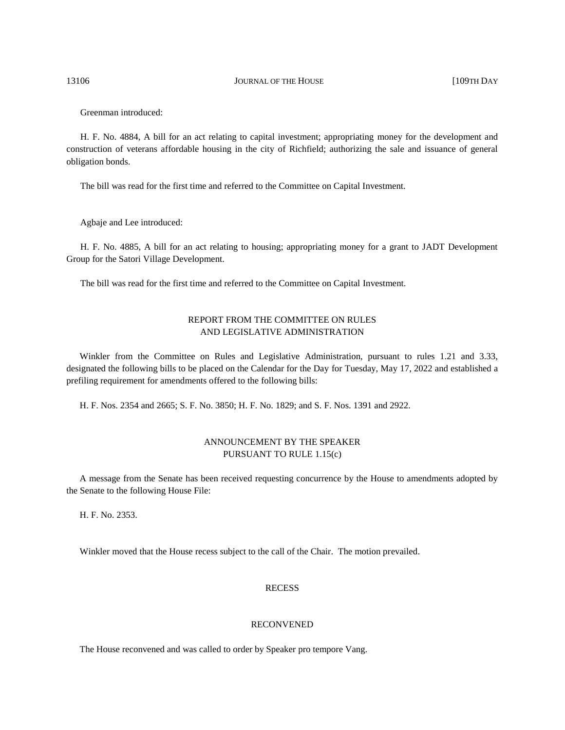13106 **JOURNAL OF THE HOUSE INCLUSE THE HOUSE** [109TH DAY

Greenman introduced:

H. F. No. 4884, A bill for an act relating to capital investment; appropriating money for the development and construction of veterans affordable housing in the city of Richfield; authorizing the sale and issuance of general obligation bonds.

The bill was read for the first time and referred to the Committee on Capital Investment.

Agbaje and Lee introduced:

H. F. No. 4885, A bill for an act relating to housing; appropriating money for a grant to JADT Development Group for the Satori Village Development.

The bill was read for the first time and referred to the Committee on Capital Investment.

# REPORT FROM THE COMMITTEE ON RULES AND LEGISLATIVE ADMINISTRATION

Winkler from the Committee on Rules and Legislative Administration, pursuant to rules 1.21 and 3.33, designated the following bills to be placed on the Calendar for the Day for Tuesday, May 17, 2022 and established a prefiling requirement for amendments offered to the following bills:

H. F. Nos. 2354 and 2665; S. F. No. 3850; H. F. No. 1829; and S. F. Nos. 1391 and 2922.

# ANNOUNCEMENT BY THE SPEAKER PURSUANT TO RULE 1.15(c)

A message from the Senate has been received requesting concurrence by the House to amendments adopted by the Senate to the following House File:

H. F. No. 2353.

Winkler moved that the House recess subject to the call of the Chair. The motion prevailed.

# **RECESS**

# RECONVENED

The House reconvened and was called to order by Speaker pro tempore Vang.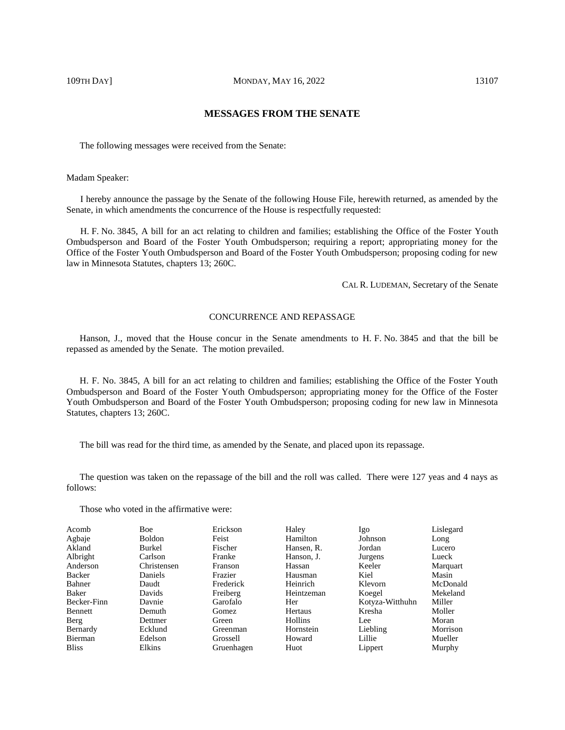# **MESSAGES FROM THE SENATE**

The following messages were received from the Senate:

Madam Speaker:

I hereby announce the passage by the Senate of the following House File, herewith returned, as amended by the Senate, in which amendments the concurrence of the House is respectfully requested:

H. F. No. 3845, A bill for an act relating to children and families; establishing the Office of the Foster Youth Ombudsperson and Board of the Foster Youth Ombudsperson; requiring a report; appropriating money for the Office of the Foster Youth Ombudsperson and Board of the Foster Youth Ombudsperson; proposing coding for new law in Minnesota Statutes, chapters 13; 260C.

CAL R. LUDEMAN, Secretary of the Senate

# CONCURRENCE AND REPASSAGE

Hanson, J., moved that the House concur in the Senate amendments to H. F. No. 3845 and that the bill be repassed as amended by the Senate. The motion prevailed.

H. F. No. 3845, A bill for an act relating to children and families; establishing the Office of the Foster Youth Ombudsperson and Board of the Foster Youth Ombudsperson; appropriating money for the Office of the Foster Youth Ombudsperson and Board of the Foster Youth Ombudsperson; proposing coding for new law in Minnesota Statutes, chapters 13; 260C.

The bill was read for the third time, as amended by the Senate, and placed upon its repassage.

The question was taken on the repassage of the bill and the roll was called. There were 127 yeas and 4 nays as follows:

Those who voted in the affirmative were:

| Acomb        | <b>Boe</b>    | Erickson       | Haley          | Igo             | Lislegard |
|--------------|---------------|----------------|----------------|-----------------|-----------|
| Agbaje       | <b>Boldon</b> | Feist          | Hamilton       | Johnson         | Long      |
| Akland       | Burkel        | Fischer        | Hansen, R.     | Jordan          | Lucero    |
| Albright     | Carlson       | Franke         | Hanson, J.     | Jurgens         | Lueck     |
| Anderson     | Christensen   | <b>Franson</b> | Hassan         | Keeler          | Marquart  |
| Backer       | Daniels       | Frazier        | Hausman        | Kiel            | Masin     |
| Bahner       | Daudt         | Frederick      | Heinrich       | Klevorn         | McDonald  |
| Baker        | Davids        | Freiberg       | Heintzeman     | Koegel          | Mekeland  |
| Becker-Finn  | Davnie        | Garofalo       | Her            | Kotyza-Witthuhn | Miller    |
| Bennett      | Demuth        | Gomez          | Hertaus        | Kresha          | Moller    |
| Berg         | Dettmer       | Green          | <b>Hollins</b> | Lee.            | Moran     |
| Bernardy     | Ecklund       | Greenman       | Hornstein      | Liebling        | Morrison  |
| Bierman      | Edelson       | Grossell       | Howard         | Lillie          | Mueller   |
| <b>Bliss</b> | Elkins        | Gruenhagen     | Huot           | Lippert         | Murphy    |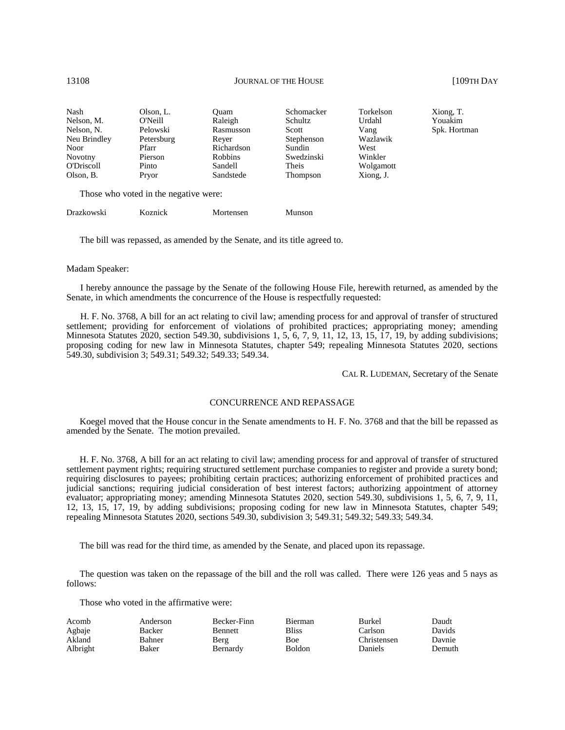| Nash              | Olson, L.  | Ouam       | Schomacker      | Torkelson |
|-------------------|------------|------------|-----------------|-----------|
| Nelson, M.        | O'Neill    | Raleigh    | Schultz         | Urdahl    |
| Nelson, N.        | Pelowski   | Rasmusson  | Scott           | Vang      |
| Neu Brindley      | Petersburg | Rever      | Stephenson      | Wazlawik  |
| <b>Noor</b>       | Pfarr      | Richardson | Sundin          | West      |
| Novotny           | Pierson    | Robbins    | Swedzinski      | Winkler   |
| <b>O'Driscoll</b> | Pinto      | Sandell    | Theis           | Wolgamott |
| Olson, B.         | Pryor      | Sandstede  | <b>Thompson</b> | Xiong, J. |

Those who voted in the negative were:

Drazkowski Koznick Mortensen Munson

Xiong, T. Youakim Spk. Hortman

The bill was repassed, as amended by the Senate, and its title agreed to.

#### Madam Speaker:

I hereby announce the passage by the Senate of the following House File, herewith returned, as amended by the Senate, in which amendments the concurrence of the House is respectfully requested:

H. F. No. 3768, A bill for an act relating to civil law; amending process for and approval of transfer of structured settlement; providing for enforcement of violations of prohibited practices; appropriating money; amending Minnesota Statutes 2020, section 549.30, subdivisions 1, 5, 6, 7, 9, 11, 12, 13, 15, 17, 19, by adding subdivisions; proposing coding for new law in Minnesota Statutes, chapter 549; repealing Minnesota Statutes 2020, sections 549.30, subdivision 3; 549.31; 549.32; 549.33; 549.34.

CAL R. LUDEMAN, Secretary of the Senate

#### CONCURRENCE AND REPASSAGE

Koegel moved that the House concur in the Senate amendments to H. F. No. 3768 and that the bill be repassed as amended by the Senate. The motion prevailed.

H. F. No. 3768, A bill for an act relating to civil law; amending process for and approval of transfer of structured settlement payment rights; requiring structured settlement purchase companies to register and provide a surety bond; requiring disclosures to payees; prohibiting certain practices; authorizing enforcement of prohibited practices and judicial sanctions; requiring judicial consideration of best interest factors; authorizing appointment of attorney evaluator; appropriating money; amending Minnesota Statutes 2020, section 549.30, subdivisions 1, 5, 6, 7, 9, 11, 12, 13, 15, 17, 19, by adding subdivisions; proposing coding for new law in Minnesota Statutes, chapter 549; repealing Minnesota Statutes 2020, sections 549.30, subdivision 3; 549.31; 549.32; 549.33; 549.34.

The bill was read for the third time, as amended by the Senate, and placed upon its repassage.

The question was taken on the repassage of the bill and the roll was called. There were 126 yeas and 5 nays as follows:

Those who voted in the affirmative were:

| Acomb    | Anderson | Becker-Finn    | <b>Bierman</b> | <b>Burkel</b>  | Daudt  |
|----------|----------|----------------|----------------|----------------|--------|
| Agbaje   | Backer   | <b>Bennett</b> | <b>Bliss</b>   | Carlson        | Davids |
| Akland   | Bahner   | Berg           | Boe            | Christensen    | Davnie |
| Albright | Baker    | Bernardy       | <b>Boldon</b>  | <b>Daniels</b> | Demuth |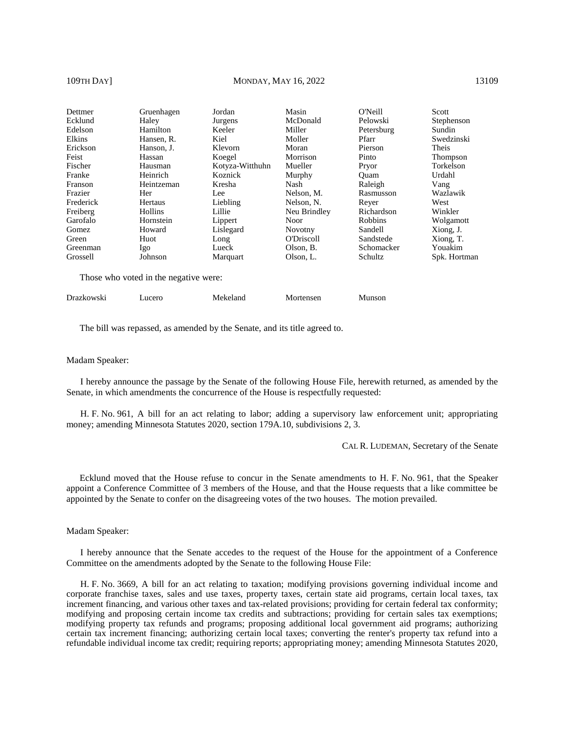#### 109TH DAY] MONDAY, MAY 16, 2022 13109

| Dettmer   | Gruenhagen | Jordan          | Masin             | O'Neill        | Scott        |
|-----------|------------|-----------------|-------------------|----------------|--------------|
| Ecklund   | Haley      | Jurgens         | McDonald          | Pelowski       | Stephenson   |
| Edelson   | Hamilton   | Keeler          | Miller            | Petersburg     | Sundin       |
| Elkins    | Hansen, R. | Kiel            | Moller            | Pfarr          | Swedzinski   |
| Erickson  | Hanson, J. | Klevorn         | Moran             | Pierson        | Theis        |
| Feist     | Hassan     | Koegel          | Morrison          | Pinto          | Thompson     |
| Fischer   | Hausman    | Kotyza-Witthuhn | Mueller           | Pryor          | Torkelson    |
| Franke    | Heinrich   | Koznick         | Murphy            | Ouam           | Urdahl       |
| Franson   | Heintzeman | Kresha          | Nash              | Raleigh        | Vang         |
| Frazier   | Her        | Lee             | Nelson, M.        | Rasmusson      | Wazlawik     |
| Frederick | Hertaus    | Liebling        | Nelson, N.        | Rever          | West         |
| Freiberg  | Hollins    | Lillie          | Neu Brindley      | Richardson     | Winkler      |
| Garofalo  | Hornstein  | Lippert         | <b>Noor</b>       | <b>Robbins</b> | Wolgamott    |
| Gomez     | Howard     | Lislegard       | <b>Novotny</b>    | Sandell        | Xiong, J.    |
| Green     | Huot       | Long            | <b>O'Driscoll</b> | Sandstede      | Xiong, T.    |
| Greenman  | Igo        | Lueck           | Olson, B.         | Schomacker     | Youakim      |
| Grossell  | Johnson    | Marquart        | Olson, L.         | Schultz        | Spk. Hortman |

Those who voted in the negative were:

Drazkowski Lucero Mekeland Mortensen Munson

The bill was repassed, as amended by the Senate, and its title agreed to.

#### Madam Speaker:

I hereby announce the passage by the Senate of the following House File, herewith returned, as amended by the Senate, in which amendments the concurrence of the House is respectfully requested:

H. F. No. 961, A bill for an act relating to labor; adding a supervisory law enforcement unit; appropriating money; amending Minnesota Statutes 2020, section 179A.10, subdivisions 2, 3.

CAL R. LUDEMAN, Secretary of the Senate

Ecklund moved that the House refuse to concur in the Senate amendments to H. F. No. 961, that the Speaker appoint a Conference Committee of 3 members of the House, and that the House requests that a like committee be appointed by the Senate to confer on the disagreeing votes of the two houses. The motion prevailed.

Madam Speaker:

I hereby announce that the Senate accedes to the request of the House for the appointment of a Conference Committee on the amendments adopted by the Senate to the following House File:

H. F. No. 3669, A bill for an act relating to taxation; modifying provisions governing individual income and corporate franchise taxes, sales and use taxes, property taxes, certain state aid programs, certain local taxes, tax increment financing, and various other taxes and tax-related provisions; providing for certain federal tax conformity; modifying and proposing certain income tax credits and subtractions; providing for certain sales tax exemptions; modifying property tax refunds and programs; proposing additional local government aid programs; authorizing certain tax increment financing; authorizing certain local taxes; converting the renter's property tax refund into a refundable individual income tax credit; requiring reports; appropriating money; amending Minnesota Statutes 2020,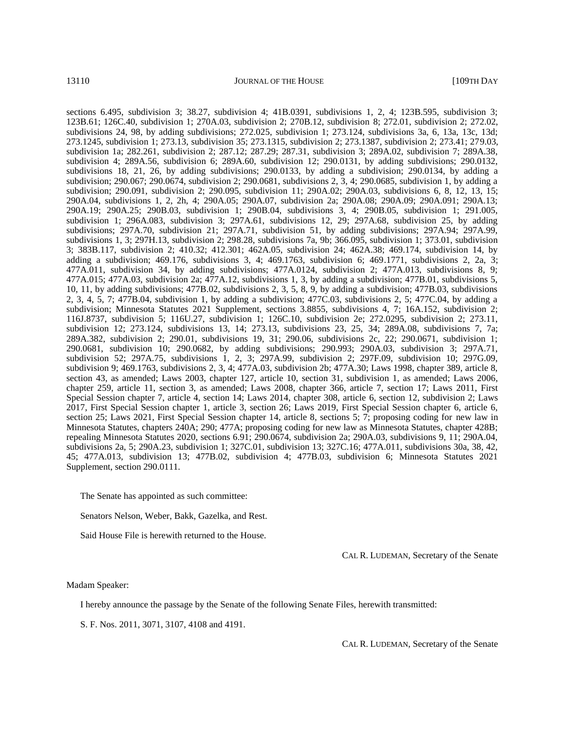sections 6.495, subdivision 3; 38.27, subdivision 4; 41B.0391, subdivisions 1, 2, 4; 123B.595, subdivision 3; 123B.61; 126C.40, subdivision 1; 270A.03, subdivision 2; 270B.12, subdivision 8; 272.01, subdivision 2; 272.02, subdivisions 24, 98, by adding subdivisions; 272.025, subdivision 1; 273.124, subdivisions 3a, 6, 13a, 13c, 13d; 273.1245, subdivision 1; 273.13, subdivision 35; 273.1315, subdivision 2; 273.1387, subdivision 2; 273.41; 279.03, subdivision 1a; 282.261, subdivision 2; 287.12; 287.29; 287.31, subdivision 3; 289A.02, subdivision 7; 289A.38, subdivision 4; 289A.56, subdivision 6; 289A.60, subdivision 12; 290.0131, by adding subdivisions; 290.0132, subdivisions 18, 21, 26, by adding subdivisions; 290.0133, by adding a subdivision; 290.0134, by adding a subdivision; 290.067; 290.0674, subdivision 2; 290.0681, subdivisions 2, 3, 4; 290.0685, subdivision 1, by adding a subdivision; 290.091, subdivision 2; 290.095, subdivision 11; 290A.02; 290A.03, subdivisions 6, 8, 12, 13, 15; 290A.04, subdivisions 1, 2, 2h, 4; 290A.05; 290A.07, subdivision 2a; 290A.08; 290A.09; 290A.091; 290A.13; 290A.19; 290A.25; 290B.03, subdivision 1; 290B.04, subdivisions 3, 4; 290B.05, subdivision 1; 291.005, subdivision 1; 296A.083, subdivision 3; 297A.61, subdivisions 12, 29; 297A.68, subdivision 25, by adding subdivisions; 297A.70, subdivision 21; 297A.71, subdivision 51, by adding subdivisions; 297A.94; 297A.99, subdivisions 1, 3; 297H.13, subdivision 2; 298.28, subdivisions 7a, 9b; 366.095, subdivision 1; 373.01, subdivision 3; 383B.117, subdivision 2; 410.32; 412.301; 462A.05, subdivision 24; 462A.38; 469.174, subdivision 14, by adding a subdivision; 469.176, subdivisions 3, 4; 469.1763, subdivision 6; 469.1771, subdivisions 2, 2a, 3; 477A.011, subdivision 34, by adding subdivisions; 477A.0124, subdivision 2; 477A.013, subdivisions 8, 9; 477A.015; 477A.03, subdivision 2a; 477A.12, subdivisions 1, 3, by adding a subdivision; 477B.01, subdivisions 5, 10, 11, by adding subdivisions; 477B.02, subdivisions 2, 3, 5, 8, 9, by adding a subdivision; 477B.03, subdivisions 2, 3, 4, 5, 7; 477B.04, subdivision 1, by adding a subdivision; 477C.03, subdivisions 2, 5; 477C.04, by adding a subdivision; Minnesota Statutes 2021 Supplement, sections 3.8855, subdivisions 4, 7; 16A.152, subdivision 2; 116J.8737, subdivision 5; 116U.27, subdivision 1; 126C.10, subdivision 2e; 272.0295, subdivision 2; 273.11, subdivision 12; 273.124, subdivisions 13, 14; 273.13, subdivisions 23, 25, 34; 289A.08, subdivisions 7, 7a; 289A.382, subdivision 2; 290.01, subdivisions 19, 31; 290.06, subdivisions 2c, 22; 290.0671, subdivision 1; 290.0681, subdivision 10; 290.0682, by adding subdivisions; 290.993; 290A.03, subdivision 3; 297A.71, subdivision 52; 297A.75, subdivisions 1, 2, 3; 297A.99, subdivision 2; 297F.09, subdivision 10; 297G.09, subdivision 9; 469.1763, subdivisions 2, 3, 4; 477A.03, subdivision 2b; 477A.30; Laws 1998, chapter 389, article 8, section 43, as amended; Laws 2003, chapter 127, article 10, section 31, subdivision 1, as amended; Laws 2006, chapter 259, article 11, section 3, as amended; Laws 2008, chapter 366, article 7, section 17; Laws 2011, First Special Session chapter 7, article 4, section 14; Laws 2014, chapter 308, article 6, section 12, subdivision 2; Laws 2017, First Special Session chapter 1, article 3, section 26; Laws 2019, First Special Session chapter 6, article 6, section 25; Laws 2021, First Special Session chapter 14, article 8, sections 5; 7; proposing coding for new law in Minnesota Statutes, chapters 240A; 290; 477A; proposing coding for new law as Minnesota Statutes, chapter 428B; repealing Minnesota Statutes 2020, sections 6.91; 290.0674, subdivision 2a; 290A.03, subdivisions 9, 11; 290A.04, subdivisions 2a, 5; 290A.23, subdivision 1; 327C.01, subdivision 13; 327C.16; 477A.011, subdivisions 30a, 38, 42, 45; 477A.013, subdivision 13; 477B.02, subdivision 4; 477B.03, subdivision 6; Minnesota Statutes 2021 Supplement, section 290.0111.

The Senate has appointed as such committee:

Senators Nelson, Weber, Bakk, Gazelka, and Rest.

Said House File is herewith returned to the House.

CAL R. LUDEMAN, Secretary of the Senate

Madam Speaker:

I hereby announce the passage by the Senate of the following Senate Files, herewith transmitted:

S. F. Nos. 2011, 3071, 3107, 4108 and 4191.

CAL R. LUDEMAN, Secretary of the Senate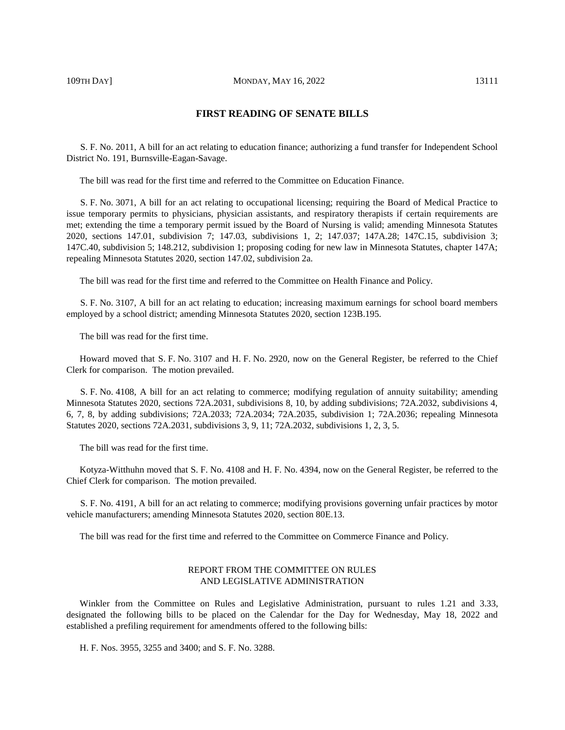# **FIRST READING OF SENATE BILLS**

S. F. No. 2011, A bill for an act relating to education finance; authorizing a fund transfer for Independent School District No. 191, Burnsville-Eagan-Savage.

The bill was read for the first time and referred to the Committee on Education Finance.

S. F. No. 3071, A bill for an act relating to occupational licensing; requiring the Board of Medical Practice to issue temporary permits to physicians, physician assistants, and respiratory therapists if certain requirements are met; extending the time a temporary permit issued by the Board of Nursing is valid; amending Minnesota Statutes 2020, sections 147.01, subdivision 7; 147.03, subdivisions 1, 2; 147.037; 147A.28; 147C.15, subdivision 3; 147C.40, subdivision 5; 148.212, subdivision 1; proposing coding for new law in Minnesota Statutes, chapter 147A; repealing Minnesota Statutes 2020, section 147.02, subdivision 2a.

The bill was read for the first time and referred to the Committee on Health Finance and Policy.

S. F. No. 3107, A bill for an act relating to education; increasing maximum earnings for school board members employed by a school district; amending Minnesota Statutes 2020, section 123B.195.

The bill was read for the first time.

Howard moved that S. F. No. 3107 and H. F. No. 2920, now on the General Register, be referred to the Chief Clerk for comparison. The motion prevailed.

S. F. No. 4108, A bill for an act relating to commerce; modifying regulation of annuity suitability; amending Minnesota Statutes 2020, sections 72A.2031, subdivisions 8, 10, by adding subdivisions; 72A.2032, subdivisions 4, 6, 7, 8, by adding subdivisions; 72A.2033; 72A.2034; 72A.2035, subdivision 1; 72A.2036; repealing Minnesota Statutes 2020, sections 72A.2031, subdivisions 3, 9, 11; 72A.2032, subdivisions 1, 2, 3, 5.

The bill was read for the first time.

Kotyza-Witthuhn moved that S. F. No. 4108 and H. F. No. 4394, now on the General Register, be referred to the Chief Clerk for comparison. The motion prevailed.

S. F. No. 4191, A bill for an act relating to commerce; modifying provisions governing unfair practices by motor vehicle manufacturers; amending Minnesota Statutes 2020, section 80E.13.

The bill was read for the first time and referred to the Committee on Commerce Finance and Policy.

# REPORT FROM THE COMMITTEE ON RULES AND LEGISLATIVE ADMINISTRATION

Winkler from the Committee on Rules and Legislative Administration, pursuant to rules 1.21 and 3.33, designated the following bills to be placed on the Calendar for the Day for Wednesday, May 18, 2022 and established a prefiling requirement for amendments offered to the following bills:

H. F. Nos. 3955, 3255 and 3400; and S. F. No. 3288.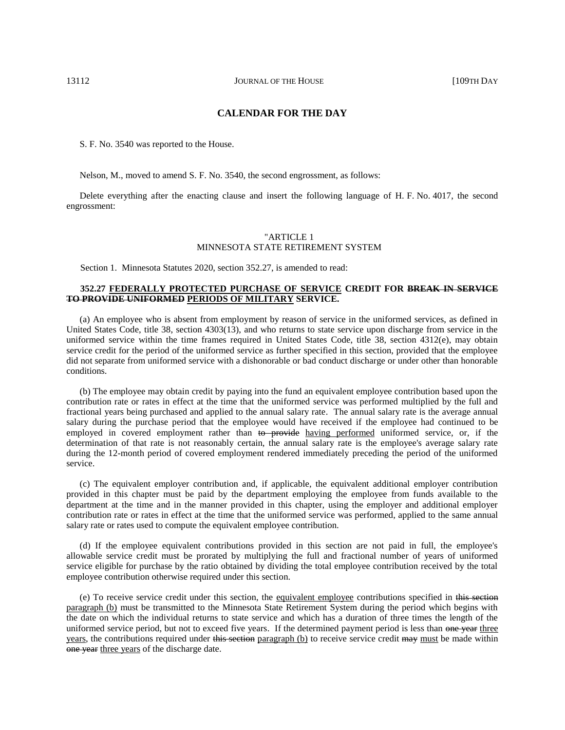# **CALENDAR FOR THE DAY**

S. F. No. 3540 was reported to the House.

Nelson, M., moved to amend S. F. No. 3540, the second engrossment, as follows:

Delete everything after the enacting clause and insert the following language of H. F. No. 4017, the second engrossment:

# "ARTICLE 1 MINNESOTA STATE RETIREMENT SYSTEM

Section 1. Minnesota Statutes 2020, section 352.27, is amended to read:

# **352.27 FEDERALLY PROTECTED PURCHASE OF SERVICE CREDIT FOR BREAK IN SERVICE TO PROVIDE UNIFORMED PERIODS OF MILITARY SERVICE.**

(a) An employee who is absent from employment by reason of service in the uniformed services, as defined in United States Code, title 38, section 4303(13), and who returns to state service upon discharge from service in the uniformed service within the time frames required in United States Code, title 38, section 4312(e), may obtain service credit for the period of the uniformed service as further specified in this section, provided that the employee did not separate from uniformed service with a dishonorable or bad conduct discharge or under other than honorable conditions.

(b) The employee may obtain credit by paying into the fund an equivalent employee contribution based upon the contribution rate or rates in effect at the time that the uniformed service was performed multiplied by the full and fractional years being purchased and applied to the annual salary rate. The annual salary rate is the average annual salary during the purchase period that the employee would have received if the employee had continued to be employed in covered employment rather than to provide having performed uniformed service, or, if the determination of that rate is not reasonably certain, the annual salary rate is the employee's average salary rate during the 12-month period of covered employment rendered immediately preceding the period of the uniformed service.

(c) The equivalent employer contribution and, if applicable, the equivalent additional employer contribution provided in this chapter must be paid by the department employing the employee from funds available to the department at the time and in the manner provided in this chapter, using the employer and additional employer contribution rate or rates in effect at the time that the uniformed service was performed, applied to the same annual salary rate or rates used to compute the equivalent employee contribution.

(d) If the employee equivalent contributions provided in this section are not paid in full, the employee's allowable service credit must be prorated by multiplying the full and fractional number of years of uniformed service eligible for purchase by the ratio obtained by dividing the total employee contribution received by the total employee contribution otherwise required under this section.

(e) To receive service credit under this section, the equivalent employee contributions specified in this section paragraph (b) must be transmitted to the Minnesota State Retirement System during the period which begins with the date on which the individual returns to state service and which has a duration of three times the length of the uniformed service period, but not to exceed five years. If the determined payment period is less than one year three years, the contributions required under this section paragraph (b) to receive service credit may must be made within one year three years of the discharge date.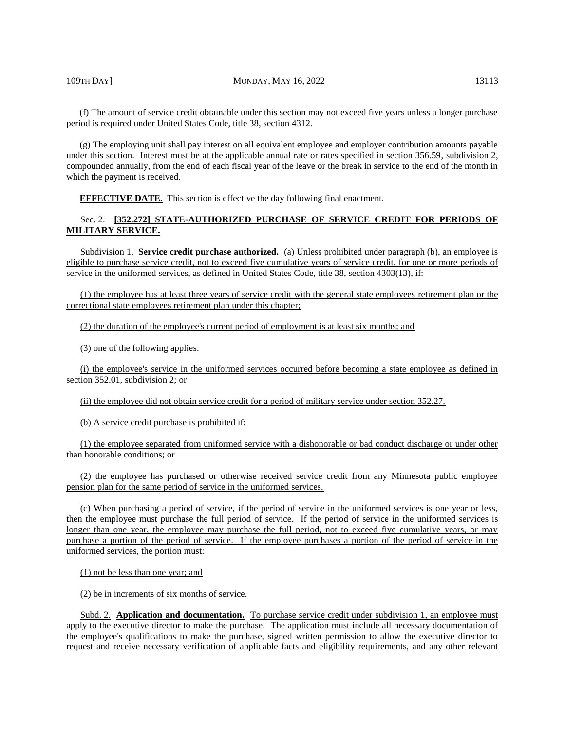(f) The amount of service credit obtainable under this section may not exceed five years unless a longer purchase period is required under United States Code, title 38, section 4312.

(g) The employing unit shall pay interest on all equivalent employee and employer contribution amounts payable under this section. Interest must be at the applicable annual rate or rates specified in section 356.59, subdivision 2, compounded annually, from the end of each fiscal year of the leave or the break in service to the end of the month in which the payment is received.

**EFFECTIVE DATE.** This section is effective the day following final enactment.

# Sec. 2. **[352.272] STATE-AUTHORIZED PURCHASE OF SERVICE CREDIT FOR PERIODS OF MILITARY SERVICE.**

Subdivision 1. **Service credit purchase authorized.** (a) Unless prohibited under paragraph (b), an employee is eligible to purchase service credit, not to exceed five cumulative years of service credit, for one or more periods of service in the uniformed services, as defined in United States Code, title 38, section 4303(13), if:

(1) the employee has at least three years of service credit with the general state employees retirement plan or the correctional state employees retirement plan under this chapter;

(2) the duration of the employee's current period of employment is at least six months; and

(3) one of the following applies:

(i) the employee's service in the uniformed services occurred before becoming a state employee as defined in section 352.01, subdivision 2; or

(ii) the employee did not obtain service credit for a period of military service under section 352.27.

(b) A service credit purchase is prohibited if:

(1) the employee separated from uniformed service with a dishonorable or bad conduct discharge or under other than honorable conditions; or

(2) the employee has purchased or otherwise received service credit from any Minnesota public employee pension plan for the same period of service in the uniformed services.

(c) When purchasing a period of service, if the period of service in the uniformed services is one year or less, then the employee must purchase the full period of service. If the period of service in the uniformed services is longer than one year, the employee may purchase the full period, not to exceed five cumulative years, or may purchase a portion of the period of service. If the employee purchases a portion of the period of service in the uniformed services, the portion must:

(1) not be less than one year; and

(2) be in increments of six months of service.

Subd. 2. **Application and documentation.** To purchase service credit under subdivision 1, an employee must apply to the executive director to make the purchase. The application must include all necessary documentation of the employee's qualifications to make the purchase, signed written permission to allow the executive director to request and receive necessary verification of applicable facts and eligibility requirements, and any other relevant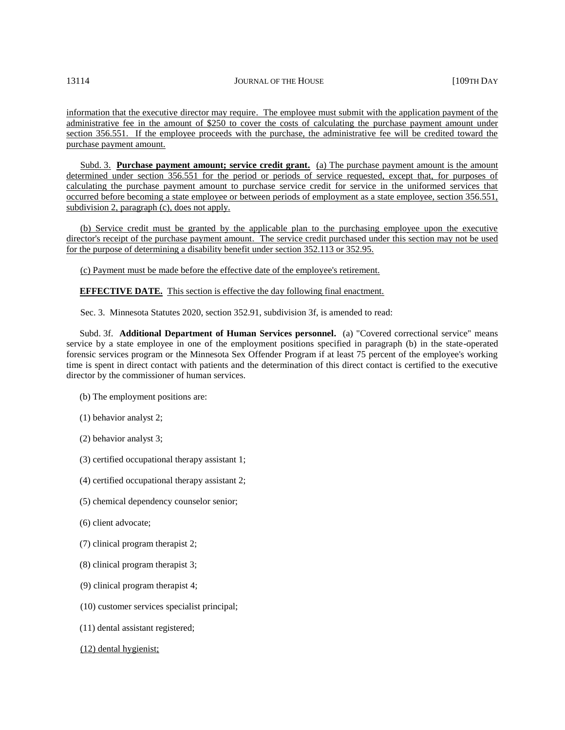information that the executive director may require. The employee must submit with the application payment of the administrative fee in the amount of \$250 to cover the costs of calculating the purchase payment amount under section 356.551. If the employee proceeds with the purchase, the administrative fee will be credited toward the purchase payment amount.

Subd. 3. **Purchase payment amount; service credit grant.** (a) The purchase payment amount is the amount determined under section 356.551 for the period or periods of service requested, except that, for purposes of calculating the purchase payment amount to purchase service credit for service in the uniformed services that occurred before becoming a state employee or between periods of employment as a state employee, section 356.551, subdivision 2, paragraph (c), does not apply.

(b) Service credit must be granted by the applicable plan to the purchasing employee upon the executive director's receipt of the purchase payment amount. The service credit purchased under this section may not be used for the purpose of determining a disability benefit under section 352.113 or 352.95.

(c) Payment must be made before the effective date of the employee's retirement.

**EFFECTIVE DATE.** This section is effective the day following final enactment.

Sec. 3. Minnesota Statutes 2020, section 352.91, subdivision 3f, is amended to read:

Subd. 3f. **Additional Department of Human Services personnel.** (a) "Covered correctional service" means service by a state employee in one of the employment positions specified in paragraph (b) in the state-operated forensic services program or the Minnesota Sex Offender Program if at least 75 percent of the employee's working time is spent in direct contact with patients and the determination of this direct contact is certified to the executive director by the commissioner of human services.

- (b) The employment positions are:
- (1) behavior analyst 2;
- (2) behavior analyst 3;
- (3) certified occupational therapy assistant 1;
- (4) certified occupational therapy assistant 2;
- (5) chemical dependency counselor senior;
- (6) client advocate;
- (7) clinical program therapist 2;
- (8) clinical program therapist 3;
- (9) clinical program therapist 4;
- (10) customer services specialist principal;
- (11) dental assistant registered;
- (12) dental hygienist;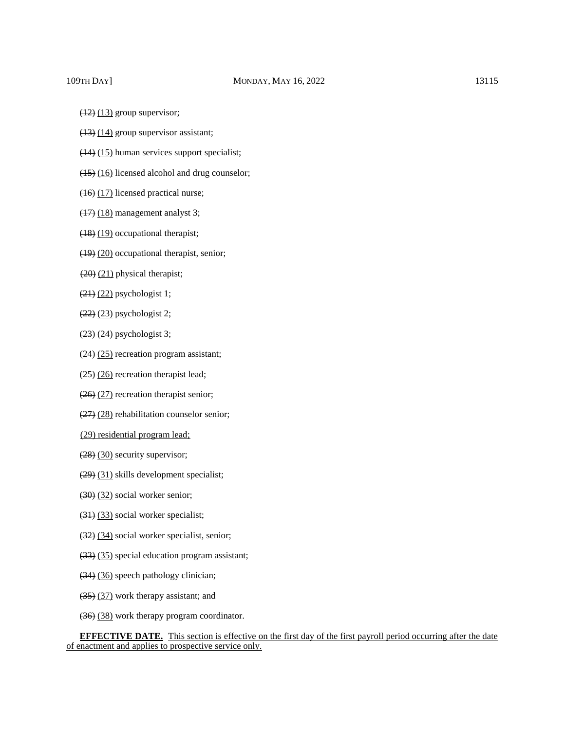- $(12)$   $(13)$  group supervisor;
- $(13)$   $(14)$  group supervisor assistant;
- (14) (15) human services support specialist;
- (15) (16) licensed alcohol and drug counselor;
- (16) (17) licensed practical nurse;
- (17) (18) management analyst 3;
- (18) (19) occupational therapist;
- (19) (20) occupational therapist, senior;
- (20) (21) physical therapist;
- $(21)$   $(22)$  psychologist 1;
- $(22)$   $(23)$  psychologist 2;
- (23) (24) psychologist 3;
- (24) (25) recreation program assistant;
- $(25)$   $(26)$  recreation therapist lead;
- (26) (27) recreation therapist senior;
- (27) (28) rehabilitation counselor senior;
- (29) residential program lead;
- (28) (30) security supervisor;
- (29) (31) skills development specialist;
- (30) (32) social worker senior;
- (31) (33) social worker specialist;
- (32) (34) social worker specialist, senior;
- (33) (35) special education program assistant;
- (34) (36) speech pathology clinician;
- (35) (37) work therapy assistant; and
- (36) (38) work therapy program coordinator.

**EFFECTIVE DATE.** This section is effective on the first day of the first payroll period occurring after the date of enactment and applies to prospective service only.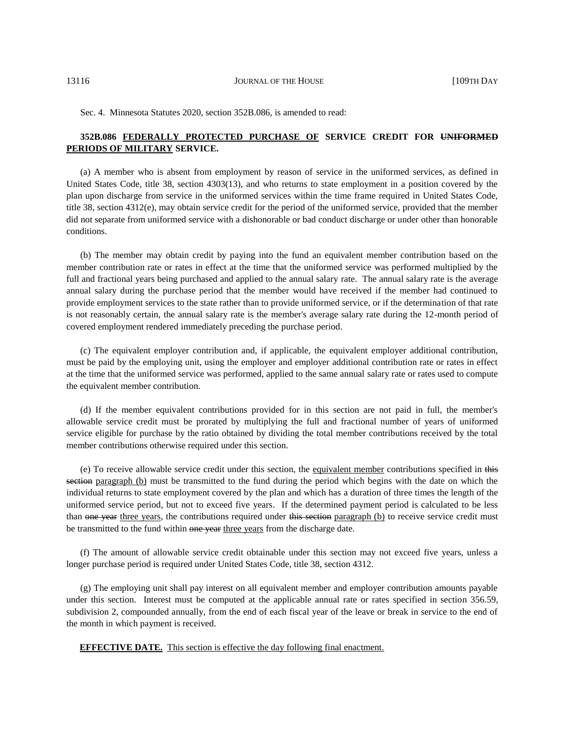Sec. 4. Minnesota Statutes 2020, section 352B.086, is amended to read:

# **352B.086 FEDERALLY PROTECTED PURCHASE OF SERVICE CREDIT FOR UNIFORMED PERIODS OF MILITARY SERVICE.**

(a) A member who is absent from employment by reason of service in the uniformed services, as defined in United States Code, title 38, section 4303(13), and who returns to state employment in a position covered by the plan upon discharge from service in the uniformed services within the time frame required in United States Code, title 38, section 4312(e), may obtain service credit for the period of the uniformed service, provided that the member did not separate from uniformed service with a dishonorable or bad conduct discharge or under other than honorable conditions.

(b) The member may obtain credit by paying into the fund an equivalent member contribution based on the member contribution rate or rates in effect at the time that the uniformed service was performed multiplied by the full and fractional years being purchased and applied to the annual salary rate. The annual salary rate is the average annual salary during the purchase period that the member would have received if the member had continued to provide employment services to the state rather than to provide uniformed service, or if the determination of that rate is not reasonably certain, the annual salary rate is the member's average salary rate during the 12-month period of covered employment rendered immediately preceding the purchase period.

(c) The equivalent employer contribution and, if applicable, the equivalent employer additional contribution, must be paid by the employing unit, using the employer and employer additional contribution rate or rates in effect at the time that the uniformed service was performed, applied to the same annual salary rate or rates used to compute the equivalent member contribution.

(d) If the member equivalent contributions provided for in this section are not paid in full, the member's allowable service credit must be prorated by multiplying the full and fractional number of years of uniformed service eligible for purchase by the ratio obtained by dividing the total member contributions received by the total member contributions otherwise required under this section.

(e) To receive allowable service credit under this section, the equivalent member contributions specified in this section paragraph (b) must be transmitted to the fund during the period which begins with the date on which the individual returns to state employment covered by the plan and which has a duration of three times the length of the uniformed service period, but not to exceed five years. If the determined payment period is calculated to be less than one year three years, the contributions required under this section paragraph (b) to receive service credit must be transmitted to the fund within one year three years from the discharge date.

(f) The amount of allowable service credit obtainable under this section may not exceed five years, unless a longer purchase period is required under United States Code, title 38, section 4312.

(g) The employing unit shall pay interest on all equivalent member and employer contribution amounts payable under this section. Interest must be computed at the applicable annual rate or rates specified in section 356.59, subdivision 2, compounded annually, from the end of each fiscal year of the leave or break in service to the end of the month in which payment is received.

**EFFECTIVE DATE.** This section is effective the day following final enactment.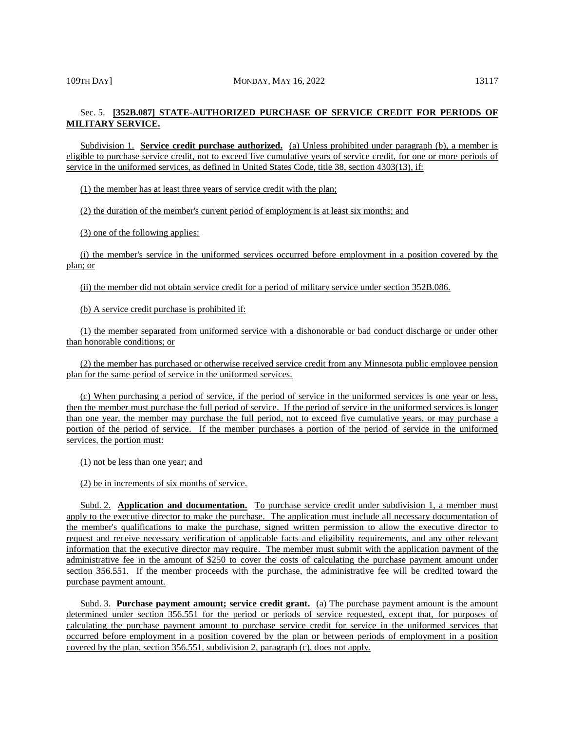# Sec. 5. **[352B.087] STATE-AUTHORIZED PURCHASE OF SERVICE CREDIT FOR PERIODS OF MILITARY SERVICE.**

Subdivision 1. **Service credit purchase authorized.** (a) Unless prohibited under paragraph (b), a member is eligible to purchase service credit, not to exceed five cumulative years of service credit, for one or more periods of service in the uniformed services, as defined in United States Code, title 38, section 4303(13), if:

(1) the member has at least three years of service credit with the plan;

(2) the duration of the member's current period of employment is at least six months; and

(3) one of the following applies:

(i) the member's service in the uniformed services occurred before employment in a position covered by the plan; or

(ii) the member did not obtain service credit for a period of military service under section 352B.086.

(b) A service credit purchase is prohibited if:

(1) the member separated from uniformed service with a dishonorable or bad conduct discharge or under other than honorable conditions; or

(2) the member has purchased or otherwise received service credit from any Minnesota public employee pension plan for the same period of service in the uniformed services.

(c) When purchasing a period of service, if the period of service in the uniformed services is one year or less, then the member must purchase the full period of service. If the period of service in the uniformed services is longer than one year, the member may purchase the full period, not to exceed five cumulative years, or may purchase a portion of the period of service. If the member purchases a portion of the period of service in the uniformed services, the portion must:

(1) not be less than one year; and

(2) be in increments of six months of service.

Subd. 2. **Application and documentation.** To purchase service credit under subdivision 1, a member must apply to the executive director to make the purchase. The application must include all necessary documentation of the member's qualifications to make the purchase, signed written permission to allow the executive director to request and receive necessary verification of applicable facts and eligibility requirements, and any other relevant information that the executive director may require. The member must submit with the application payment of the administrative fee in the amount of \$250 to cover the costs of calculating the purchase payment amount under section 356.551. If the member proceeds with the purchase, the administrative fee will be credited toward the purchase payment amount.

Subd. 3. **Purchase payment amount; service credit grant.** (a) The purchase payment amount is the amount determined under section 356.551 for the period or periods of service requested, except that, for purposes of calculating the purchase payment amount to purchase service credit for service in the uniformed services that occurred before employment in a position covered by the plan or between periods of employment in a position covered by the plan, section 356.551, subdivision 2, paragraph (c), does not apply.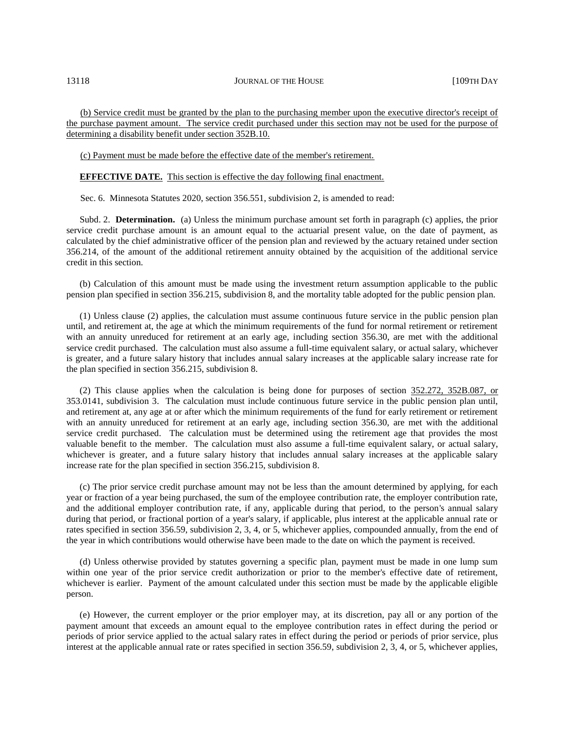(b) Service credit must be granted by the plan to the purchasing member upon the executive director's receipt of the purchase payment amount. The service credit purchased under this section may not be used for the purpose of determining a disability benefit under section 352B.10.

(c) Payment must be made before the effective date of the member's retirement.

**EFFECTIVE DATE.** This section is effective the day following final enactment.

Sec. 6. Minnesota Statutes 2020, section 356.551, subdivision 2, is amended to read:

Subd. 2. **Determination.** (a) Unless the minimum purchase amount set forth in paragraph (c) applies, the prior service credit purchase amount is an amount equal to the actuarial present value, on the date of payment, as calculated by the chief administrative officer of the pension plan and reviewed by the actuary retained under section 356.214, of the amount of the additional retirement annuity obtained by the acquisition of the additional service credit in this section.

(b) Calculation of this amount must be made using the investment return assumption applicable to the public pension plan specified in section 356.215, subdivision 8, and the mortality table adopted for the public pension plan.

(1) Unless clause (2) applies, the calculation must assume continuous future service in the public pension plan until, and retirement at, the age at which the minimum requirements of the fund for normal retirement or retirement with an annuity unreduced for retirement at an early age, including section 356.30, are met with the additional service credit purchased. The calculation must also assume a full-time equivalent salary, or actual salary, whichever is greater, and a future salary history that includes annual salary increases at the applicable salary increase rate for the plan specified in section 356.215, subdivision 8.

(2) This clause applies when the calculation is being done for purposes of section 352.272, 352B.087, or 353.0141, subdivision 3. The calculation must include continuous future service in the public pension plan until, and retirement at, any age at or after which the minimum requirements of the fund for early retirement or retirement with an annuity unreduced for retirement at an early age, including section 356.30, are met with the additional service credit purchased. The calculation must be determined using the retirement age that provides the most valuable benefit to the member. The calculation must also assume a full-time equivalent salary, or actual salary, whichever is greater, and a future salary history that includes annual salary increases at the applicable salary increase rate for the plan specified in section 356.215, subdivision 8.

(c) The prior service credit purchase amount may not be less than the amount determined by applying, for each year or fraction of a year being purchased, the sum of the employee contribution rate, the employer contribution rate, and the additional employer contribution rate, if any, applicable during that period, to the person's annual salary during that period, or fractional portion of a year's salary, if applicable, plus interest at the applicable annual rate or rates specified in section 356.59, subdivision 2, 3, 4, or 5, whichever applies, compounded annually, from the end of the year in which contributions would otherwise have been made to the date on which the payment is received.

(d) Unless otherwise provided by statutes governing a specific plan, payment must be made in one lump sum within one year of the prior service credit authorization or prior to the member's effective date of retirement, whichever is earlier. Payment of the amount calculated under this section must be made by the applicable eligible person.

(e) However, the current employer or the prior employer may, at its discretion, pay all or any portion of the payment amount that exceeds an amount equal to the employee contribution rates in effect during the period or periods of prior service applied to the actual salary rates in effect during the period or periods of prior service, plus interest at the applicable annual rate or rates specified in section 356.59, subdivision 2, 3, 4, or 5, whichever applies,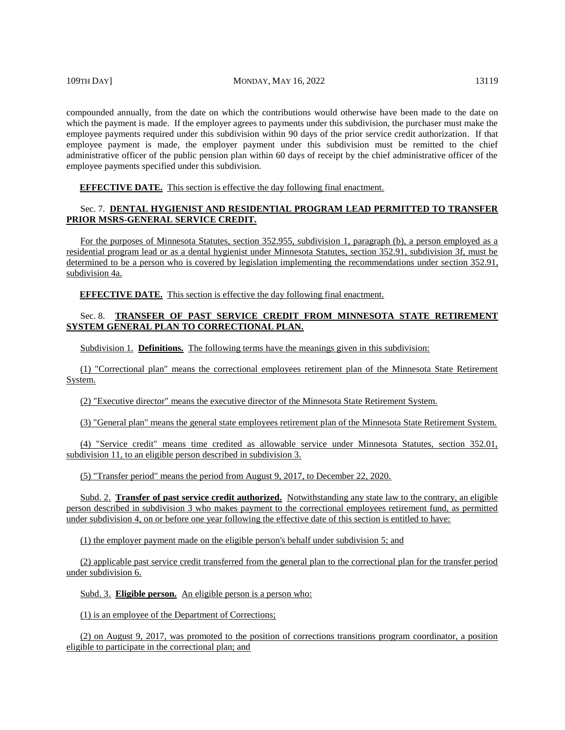compounded annually, from the date on which the contributions would otherwise have been made to the date on which the payment is made. If the employer agrees to payments under this subdivision, the purchaser must make the employee payments required under this subdivision within 90 days of the prior service credit authorization. If that employee payment is made, the employer payment under this subdivision must be remitted to the chief administrative officer of the public pension plan within 60 days of receipt by the chief administrative officer of the employee payments specified under this subdivision.

**EFFECTIVE DATE.** This section is effective the day following final enactment.

# Sec. 7. **DENTAL HYGIENIST AND RESIDENTIAL PROGRAM LEAD PERMITTED TO TRANSFER PRIOR MSRS-GENERAL SERVICE CREDIT.**

For the purposes of Minnesota Statutes, section 352.955, subdivision 1, paragraph (b), a person employed as a residential program lead or as a dental hygienist under Minnesota Statutes, section 352.91, subdivision 3f, must be determined to be a person who is covered by legislation implementing the recommendations under section 352.91, subdivision 4a.

**EFFECTIVE DATE.** This section is effective the day following final enactment.

# Sec. 8. **TRANSFER OF PAST SERVICE CREDIT FROM MINNESOTA STATE RETIREMENT SYSTEM GENERAL PLAN TO CORRECTIONAL PLAN.**

Subdivision 1. **Definitions.** The following terms have the meanings given in this subdivision:

(1) "Correctional plan" means the correctional employees retirement plan of the Minnesota State Retirement System.

(2) "Executive director" means the executive director of the Minnesota State Retirement System.

(3) "General plan" means the general state employees retirement plan of the Minnesota State Retirement System.

(4) "Service credit" means time credited as allowable service under Minnesota Statutes, section 352.01, subdivision 11, to an eligible person described in subdivision 3.

(5) "Transfer period" means the period from August 9, 2017, to December 22, 2020.

Subd. 2. **Transfer of past service credit authorized.** Notwithstanding any state law to the contrary, an eligible person described in subdivision 3 who makes payment to the correctional employees retirement fund, as permitted under subdivision 4, on or before one year following the effective date of this section is entitled to have:

(1) the employer payment made on the eligible person's behalf under subdivision 5; and

(2) applicable past service credit transferred from the general plan to the correctional plan for the transfer period under subdivision 6.

Subd. 3. **Eligible person.** An eligible person is a person who:

(1) is an employee of the Department of Corrections;

(2) on August 9, 2017, was promoted to the position of corrections transitions program coordinator, a position eligible to participate in the correctional plan; and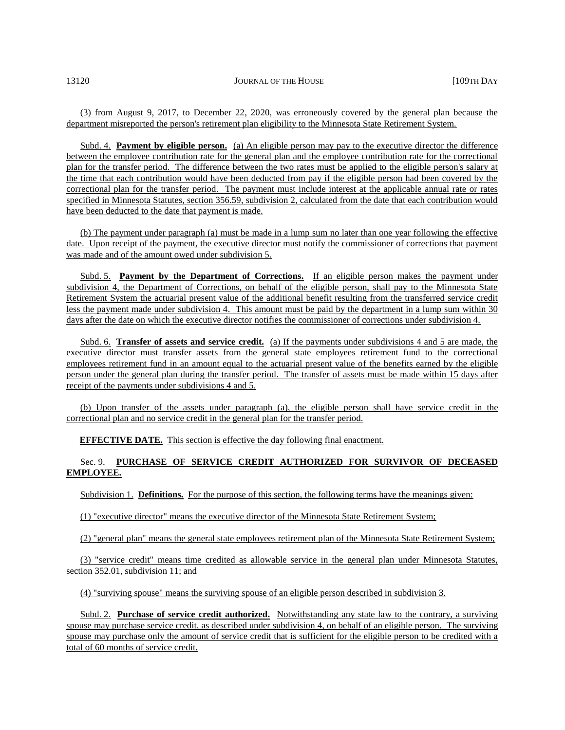(3) from August 9, 2017, to December 22, 2020, was erroneously covered by the general plan because the department misreported the person's retirement plan eligibility to the Minnesota State Retirement System.

Subd. 4. **Payment by eligible person.** (a) An eligible person may pay to the executive director the difference between the employee contribution rate for the general plan and the employee contribution rate for the correctional plan for the transfer period. The difference between the two rates must be applied to the eligible person's salary at the time that each contribution would have been deducted from pay if the eligible person had been covered by the correctional plan for the transfer period. The payment must include interest at the applicable annual rate or rates specified in Minnesota Statutes, section 356.59, subdivision 2, calculated from the date that each contribution would have been deducted to the date that payment is made.

(b) The payment under paragraph (a) must be made in a lump sum no later than one year following the effective date. Upon receipt of the payment, the executive director must notify the commissioner of corrections that payment was made and of the amount owed under subdivision 5.

Subd. 5. **Payment by the Department of Corrections.** If an eligible person makes the payment under subdivision 4, the Department of Corrections, on behalf of the eligible person, shall pay to the Minnesota State Retirement System the actuarial present value of the additional benefit resulting from the transferred service credit less the payment made under subdivision 4. This amount must be paid by the department in a lump sum within 30 days after the date on which the executive director notifies the commissioner of corrections under subdivision 4.

Subd. 6. **Transfer of assets and service credit.** (a) If the payments under subdivisions 4 and 5 are made, the executive director must transfer assets from the general state employees retirement fund to the correctional employees retirement fund in an amount equal to the actuarial present value of the benefits earned by the eligible person under the general plan during the transfer period. The transfer of assets must be made within 15 days after receipt of the payments under subdivisions 4 and 5.

(b) Upon transfer of the assets under paragraph (a), the eligible person shall have service credit in the correctional plan and no service credit in the general plan for the transfer period.

**EFFECTIVE DATE.** This section is effective the day following final enactment.

# Sec. 9. **PURCHASE OF SERVICE CREDIT AUTHORIZED FOR SURVIVOR OF DECEASED EMPLOYEE.**

Subdivision 1. **Definitions.** For the purpose of this section, the following terms have the meanings given:

(1) "executive director" means the executive director of the Minnesota State Retirement System;

(2) "general plan" means the general state employees retirement plan of the Minnesota State Retirement System;

(3) "service credit" means time credited as allowable service in the general plan under Minnesota Statutes, section 352.01, subdivision 11; and

(4) "surviving spouse" means the surviving spouse of an eligible person described in subdivision 3.

Subd. 2. **Purchase of service credit authorized.** Notwithstanding any state law to the contrary, a surviving spouse may purchase service credit, as described under subdivision 4, on behalf of an eligible person. The surviving spouse may purchase only the amount of service credit that is sufficient for the eligible person to be credited with a total of 60 months of service credit.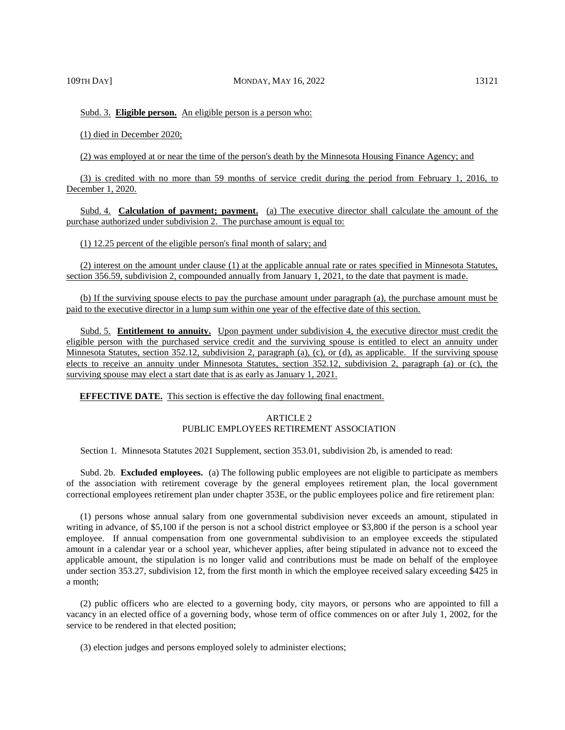Subd. 3. **Eligible person.** An eligible person is a person who:

(1) died in December 2020;

(2) was employed at or near the time of the person's death by the Minnesota Housing Finance Agency; and

(3) is credited with no more than 59 months of service credit during the period from February 1, 2016, to December 1, 2020.

Subd. 4. **Calculation of payment; payment.** (a) The executive director shall calculate the amount of the purchase authorized under subdivision 2. The purchase amount is equal to:

(1) 12.25 percent of the eligible person's final month of salary; and

(2) interest on the amount under clause (1) at the applicable annual rate or rates specified in Minnesota Statutes, section 356.59, subdivision 2, compounded annually from January 1, 2021, to the date that payment is made.

(b) If the surviving spouse elects to pay the purchase amount under paragraph (a), the purchase amount must be paid to the executive director in a lump sum within one year of the effective date of this section.

Subd. 5. **Entitlement to annuity.** Upon payment under subdivision 4, the executive director must credit the eligible person with the purchased service credit and the surviving spouse is entitled to elect an annuity under Minnesota Statutes, section 352.12, subdivision 2, paragraph (a), (c), or (d), as applicable. If the surviving spouse elects to receive an annuity under Minnesota Statutes, section 352.12, subdivision 2, paragraph (a) or (c), the surviving spouse may elect a start date that is as early as January 1, 2021.

**EFFECTIVE DATE.** This section is effective the day following final enactment.

# ARTICLE 2 PUBLIC EMPLOYEES RETIREMENT ASSOCIATION

Section 1. Minnesota Statutes 2021 Supplement, section 353.01, subdivision 2b, is amended to read:

Subd. 2b. **Excluded employees.** (a) The following public employees are not eligible to participate as members of the association with retirement coverage by the general employees retirement plan, the local government correctional employees retirement plan under chapter 353E, or the public employees police and fire retirement plan:

(1) persons whose annual salary from one governmental subdivision never exceeds an amount, stipulated in writing in advance, of \$5,100 if the person is not a school district employee or \$3,800 if the person is a school year employee. If annual compensation from one governmental subdivision to an employee exceeds the stipulated amount in a calendar year or a school year, whichever applies, after being stipulated in advance not to exceed the applicable amount, the stipulation is no longer valid and contributions must be made on behalf of the employee under section 353.27, subdivision 12, from the first month in which the employee received salary exceeding \$425 in a month;

(2) public officers who are elected to a governing body, city mayors, or persons who are appointed to fill a vacancy in an elected office of a governing body, whose term of office commences on or after July 1, 2002, for the service to be rendered in that elected position;

(3) election judges and persons employed solely to administer elections;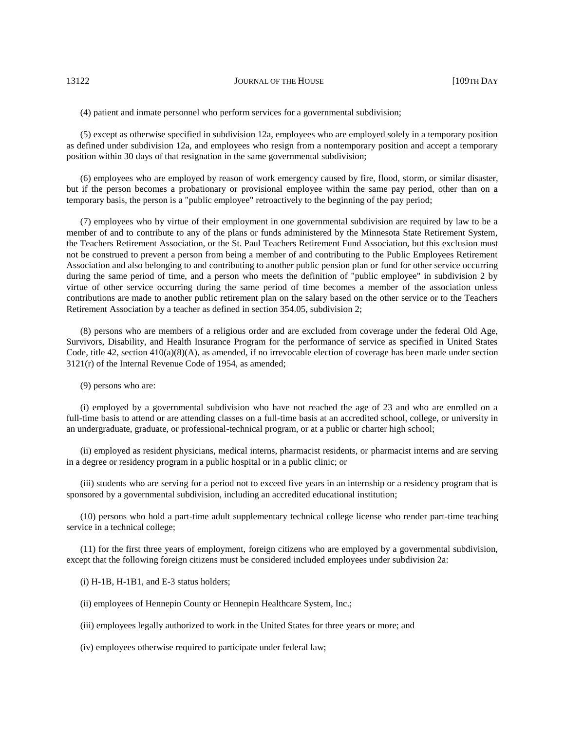(4) patient and inmate personnel who perform services for a governmental subdivision;

(5) except as otherwise specified in subdivision 12a, employees who are employed solely in a temporary position as defined under subdivision 12a, and employees who resign from a nontemporary position and accept a temporary position within 30 days of that resignation in the same governmental subdivision;

(6) employees who are employed by reason of work emergency caused by fire, flood, storm, or similar disaster, but if the person becomes a probationary or provisional employee within the same pay period, other than on a temporary basis, the person is a "public employee" retroactively to the beginning of the pay period;

(7) employees who by virtue of their employment in one governmental subdivision are required by law to be a member of and to contribute to any of the plans or funds administered by the Minnesota State Retirement System, the Teachers Retirement Association, or the St. Paul Teachers Retirement Fund Association, but this exclusion must not be construed to prevent a person from being a member of and contributing to the Public Employees Retirement Association and also belonging to and contributing to another public pension plan or fund for other service occurring during the same period of time, and a person who meets the definition of "public employee" in subdivision 2 by virtue of other service occurring during the same period of time becomes a member of the association unless contributions are made to another public retirement plan on the salary based on the other service or to the Teachers Retirement Association by a teacher as defined in section 354.05, subdivision 2;

(8) persons who are members of a religious order and are excluded from coverage under the federal Old Age, Survivors, Disability, and Health Insurance Program for the performance of service as specified in United States Code, title 42, section  $410(a)(8)(A)$ , as amended, if no irrevocable election of coverage has been made under section 3121(r) of the Internal Revenue Code of 1954, as amended;

(9) persons who are:

(i) employed by a governmental subdivision who have not reached the age of 23 and who are enrolled on a full-time basis to attend or are attending classes on a full-time basis at an accredited school, college, or university in an undergraduate, graduate, or professional-technical program, or at a public or charter high school;

(ii) employed as resident physicians, medical interns, pharmacist residents, or pharmacist interns and are serving in a degree or residency program in a public hospital or in a public clinic; or

(iii) students who are serving for a period not to exceed five years in an internship or a residency program that is sponsored by a governmental subdivision, including an accredited educational institution;

(10) persons who hold a part-time adult supplementary technical college license who render part-time teaching service in a technical college;

(11) for the first three years of employment, foreign citizens who are employed by a governmental subdivision, except that the following foreign citizens must be considered included employees under subdivision 2a:

 $(i)$  H-1B, H-1B1, and E-3 status holders;

(ii) employees of Hennepin County or Hennepin Healthcare System, Inc.;

(iii) employees legally authorized to work in the United States for three years or more; and

(iv) employees otherwise required to participate under federal law;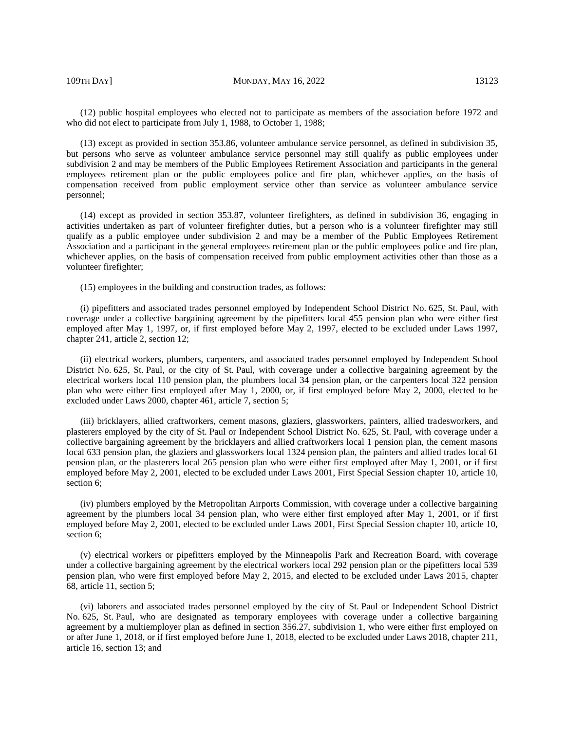109TH DAY] MONDAY, MAY 16, 2022 13123

(12) public hospital employees who elected not to participate as members of the association before 1972 and who did not elect to participate from July 1, 1988, to October 1, 1988;

(13) except as provided in section 353.86, volunteer ambulance service personnel, as defined in subdivision 35, but persons who serve as volunteer ambulance service personnel may still qualify as public employees under subdivision 2 and may be members of the Public Employees Retirement Association and participants in the general employees retirement plan or the public employees police and fire plan, whichever applies, on the basis of compensation received from public employment service other than service as volunteer ambulance service personnel;

(14) except as provided in section 353.87, volunteer firefighters, as defined in subdivision 36, engaging in activities undertaken as part of volunteer firefighter duties, but a person who is a volunteer firefighter may still qualify as a public employee under subdivision 2 and may be a member of the Public Employees Retirement Association and a participant in the general employees retirement plan or the public employees police and fire plan, whichever applies, on the basis of compensation received from public employment activities other than those as a volunteer firefighter;

(15) employees in the building and construction trades, as follows:

(i) pipefitters and associated trades personnel employed by Independent School District No. 625, St. Paul, with coverage under a collective bargaining agreement by the pipefitters local 455 pension plan who were either first employed after May 1, 1997, or, if first employed before May 2, 1997, elected to be excluded under Laws 1997, chapter 241, article 2, section 12;

(ii) electrical workers, plumbers, carpenters, and associated trades personnel employed by Independent School District No. 625, St. Paul, or the city of St. Paul, with coverage under a collective bargaining agreement by the electrical workers local 110 pension plan, the plumbers local 34 pension plan, or the carpenters local 322 pension plan who were either first employed after May 1, 2000, or, if first employed before May 2, 2000, elected to be excluded under Laws 2000, chapter 461, article 7, section 5;

(iii) bricklayers, allied craftworkers, cement masons, glaziers, glassworkers, painters, allied tradesworkers, and plasterers employed by the city of St. Paul or Independent School District No. 625, St. Paul, with coverage under a collective bargaining agreement by the bricklayers and allied craftworkers local 1 pension plan, the cement masons local 633 pension plan, the glaziers and glassworkers local 1324 pension plan, the painters and allied trades local 61 pension plan, or the plasterers local 265 pension plan who were either first employed after May 1, 2001, or if first employed before May 2, 2001, elected to be excluded under Laws 2001, First Special Session chapter 10, article 10, section 6;

(iv) plumbers employed by the Metropolitan Airports Commission, with coverage under a collective bargaining agreement by the plumbers local 34 pension plan, who were either first employed after May 1, 2001, or if first employed before May 2, 2001, elected to be excluded under Laws 2001, First Special Session chapter 10, article 10, section 6;

(v) electrical workers or pipefitters employed by the Minneapolis Park and Recreation Board, with coverage under a collective bargaining agreement by the electrical workers local 292 pension plan or the pipefitters local 539 pension plan, who were first employed before May 2, 2015, and elected to be excluded under Laws 2015, chapter 68, article 11, section 5;

(vi) laborers and associated trades personnel employed by the city of St. Paul or Independent School District No. 625, St. Paul, who are designated as temporary employees with coverage under a collective bargaining agreement by a multiemployer plan as defined in section 356.27, subdivision 1, who were either first employed on or after June 1, 2018, or if first employed before June 1, 2018, elected to be excluded under Laws 2018, chapter 211, article 16, section 13; and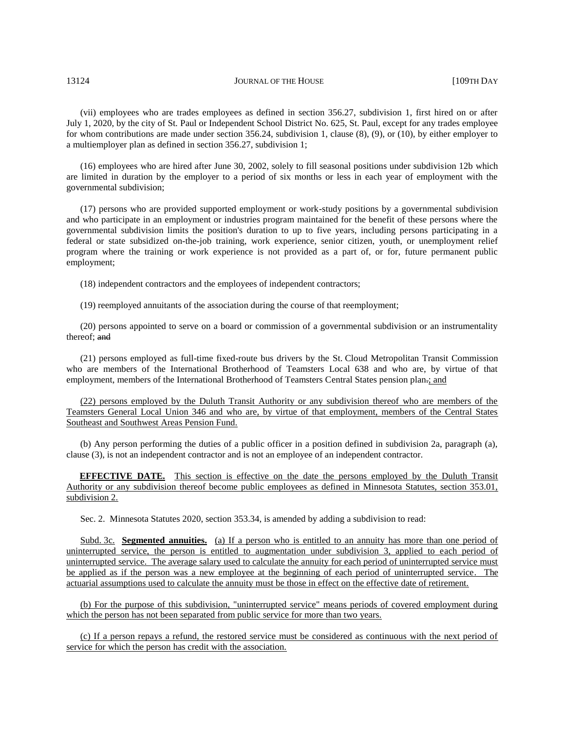(vii) employees who are trades employees as defined in section 356.27, subdivision 1, first hired on or after July 1, 2020, by the city of St. Paul or Independent School District No. 625, St. Paul, except for any trades employee for whom contributions are made under section 356.24, subdivision 1, clause (8), (9), or (10), by either employer to a multiemployer plan as defined in section 356.27, subdivision 1;

(16) employees who are hired after June 30, 2002, solely to fill seasonal positions under subdivision 12b which are limited in duration by the employer to a period of six months or less in each year of employment with the governmental subdivision;

(17) persons who are provided supported employment or work-study positions by a governmental subdivision and who participate in an employment or industries program maintained for the benefit of these persons where the governmental subdivision limits the position's duration to up to five years, including persons participating in a federal or state subsidized on-the-job training, work experience, senior citizen, youth, or unemployment relief program where the training or work experience is not provided as a part of, or for, future permanent public employment;

(18) independent contractors and the employees of independent contractors;

(19) reemployed annuitants of the association during the course of that reemployment;

(20) persons appointed to serve on a board or commission of a governmental subdivision or an instrumentality thereof; and

(21) persons employed as full-time fixed-route bus drivers by the St. Cloud Metropolitan Transit Commission who are members of the International Brotherhood of Teamsters Local 638 and who are, by virtue of that employment, members of the International Brotherhood of Teamsters Central States pension plan.; and

(22) persons employed by the Duluth Transit Authority or any subdivision thereof who are members of the Teamsters General Local Union 346 and who are, by virtue of that employment, members of the Central States Southeast and Southwest Areas Pension Fund.

(b) Any person performing the duties of a public officer in a position defined in subdivision 2a, paragraph (a), clause (3), is not an independent contractor and is not an employee of an independent contractor.

**EFFECTIVE DATE.** This section is effective on the date the persons employed by the Duluth Transit Authority or any subdivision thereof become public employees as defined in Minnesota Statutes, section 353.01, subdivision 2.

Sec. 2. Minnesota Statutes 2020, section 353.34, is amended by adding a subdivision to read:

Subd. 3c. **Segmented annuities.** (a) If a person who is entitled to an annuity has more than one period of uninterrupted service, the person is entitled to augmentation under subdivision 3, applied to each period of uninterrupted service. The average salary used to calculate the annuity for each period of uninterrupted service must be applied as if the person was a new employee at the beginning of each period of uninterrupted service. The actuarial assumptions used to calculate the annuity must be those in effect on the effective date of retirement.

(b) For the purpose of this subdivision, "uninterrupted service" means periods of covered employment during which the person has not been separated from public service for more than two years.

(c) If a person repays a refund, the restored service must be considered as continuous with the next period of service for which the person has credit with the association.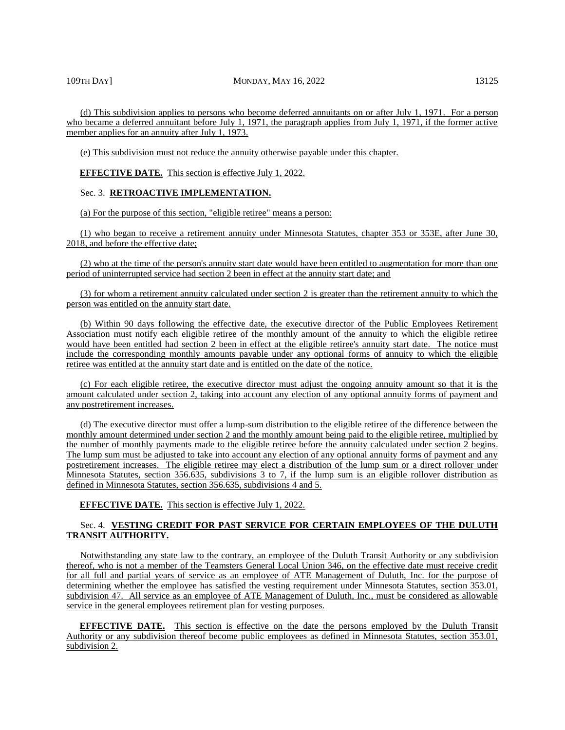# 109TH DAY] MONDAY, MAY 16, 2022 13125

(d) This subdivision applies to persons who become deferred annuitants on or after July 1, 1971. For a person who became a deferred annuitant before July 1, 1971, the paragraph applies from July 1, 1971, if the former active member applies for an annuity after July 1, 1973.

(e) This subdivision must not reduce the annuity otherwise payable under this chapter.

**EFFECTIVE DATE.** This section is effective July 1, 2022.

# Sec. 3. **RETROACTIVE IMPLEMENTATION.**

(a) For the purpose of this section, "eligible retiree" means a person:

(1) who began to receive a retirement annuity under Minnesota Statutes, chapter 353 or 353E, after June 30, 2018, and before the effective date;

(2) who at the time of the person's annuity start date would have been entitled to augmentation for more than one period of uninterrupted service had section 2 been in effect at the annuity start date; and

(3) for whom a retirement annuity calculated under section 2 is greater than the retirement annuity to which the person was entitled on the annuity start date.

(b) Within 90 days following the effective date, the executive director of the Public Employees Retirement Association must notify each eligible retiree of the monthly amount of the annuity to which the eligible retiree would have been entitled had section 2 been in effect at the eligible retiree's annuity start date. The notice must include the corresponding monthly amounts payable under any optional forms of annuity to which the eligible retiree was entitled at the annuity start date and is entitled on the date of the notice.

(c) For each eligible retiree, the executive director must adjust the ongoing annuity amount so that it is the amount calculated under section 2, taking into account any election of any optional annuity forms of payment and any postretirement increases.

(d) The executive director must offer a lump-sum distribution to the eligible retiree of the difference between the monthly amount determined under section 2 and the monthly amount being paid to the eligible retiree, multiplied by the number of monthly payments made to the eligible retiree before the annuity calculated under section 2 begins. The lump sum must be adjusted to take into account any election of any optional annuity forms of payment and any postretirement increases. The eligible retiree may elect a distribution of the lump sum or a direct rollover under Minnesota Statutes, section 356.635, subdivisions 3 to 7, if the lump sum is an eligible rollover distribution as defined in Minnesota Statutes, section 356.635, subdivisions 4 and 5.

**EFFECTIVE DATE.** This section is effective July 1, 2022.

# Sec. 4. **VESTING CREDIT FOR PAST SERVICE FOR CERTAIN EMPLOYEES OF THE DULUTH TRANSIT AUTHORITY.**

Notwithstanding any state law to the contrary, an employee of the Duluth Transit Authority or any subdivision thereof, who is not a member of the Teamsters General Local Union 346, on the effective date must receive credit for all full and partial years of service as an employee of ATE Management of Duluth, Inc. for the purpose of determining whether the employee has satisfied the vesting requirement under Minnesota Statutes, section 353.01, subdivision 47. All service as an employee of ATE Management of Duluth, Inc., must be considered as allowable service in the general employees retirement plan for vesting purposes.

**EFFECTIVE DATE.** This section is effective on the date the persons employed by the Duluth Transit Authority or any subdivision thereof become public employees as defined in Minnesota Statutes, section 353.01, subdivision 2.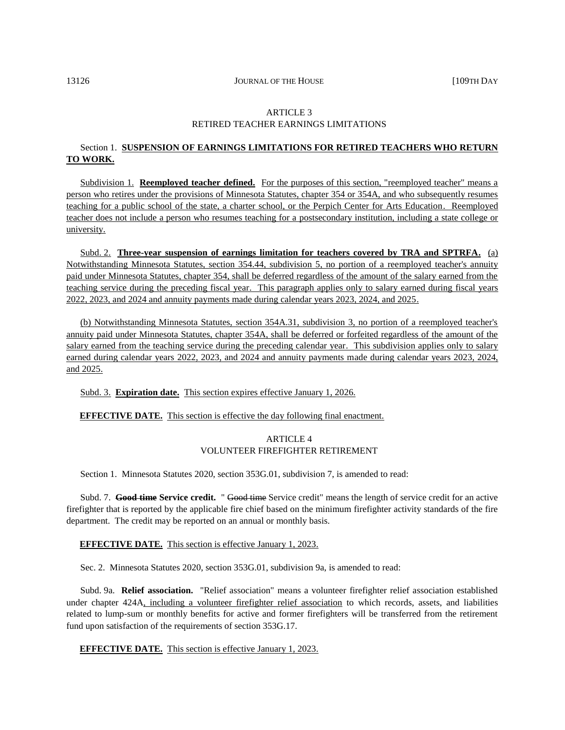# ARTICLE 3 RETIRED TEACHER EARNINGS LIMITATIONS

# Section 1. **SUSPENSION OF EARNINGS LIMITATIONS FOR RETIRED TEACHERS WHO RETURN TO WORK.**

Subdivision 1. **Reemployed teacher defined.** For the purposes of this section, "reemployed teacher" means a person who retires under the provisions of Minnesota Statutes, chapter 354 or 354A, and who subsequently resumes teaching for a public school of the state, a charter school, or the Perpich Center for Arts Education. Reemployed teacher does not include a person who resumes teaching for a postsecondary institution, including a state college or university.

Subd. 2. **Three-year suspension of earnings limitation for teachers covered by TRA and SPTRFA.** (a) Notwithstanding Minnesota Statutes, section 354.44, subdivision 5, no portion of a reemployed teacher's annuity paid under Minnesota Statutes, chapter 354, shall be deferred regardless of the amount of the salary earned from the teaching service during the preceding fiscal year. This paragraph applies only to salary earned during fiscal years 2022, 2023, and 2024 and annuity payments made during calendar years 2023, 2024, and 2025.

(b) Notwithstanding Minnesota Statutes, section 354A.31, subdivision 3, no portion of a reemployed teacher's annuity paid under Minnesota Statutes, chapter 354A, shall be deferred or forfeited regardless of the amount of the salary earned from the teaching service during the preceding calendar year. This subdivision applies only to salary earned during calendar years 2022, 2023, and 2024 and annuity payments made during calendar years 2023, 2024, and 2025.

Subd. 3. **Expiration date.** This section expires effective January 1, 2026.

# **EFFECTIVE DATE.** This section is effective the day following final enactment.

# ARTICLE 4 VOLUNTEER FIREFIGHTER RETIREMENT

Section 1. Minnesota Statutes 2020, section 353G.01, subdivision 7, is amended to read:

Subd. 7. **Good time Service credit.** " Good time Service credit" means the length of service credit for an active firefighter that is reported by the applicable fire chief based on the minimum firefighter activity standards of the fire department. The credit may be reported on an annual or monthly basis.

# **EFFECTIVE DATE.** This section is effective January 1, 2023.

Sec. 2. Minnesota Statutes 2020, section 353G.01, subdivision 9a, is amended to read:

Subd. 9a. **Relief association.** "Relief association" means a volunteer firefighter relief association established under chapter 424A, including a volunteer firefighter relief association to which records, assets, and liabilities related to lump-sum or monthly benefits for active and former firefighters will be transferred from the retirement fund upon satisfaction of the requirements of section 353G.17.

**EFFECTIVE DATE.** This section is effective January 1, 2023.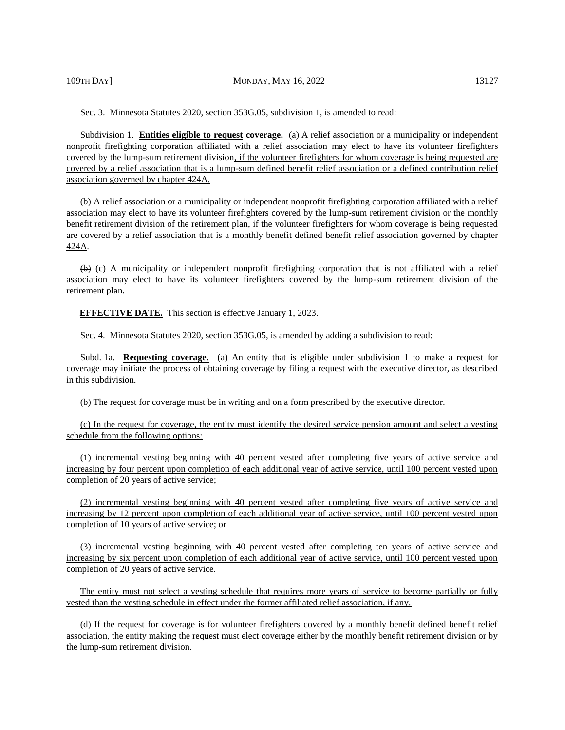Sec. 3. Minnesota Statutes 2020, section 353G.05, subdivision 1, is amended to read:

Subdivision 1. **Entities eligible to request coverage.** (a) A relief association or a municipality or independent nonprofit firefighting corporation affiliated with a relief association may elect to have its volunteer firefighters covered by the lump-sum retirement division, if the volunteer firefighters for whom coverage is being requested are covered by a relief association that is a lump-sum defined benefit relief association or a defined contribution relief association governed by chapter 424A.

(b) A relief association or a municipality or independent nonprofit firefighting corporation affiliated with a relief association may elect to have its volunteer firefighters covered by the lump-sum retirement division or the monthly benefit retirement division of the retirement plan, if the volunteer firefighters for whom coverage is being requested are covered by a relief association that is a monthly benefit defined benefit relief association governed by chapter 424A.

 $(b)$  (c) A municipality or independent nonprofit firefighting corporation that is not affiliated with a relief association may elect to have its volunteer firefighters covered by the lump-sum retirement division of the retirement plan.

#### **EFFECTIVE DATE.** This section is effective January 1, 2023.

Sec. 4. Minnesota Statutes 2020, section 353G.05, is amended by adding a subdivision to read:

Subd. 1a. **Requesting coverage.** (a) An entity that is eligible under subdivision 1 to make a request for coverage may initiate the process of obtaining coverage by filing a request with the executive director, as described in this subdivision.

(b) The request for coverage must be in writing and on a form prescribed by the executive director.

(c) In the request for coverage, the entity must identify the desired service pension amount and select a vesting schedule from the following options:

(1) incremental vesting beginning with 40 percent vested after completing five years of active service and increasing by four percent upon completion of each additional year of active service, until 100 percent vested upon completion of 20 years of active service;

(2) incremental vesting beginning with 40 percent vested after completing five years of active service and increasing by 12 percent upon completion of each additional year of active service, until 100 percent vested upon completion of 10 years of active service; or

(3) incremental vesting beginning with 40 percent vested after completing ten years of active service and increasing by six percent upon completion of each additional year of active service, until 100 percent vested upon completion of 20 years of active service.

The entity must not select a vesting schedule that requires more years of service to become partially or fully vested than the vesting schedule in effect under the former affiliated relief association, if any.

(d) If the request for coverage is for volunteer firefighters covered by a monthly benefit defined benefit relief association, the entity making the request must elect coverage either by the monthly benefit retirement division or by the lump-sum retirement division.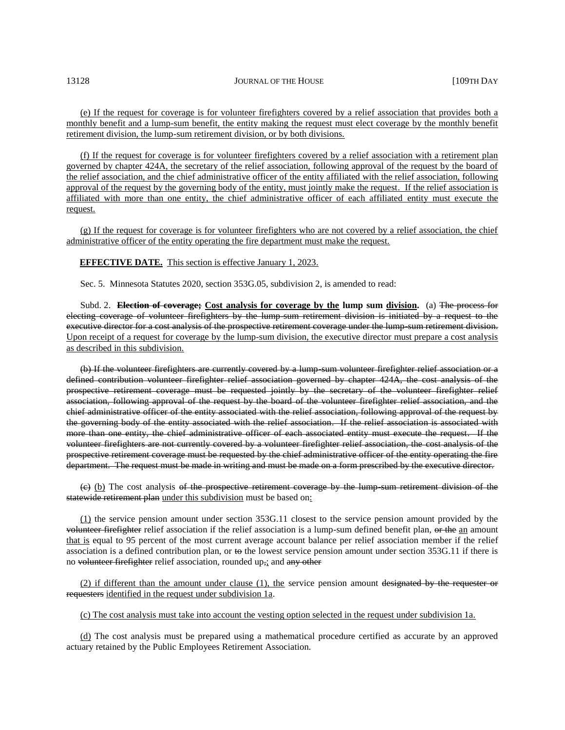(e) If the request for coverage is for volunteer firefighters covered by a relief association that provides both a monthly benefit and a lump-sum benefit, the entity making the request must elect coverage by the monthly benefit retirement division, the lump-sum retirement division, or by both divisions.

(f) If the request for coverage is for volunteer firefighters covered by a relief association with a retirement plan governed by chapter 424A, the secretary of the relief association, following approval of the request by the board of the relief association, and the chief administrative officer of the entity affiliated with the relief association, following approval of the request by the governing body of the entity, must jointly make the request. If the relief association is affiliated with more than one entity, the chief administrative officer of each affiliated entity must execute the request.

(g) If the request for coverage is for volunteer firefighters who are not covered by a relief association, the chief administrative officer of the entity operating the fire department must make the request.

#### **EFFECTIVE DATE.** This section is effective January 1, 2023.

Sec. 5. Minnesota Statutes 2020, section 353G.05, subdivision 2, is amended to read:

Subd. 2. **Election of coverage; Cost analysis for coverage by the lump sum division.** (a) The process for electing coverage of volunteer firefighters by the lump-sum retirement division is initiated by a request to the executive director for a cost analysis of the prospective retirement coverage under the lump-sum retirement division. Upon receipt of a request for coverage by the lump-sum division, the executive director must prepare a cost analysis as described in this subdivision.

(b) If the volunteer firefighters are currently covered by a lump-sum volunteer firefighter relief association or a defined contribution volunteer firefighter relief association governed by chapter 424A, the cost analysis of the prospective retirement coverage must be requested jointly by the secretary of the volunteer firefighter relief association, following approval of the request by the board of the volunteer firefighter relief association, and the chief administrative officer of the entity associated with the relief association, following approval of the request by the governing body of the entity associated with the relief association. If the relief association is associated with more than one entity, the chief administrative officer of each associated entity must execute the request. If the volunteer firefighters are not currently covered by a volunteer firefighter relief association, the cost analysis of the prospective retirement coverage must be requested by the chief administrative officer of the entity operating the fire department. The request must be made in writing and must be made on a form prescribed by the executive director.

 $(e)$  (b) The cost analysis of the prospective retirement coverage by the lump sum retirement division of the statewide retirement plan under this subdivision must be based on:

(1) the service pension amount under section 353G.11 closest to the service pension amount provided by the volunteer firefighter relief association if the relief association is a lump-sum defined benefit plan, or the an amount that is equal to 95 percent of the most current average account balance per relief association member if the relief association is a defined contribution plan, or to the lowest service pension amount under section 353G.11 if there is no volunteer firefighter relief association, rounded up,; and any other

(2) if different than the amount under clause (1), the service pension amount designated by the requester or requesters identified in the request under subdivision 1a.

(c) The cost analysis must take into account the vesting option selected in the request under subdivision 1a.

(d) The cost analysis must be prepared using a mathematical procedure certified as accurate by an approved actuary retained by the Public Employees Retirement Association.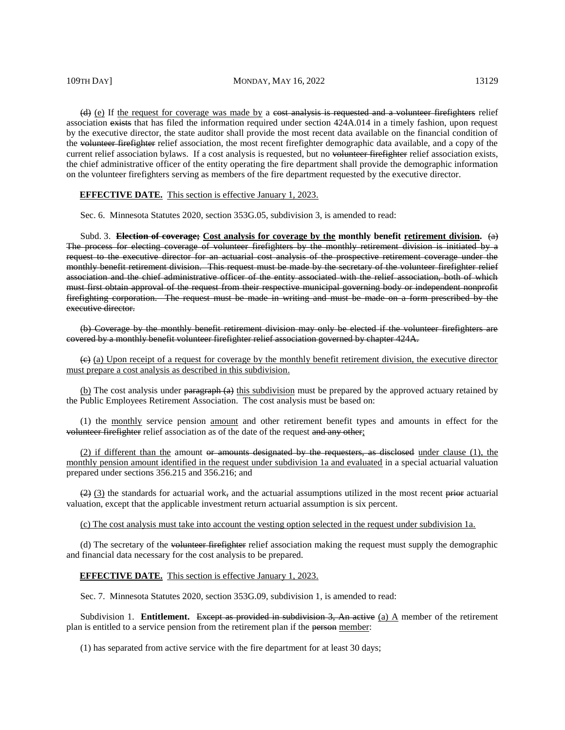109TH DAY] MONDAY, MAY 16, 2022 13129

(d) (e) If the request for coverage was made by a cost analysis is requested and a volunteer firefighters relief association exists that has filed the information required under section 424A.014 in a timely fashion, upon request by the executive director, the state auditor shall provide the most recent data available on the financial condition of the volunteer firefighter relief association, the most recent firefighter demographic data available, and a copy of the current relief association bylaws. If a cost analysis is requested, but no volunteer firefighter relief association exists, the chief administrative officer of the entity operating the fire department shall provide the demographic information on the volunteer firefighters serving as members of the fire department requested by the executive director.

# **EFFECTIVE DATE.** This section is effective January 1, 2023.

Sec. 6. Minnesota Statutes 2020, section 353G.05, subdivision 3, is amended to read:

Subd. 3. **Election of coverage; Cost analysis for coverage by the monthly benefit retirement division.** (a) The process for electing coverage of volunteer firefighters by the monthly retirement division is initiated by a request to the executive director for an actuarial cost analysis of the prospective retirement coverage under the monthly benefit retirement division. This request must be made by the secretary of the volunteer firefighter relief association and the chief administrative officer of the entity associated with the relief association, both of which must first obtain approval of the request from their respective municipal governing body or independent nonprofit firefighting corporation. The request must be made in writing and must be made on a form prescribed by the executive director.

(b) Coverage by the monthly benefit retirement division may only be elected if the volunteer firefighters are covered by a monthly benefit volunteer firefighter relief association governed by chapter 424A.

(c) (a) Upon receipt of a request for coverage by the monthly benefit retirement division, the executive director must prepare a cost analysis as described in this subdivision.

(b) The cost analysis under paragraph (a) this subdivision must be prepared by the approved actuary retained by the Public Employees Retirement Association. The cost analysis must be based on:

(1) the monthly service pension amount and other retirement benefit types and amounts in effect for the volunteer firefighter relief association as of the date of the request and any other;

(2) if different than the amount  $\Theta$  amounts designated by the requesters, as disclosed under clause (1), the monthly pension amount identified in the request under subdivision 1a and evaluated in a special actuarial valuation prepared under sections 356.215 and 356.216; and

 $(2)$  (3) the standards for actuarial work, and the actuarial assumptions utilized in the most recent prior actuarial valuation, except that the applicable investment return actuarial assumption is six percent.

(c) The cost analysis must take into account the vesting option selected in the request under subdivision 1a.

(d) The secretary of the volunteer firefighter relief association making the request must supply the demographic and financial data necessary for the cost analysis to be prepared.

#### **EFFECTIVE DATE.** This section is effective January 1, 2023.

Sec. 7. Minnesota Statutes 2020, section 353G.09, subdivision 1, is amended to read:

Subdivision 1. **Entitlement.** Except as provided in subdivision 3, An active  $(a)$  A member of the retirement plan is entitled to a service pension from the retirement plan if the person member:

(1) has separated from active service with the fire department for at least 30 days;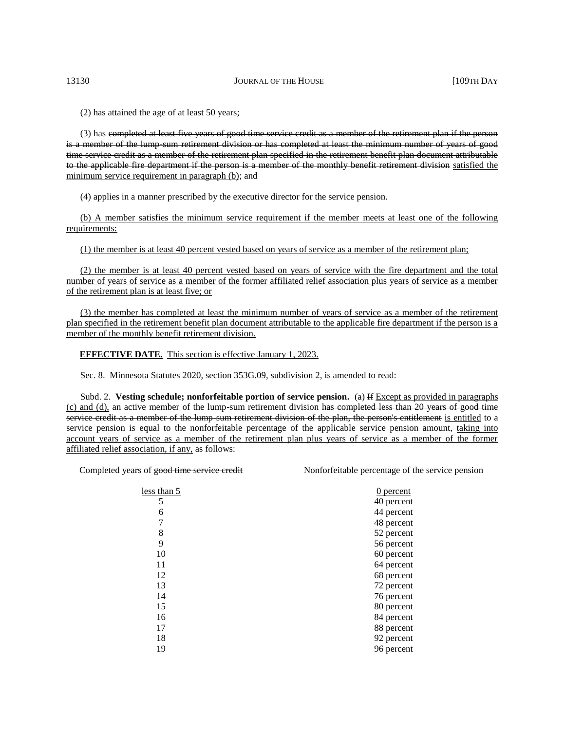(2) has attained the age of at least 50 years;

(3) has completed at least five years of good time service credit as a member of the retirement plan if the person is a member of the lump sum retirement division or has completed at least the minimum number of years of good time service credit as a member of the retirement plan specified in the retirement benefit plan document attributable to the applicable fire department if the person is a member of the monthly benefit retirement division satisfied the minimum service requirement in paragraph (b); and

(4) applies in a manner prescribed by the executive director for the service pension.

(b) A member satisfies the minimum service requirement if the member meets at least one of the following requirements:

(1) the member is at least 40 percent vested based on years of service as a member of the retirement plan;

(2) the member is at least 40 percent vested based on years of service with the fire department and the total number of years of service as a member of the former affiliated relief association plus years of service as a member of the retirement plan is at least five; or

(3) the member has completed at least the minimum number of years of service as a member of the retirement plan specified in the retirement benefit plan document attributable to the applicable fire department if the person is a member of the monthly benefit retirement division.

**EFFECTIVE DATE.** This section is effective January 1, 2023.

Sec. 8. Minnesota Statutes 2020, section 353G.09, subdivision 2, is amended to read:

Subd. 2. **Vesting schedule; nonforfeitable portion of service pension.** (a) If Except as provided in paragraphs (c) and (d), an active member of the lump-sum retirement division has completed less than 20 years of good time service credit as a member of the lump sum retirement division of the plan, the person's entitlement is entitled to a service pension is equal to the nonforfeitable percentage of the applicable service pension amount, taking into account years of service as a member of the retirement plan plus years of service as a member of the former affiliated relief association, if any, as follows:

Completed years of good time service credit Nonforfeitable percentage of the service pension

| less than 5 | $0$ percent |
|-------------|-------------|
| 5           | 40 percent  |
| 6           | 44 percent  |
| 7           | 48 percent  |
| 8           | 52 percent  |
| 9           | 56 percent  |
| 10          | 60 percent  |
| 11          | 64 percent  |
| 12          | 68 percent  |
| 13          | 72 percent  |
| 14          | 76 percent  |
| 15          | 80 percent  |
| 16          | 84 percent  |
| 17          | 88 percent  |
| 18          | 92 percent  |
| 19          | 96 percent  |
|             |             |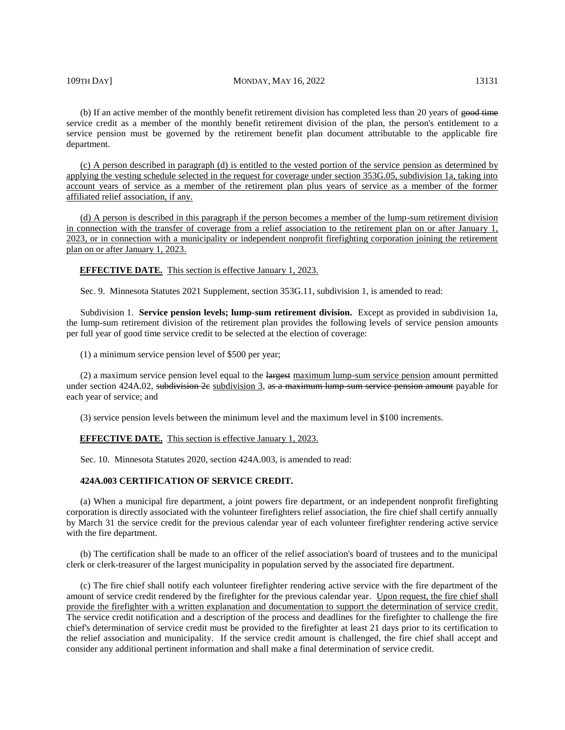#### 109TH DAY] MONDAY, MAY 16, 2022 13131

(b) If an active member of the monthly benefit retirement division has completed less than 20 years of good time service credit as a member of the monthly benefit retirement division of the plan, the person's entitlement to a service pension must be governed by the retirement benefit plan document attributable to the applicable fire department.

(c) A person described in paragraph (d) is entitled to the vested portion of the service pension as determined by applying the vesting schedule selected in the request for coverage under section 353G.05, subdivision 1a, taking into account years of service as a member of the retirement plan plus years of service as a member of the former affiliated relief association, if any.

(d) A person is described in this paragraph if the person becomes a member of the lump-sum retirement division in connection with the transfer of coverage from a relief association to the retirement plan on or after January 1, 2023, or in connection with a municipality or independent nonprofit firefighting corporation joining the retirement plan on or after January 1, 2023.

**EFFECTIVE DATE.** This section is effective January 1, 2023.

Sec. 9. Minnesota Statutes 2021 Supplement, section 353G.11, subdivision 1, is amended to read:

Subdivision 1. **Service pension levels; lump-sum retirement division.** Except as provided in subdivision 1a, the lump-sum retirement division of the retirement plan provides the following levels of service pension amounts per full year of good time service credit to be selected at the election of coverage:

(1) a minimum service pension level of \$500 per year;

(2) a maximum service pension level equal to the largest maximum lump-sum service pension amount permitted under section 424A.02, subdivision 2e subdivision 3, as a maximum lump sum service pension amount payable for each year of service; and

(3) service pension levels between the minimum level and the maximum level in \$100 increments.

#### **EFFECTIVE DATE.** This section is effective January 1, 2023.

Sec. 10. Minnesota Statutes 2020, section 424A.003, is amended to read:

### **424A.003 CERTIFICATION OF SERVICE CREDIT.**

(a) When a municipal fire department, a joint powers fire department, or an independent nonprofit firefighting corporation is directly associated with the volunteer firefighters relief association, the fire chief shall certify annually by March 31 the service credit for the previous calendar year of each volunteer firefighter rendering active service with the fire department.

(b) The certification shall be made to an officer of the relief association's board of trustees and to the municipal clerk or clerk-treasurer of the largest municipality in population served by the associated fire department.

(c) The fire chief shall notify each volunteer firefighter rendering active service with the fire department of the amount of service credit rendered by the firefighter for the previous calendar year. Upon request, the fire chief shall provide the firefighter with a written explanation and documentation to support the determination of service credit. The service credit notification and a description of the process and deadlines for the firefighter to challenge the fire chief's determination of service credit must be provided to the firefighter at least 21 days prior to its certification to the relief association and municipality. If the service credit amount is challenged, the fire chief shall accept and consider any additional pertinent information and shall make a final determination of service credit.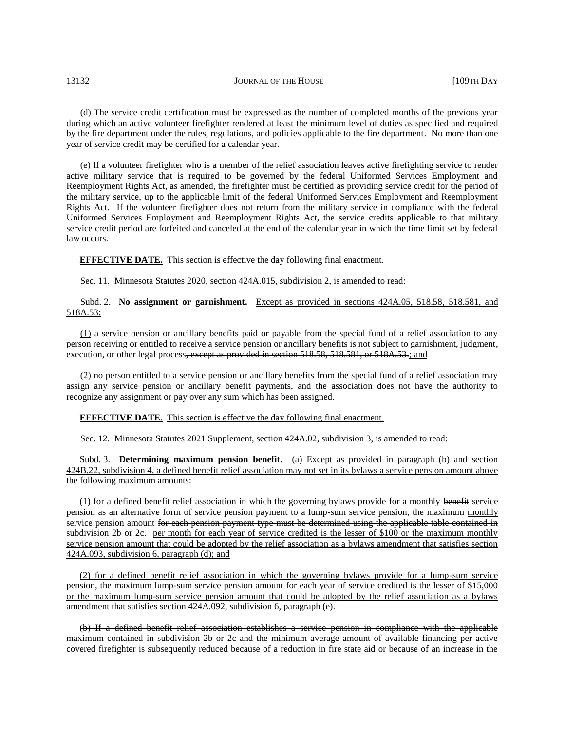(d) The service credit certification must be expressed as the number of completed months of the previous year during which an active volunteer firefighter rendered at least the minimum level of duties as specified and required by the fire department under the rules, regulations, and policies applicable to the fire department. No more than one year of service credit may be certified for a calendar year.

(e) If a volunteer firefighter who is a member of the relief association leaves active firefighting service to render active military service that is required to be governed by the federal Uniformed Services Employment and Reemployment Rights Act, as amended, the firefighter must be certified as providing service credit for the period of the military service, up to the applicable limit of the federal Uniformed Services Employment and Reemployment Rights Act. If the volunteer firefighter does not return from the military service in compliance with the federal Uniformed Services Employment and Reemployment Rights Act, the service credits applicable to that military service credit period are forfeited and canceled at the end of the calendar year in which the time limit set by federal law occurs.

#### **EFFECTIVE DATE.** This section is effective the day following final enactment.

Sec. 11. Minnesota Statutes 2020, section 424A.015, subdivision 2, is amended to read:

# Subd. 2. **No assignment or garnishment.** Except as provided in sections 424A.05, 518.58, 518.581, and 518A.53:

(1) a service pension or ancillary benefits paid or payable from the special fund of a relief association to any person receiving or entitled to receive a service pension or ancillary benefits is not subject to garnishment, judgment, execution, or other legal process<del>, except as provided in section 518.58, 518.581, or 518A.53.</del>; and

 $(2)$  no person entitled to a service pension or ancillary benefits from the special fund of a relief association may assign any service pension or ancillary benefit payments, and the association does not have the authority to recognize any assignment or pay over any sum which has been assigned.

# **EFFECTIVE DATE.** This section is effective the day following final enactment.

Sec. 12. Minnesota Statutes 2021 Supplement, section 424A.02, subdivision 3, is amended to read:

Subd. 3. **Determining maximum pension benefit.** (a) Except as provided in paragraph (b) and section 424B.22, subdivision 4, a defined benefit relief association may not set in its bylaws a service pension amount above the following maximum amounts:

(1) for a defined benefit relief association in which the governing bylaws provide for a monthly benefit service pension as an alternative form of service pension payment to a lump sum service pension, the maximum monthly service pension amount for each pension payment type must be determined using the applicable table contained in subdivision 2b or 2e. per month for each year of service credited is the lesser of \$100 or the maximum monthly service pension amount that could be adopted by the relief association as a bylaws amendment that satisfies section 424A.093, subdivision 6, paragraph (d); and

(2) for a defined benefit relief association in which the governing bylaws provide for a lump-sum service pension, the maximum lump-sum service pension amount for each year of service credited is the lesser of \$15,000 or the maximum lump-sum service pension amount that could be adopted by the relief association as a bylaws amendment that satisfies section 424A.092, subdivision 6, paragraph (e).

(b) If a defined benefit relief association establishes a service pension in compliance with the applicable maximum contained in subdivision 2b or 2c and the minimum average amount of available financing per active covered firefighter is subsequently reduced because of a reduction in fire state aid or because of an increase in the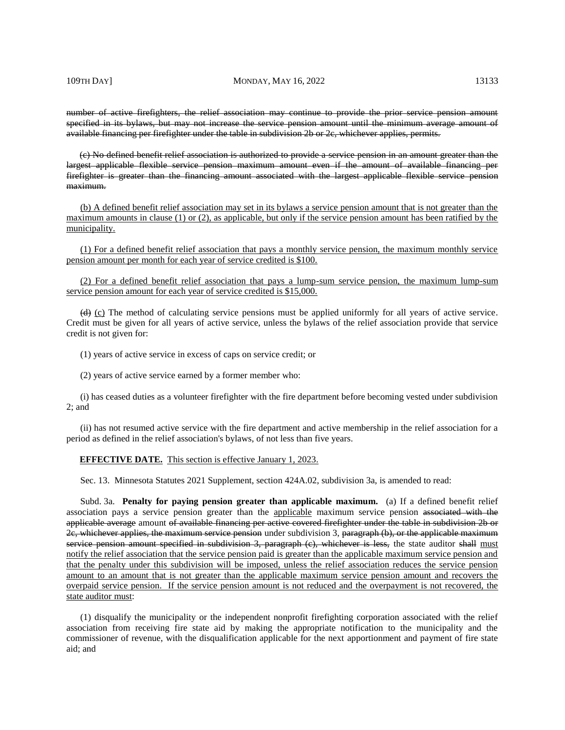#### 109TH DAY] MONDAY, MAY 16, 2022 13133

number of active firefighters, the relief association may continue to provide the prior service pension amount specified in its bylaws, but may not increase the service pension amount until the minimum average amount of available financing per firefighter under the table in subdivision 2b or 2c, whichever applies, permits.

(c) No defined benefit relief association is authorized to provide a service pension in an amount greater than the largest applicable flexible service pension maximum amount even if the amount of available financing per firefighter is greater than the financing amount associated with the largest applicable flexible service pension maximum.

(b) A defined benefit relief association may set in its bylaws a service pension amount that is not greater than the maximum amounts in clause (1) or (2), as applicable, but only if the service pension amount has been ratified by the municipality.

(1) For a defined benefit relief association that pays a monthly service pension, the maximum monthly service pension amount per month for each year of service credited is \$100.

(2) For a defined benefit relief association that pays a lump-sum service pension, the maximum lump-sum service pension amount for each year of service credited is \$15,000.

(d) (c) The method of calculating service pensions must be applied uniformly for all years of active service. Credit must be given for all years of active service, unless the bylaws of the relief association provide that service credit is not given for:

(1) years of active service in excess of caps on service credit; or

(2) years of active service earned by a former member who:

(i) has ceased duties as a volunteer firefighter with the fire department before becoming vested under subdivision 2; and

(ii) has not resumed active service with the fire department and active membership in the relief association for a period as defined in the relief association's bylaws, of not less than five years.

#### **EFFECTIVE DATE.** This section is effective January 1, 2023.

Sec. 13. Minnesota Statutes 2021 Supplement, section 424A.02, subdivision 3a, is amended to read:

Subd. 3a. **Penalty for paying pension greater than applicable maximum.** (a) If a defined benefit relief association pays a service pension greater than the applicable maximum service pension associated with the applicable average amount of available financing per active covered firefighter under the table in subdivision 2b or 2c, whichever applies, the maximum service pension under subdivision 3, paragraph (b), or the applicable maximum service pension amount specified in subdivision 3, paragraph (e), whichever is less, the state auditor shall must notify the relief association that the service pension paid is greater than the applicable maximum service pension and that the penalty under this subdivision will be imposed, unless the relief association reduces the service pension amount to an amount that is not greater than the applicable maximum service pension amount and recovers the overpaid service pension. If the service pension amount is not reduced and the overpayment is not recovered, the state auditor must:

(1) disqualify the municipality or the independent nonprofit firefighting corporation associated with the relief association from receiving fire state aid by making the appropriate notification to the municipality and the commissioner of revenue, with the disqualification applicable for the next apportionment and payment of fire state aid; and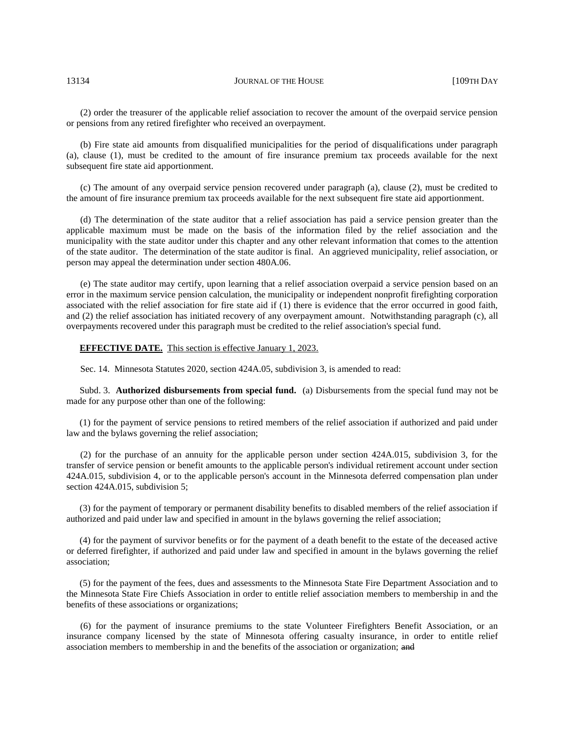(2) order the treasurer of the applicable relief association to recover the amount of the overpaid service pension or pensions from any retired firefighter who received an overpayment.

(b) Fire state aid amounts from disqualified municipalities for the period of disqualifications under paragraph (a), clause (1), must be credited to the amount of fire insurance premium tax proceeds available for the next subsequent fire state aid apportionment.

(c) The amount of any overpaid service pension recovered under paragraph (a), clause (2), must be credited to the amount of fire insurance premium tax proceeds available for the next subsequent fire state aid apportionment.

(d) The determination of the state auditor that a relief association has paid a service pension greater than the applicable maximum must be made on the basis of the information filed by the relief association and the municipality with the state auditor under this chapter and any other relevant information that comes to the attention of the state auditor. The determination of the state auditor is final. An aggrieved municipality, relief association, or person may appeal the determination under section 480A.06.

(e) The state auditor may certify, upon learning that a relief association overpaid a service pension based on an error in the maximum service pension calculation, the municipality or independent nonprofit firefighting corporation associated with the relief association for fire state aid if (1) there is evidence that the error occurred in good faith, and (2) the relief association has initiated recovery of any overpayment amount. Notwithstanding paragraph (c), all overpayments recovered under this paragraph must be credited to the relief association's special fund.

#### **EFFECTIVE DATE.** This section is effective January 1, 2023.

Sec. 14. Minnesota Statutes 2020, section 424A.05, subdivision 3, is amended to read:

Subd. 3. **Authorized disbursements from special fund.** (a) Disbursements from the special fund may not be made for any purpose other than one of the following:

(1) for the payment of service pensions to retired members of the relief association if authorized and paid under law and the bylaws governing the relief association;

(2) for the purchase of an annuity for the applicable person under section 424A.015, subdivision 3, for the transfer of service pension or benefit amounts to the applicable person's individual retirement account under section 424A.015, subdivision 4, or to the applicable person's account in the Minnesota deferred compensation plan under section 424A.015, subdivision 5;

(3) for the payment of temporary or permanent disability benefits to disabled members of the relief association if authorized and paid under law and specified in amount in the bylaws governing the relief association;

(4) for the payment of survivor benefits or for the payment of a death benefit to the estate of the deceased active or deferred firefighter, if authorized and paid under law and specified in amount in the bylaws governing the relief association;

(5) for the payment of the fees, dues and assessments to the Minnesota State Fire Department Association and to the Minnesota State Fire Chiefs Association in order to entitle relief association members to membership in and the benefits of these associations or organizations;

(6) for the payment of insurance premiums to the state Volunteer Firefighters Benefit Association, or an insurance company licensed by the state of Minnesota offering casualty insurance, in order to entitle relief association members to membership in and the benefits of the association or organization; and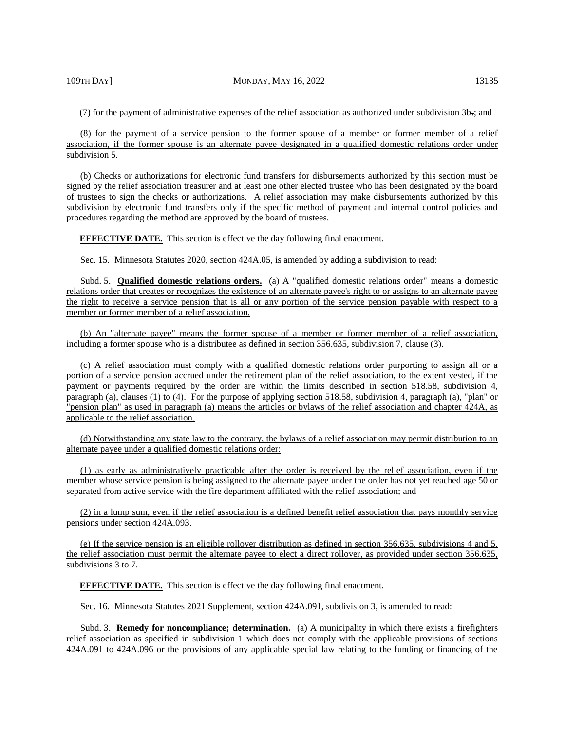#### 109TH DAY] MONDAY, MAY 16, 2022 13135

(7) for the payment of administrative expenses of the relief association as authorized under subdivision 3b.; and

(8) for the payment of a service pension to the former spouse of a member or former member of a relief association, if the former spouse is an alternate payee designated in a qualified domestic relations order under subdivision 5.

(b) Checks or authorizations for electronic fund transfers for disbursements authorized by this section must be signed by the relief association treasurer and at least one other elected trustee who has been designated by the board of trustees to sign the checks or authorizations. A relief association may make disbursements authorized by this subdivision by electronic fund transfers only if the specific method of payment and internal control policies and procedures regarding the method are approved by the board of trustees.

#### **EFFECTIVE DATE.** This section is effective the day following final enactment.

Sec. 15. Minnesota Statutes 2020, section 424A.05, is amended by adding a subdivision to read:

Subd. 5. **Qualified domestic relations orders.** (a) A "qualified domestic relations order" means a domestic relations order that creates or recognizes the existence of an alternate payee's right to or assigns to an alternate payee the right to receive a service pension that is all or any portion of the service pension payable with respect to a member or former member of a relief association.

(b) An "alternate payee" means the former spouse of a member or former member of a relief association, including a former spouse who is a distributee as defined in section 356.635, subdivision 7, clause (3).

(c) A relief association must comply with a qualified domestic relations order purporting to assign all or a portion of a service pension accrued under the retirement plan of the relief association, to the extent vested, if the payment or payments required by the order are within the limits described in section 518.58, subdivision 4, paragraph (a), clauses (1) to (4). For the purpose of applying section 518.58, subdivision 4, paragraph (a), "plan" or "pension plan" as used in paragraph (a) means the articles or bylaws of the relief association and chapter 424A, as applicable to the relief association.

(d) Notwithstanding any state law to the contrary, the bylaws of a relief association may permit distribution to an alternate payee under a qualified domestic relations order:

(1) as early as administratively practicable after the order is received by the relief association, even if the member whose service pension is being assigned to the alternate payee under the order has not yet reached age 50 or separated from active service with the fire department affiliated with the relief association; and

(2) in a lump sum, even if the relief association is a defined benefit relief association that pays monthly service pensions under section 424A.093.

(e) If the service pension is an eligible rollover distribution as defined in section 356.635, subdivisions 4 and 5, the relief association must permit the alternate payee to elect a direct rollover, as provided under section 356.635, subdivisions 3 to 7.

#### **EFFECTIVE DATE.** This section is effective the day following final enactment.

Sec. 16. Minnesota Statutes 2021 Supplement, section 424A.091, subdivision 3, is amended to read:

Subd. 3. **Remedy for noncompliance; determination.** (a) A municipality in which there exists a firefighters relief association as specified in subdivision 1 which does not comply with the applicable provisions of sections 424A.091 to 424A.096 or the provisions of any applicable special law relating to the funding or financing of the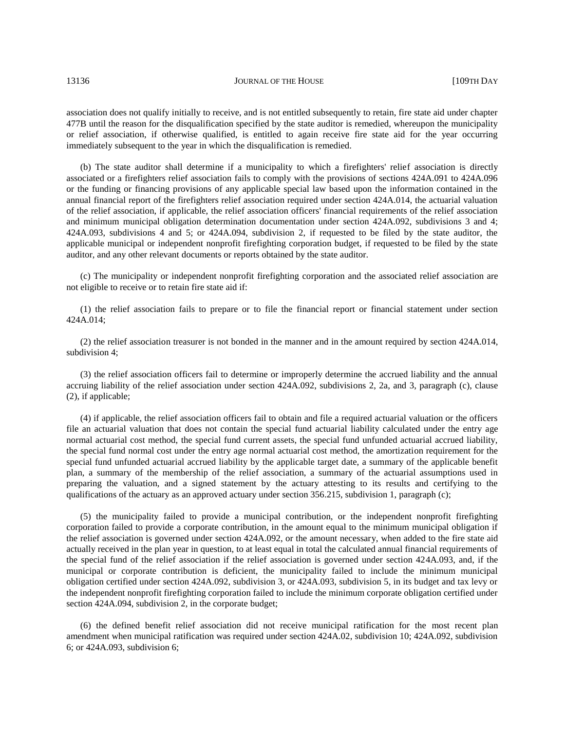association does not qualify initially to receive, and is not entitled subsequently to retain, fire state aid under chapter 477B until the reason for the disqualification specified by the state auditor is remedied, whereupon the municipality or relief association, if otherwise qualified, is entitled to again receive fire state aid for the year occurring immediately subsequent to the year in which the disqualification is remedied.

(b) The state auditor shall determine if a municipality to which a firefighters' relief association is directly associated or a firefighters relief association fails to comply with the provisions of sections 424A.091 to 424A.096 or the funding or financing provisions of any applicable special law based upon the information contained in the annual financial report of the firefighters relief association required under section 424A.014, the actuarial valuation of the relief association, if applicable, the relief association officers' financial requirements of the relief association and minimum municipal obligation determination documentation under section 424A.092, subdivisions 3 and 4; 424A.093, subdivisions 4 and 5; or 424A.094, subdivision 2, if requested to be filed by the state auditor, the applicable municipal or independent nonprofit firefighting corporation budget, if requested to be filed by the state auditor, and any other relevant documents or reports obtained by the state auditor.

(c) The municipality or independent nonprofit firefighting corporation and the associated relief association are not eligible to receive or to retain fire state aid if:

(1) the relief association fails to prepare or to file the financial report or financial statement under section 424A.014;

(2) the relief association treasurer is not bonded in the manner and in the amount required by section 424A.014, subdivision 4;

(3) the relief association officers fail to determine or improperly determine the accrued liability and the annual accruing liability of the relief association under section 424A.092, subdivisions 2, 2a, and 3, paragraph (c), clause (2), if applicable;

(4) if applicable, the relief association officers fail to obtain and file a required actuarial valuation or the officers file an actuarial valuation that does not contain the special fund actuarial liability calculated under the entry age normal actuarial cost method, the special fund current assets, the special fund unfunded actuarial accrued liability, the special fund normal cost under the entry age normal actuarial cost method, the amortization requirement for the special fund unfunded actuarial accrued liability by the applicable target date, a summary of the applicable benefit plan, a summary of the membership of the relief association, a summary of the actuarial assumptions used in preparing the valuation, and a signed statement by the actuary attesting to its results and certifying to the qualifications of the actuary as an approved actuary under section 356.215, subdivision 1, paragraph (c);

(5) the municipality failed to provide a municipal contribution, or the independent nonprofit firefighting corporation failed to provide a corporate contribution, in the amount equal to the minimum municipal obligation if the relief association is governed under section 424A.092, or the amount necessary, when added to the fire state aid actually received in the plan year in question, to at least equal in total the calculated annual financial requirements of the special fund of the relief association if the relief association is governed under section 424A.093, and, if the municipal or corporate contribution is deficient, the municipality failed to include the minimum municipal obligation certified under section 424A.092, subdivision 3, or 424A.093, subdivision 5, in its budget and tax levy or the independent nonprofit firefighting corporation failed to include the minimum corporate obligation certified under section 424A.094, subdivision 2, in the corporate budget;

(6) the defined benefit relief association did not receive municipal ratification for the most recent plan amendment when municipal ratification was required under section 424A.02, subdivision 10; 424A.092, subdivision 6; or 424A.093, subdivision 6;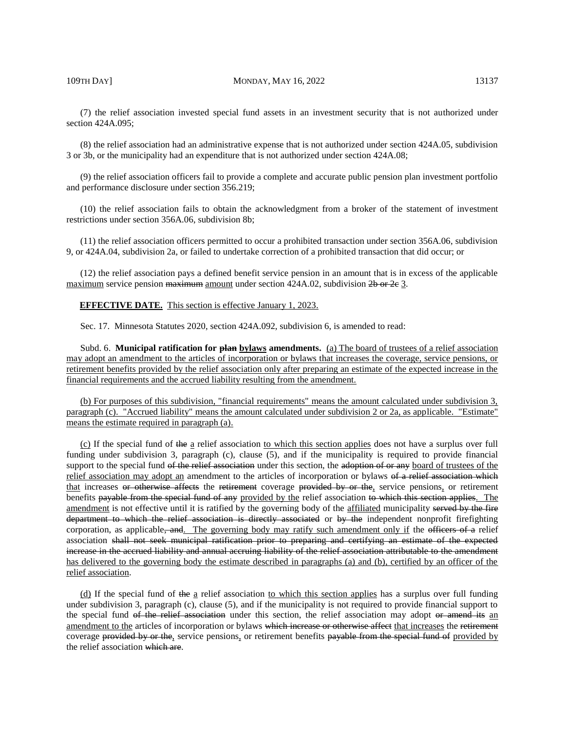(7) the relief association invested special fund assets in an investment security that is not authorized under section 424A.095;

(8) the relief association had an administrative expense that is not authorized under section 424A.05, subdivision 3 or 3b, or the municipality had an expenditure that is not authorized under section 424A.08;

(9) the relief association officers fail to provide a complete and accurate public pension plan investment portfolio and performance disclosure under section 356.219;

(10) the relief association fails to obtain the acknowledgment from a broker of the statement of investment restrictions under section 356A.06, subdivision 8b;

(11) the relief association officers permitted to occur a prohibited transaction under section 356A.06, subdivision 9, or 424A.04, subdivision 2a, or failed to undertake correction of a prohibited transaction that did occur; or

(12) the relief association pays a defined benefit service pension in an amount that is in excess of the applicable maximum service pension maximum amount under section 424A.02, subdivision 2b or 2e 3.

**EFFECTIVE DATE.** This section is effective January 1, 2023.

Sec. 17. Minnesota Statutes 2020, section 424A.092, subdivision 6, is amended to read:

Subd. 6. **Municipal ratification for plan bylaws amendments.** (a) The board of trustees of a relief association may adopt an amendment to the articles of incorporation or bylaws that increases the coverage, service pensions, or retirement benefits provided by the relief association only after preparing an estimate of the expected increase in the financial requirements and the accrued liability resulting from the amendment.

(b) For purposes of this subdivision, "financial requirements" means the amount calculated under subdivision 3, paragraph (c). "Accrued liability" means the amount calculated under subdivision 2 or 2a, as applicable. "Estimate" means the estimate required in paragraph (a).

(c) If the special fund of the a relief association to which this section applies does not have a surplus over full funding under subdivision 3, paragraph (c), clause (5), and if the municipality is required to provide financial support to the special fund of the relief association under this section, the adoption of or any board of trustees of the relief association may adopt an amendment to the articles of incorporation or bylaws of a relief association which that increases or otherwise affects the retirement coverage provided by or the, service pensions, or retirement benefits payable from the special fund of any provided by the relief association to which this section applies. The amendment is not effective until it is ratified by the governing body of the affiliated municipality served by the fire department to which the relief association is directly associated or by the independent nonprofit firefighting corporation, as applicable, and. The governing body may ratify such amendment only if the officers of a relief association shall not seek municipal ratification prior to preparing and certifying an estimate of the expected increase in the accrued liability and annual accruing liability of the relief association attributable to the amendment has delivered to the governing body the estimate described in paragraphs (a) and (b), certified by an officer of the relief association.

(d) If the special fund of the a relief association to which this section applies has a surplus over full funding under subdivision 3, paragraph (c), clause (5), and if the municipality is not required to provide financial support to the special fund of the relief association under this section, the relief association may adopt or amend its an amendment to the articles of incorporation or bylaws which increase or otherwise affect that increases the retirement coverage provided by or the, service pensions, or retirement benefits payable from the special fund of provided by the relief association which are.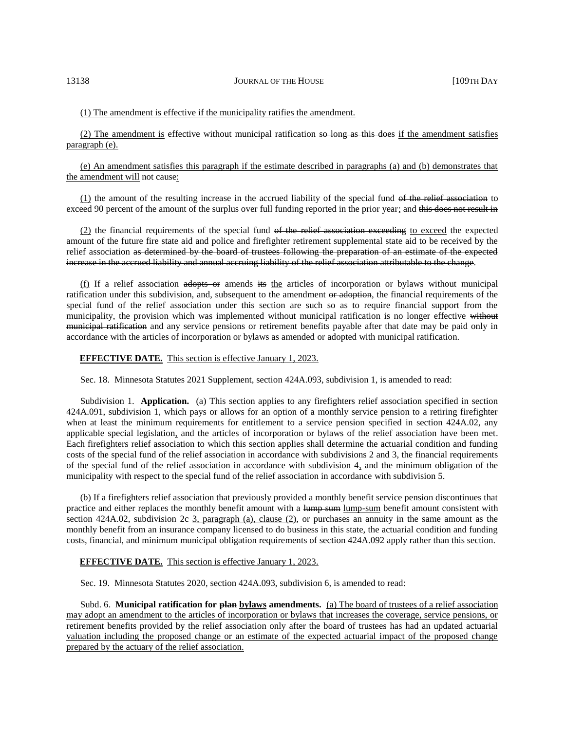# (1) The amendment is effective if the municipality ratifies the amendment.

(2) The amendment is effective without municipal ratification so long as this does if the amendment satisfies paragraph (e).

(e) An amendment satisfies this paragraph if the estimate described in paragraphs (a) and (b) demonstrates that the amendment will not cause:

(1) the amount of the resulting increase in the accrued liability of the special fund of the relief association to exceed 90 percent of the amount of the surplus over full funding reported in the prior year; and this does not result in

(2) the financial requirements of the special fund of the relief association exceeding to exceed the expected amount of the future fire state aid and police and firefighter retirement supplemental state aid to be received by the relief association as determined by the board of trustees following the preparation of an estimate of the expected increase in the accrued liability and annual accruing liability of the relief association attributable to the change.

(f) If a relief association adopts or amends its the articles of incorporation or bylaws without municipal ratification under this subdivision, and, subsequent to the amendment or adoption, the financial requirements of the special fund of the relief association under this section are such so as to require financial support from the municipality, the provision which was implemented without municipal ratification is no longer effective without municipal ratification and any service pensions or retirement benefits payable after that date may be paid only in accordance with the articles of incorporation or bylaws as amended or adopted with municipal ratification.

#### **EFFECTIVE DATE.** This section is effective January 1, 2023.

Sec. 18. Minnesota Statutes 2021 Supplement, section 424A.093, subdivision 1, is amended to read:

Subdivision 1. **Application.** (a) This section applies to any firefighters relief association specified in section 424A.091, subdivision 1, which pays or allows for an option of a monthly service pension to a retiring firefighter when at least the minimum requirements for entitlement to a service pension specified in section 424A.02, any applicable special legislation, and the articles of incorporation or bylaws of the relief association have been met. Each firefighters relief association to which this section applies shall determine the actuarial condition and funding costs of the special fund of the relief association in accordance with subdivisions 2 and 3, the financial requirements of the special fund of the relief association in accordance with subdivision  $4<sub>1</sub>$  and the minimum obligation of the municipality with respect to the special fund of the relief association in accordance with subdivision 5.

(b) If a firefighters relief association that previously provided a monthly benefit service pension discontinues that practice and either replaces the monthly benefit amount with a lump-sum lump-sum benefit amount consistent with section 424A.02, subdivision  $2e$  3, paragraph (a), clause (2), or purchases an annuity in the same amount as the monthly benefit from an insurance company licensed to do business in this state, the actuarial condition and funding costs, financial, and minimum municipal obligation requirements of section 424A.092 apply rather than this section.

#### **EFFECTIVE DATE.** This section is effective January 1, 2023.

Sec. 19. Minnesota Statutes 2020, section 424A.093, subdivision 6, is amended to read:

Subd. 6. **Municipal ratification for plan bylaws amendments.** (a) The board of trustees of a relief association may adopt an amendment to the articles of incorporation or bylaws that increases the coverage, service pensions, or retirement benefits provided by the relief association only after the board of trustees has had an updated actuarial valuation including the proposed change or an estimate of the expected actuarial impact of the proposed change prepared by the actuary of the relief association.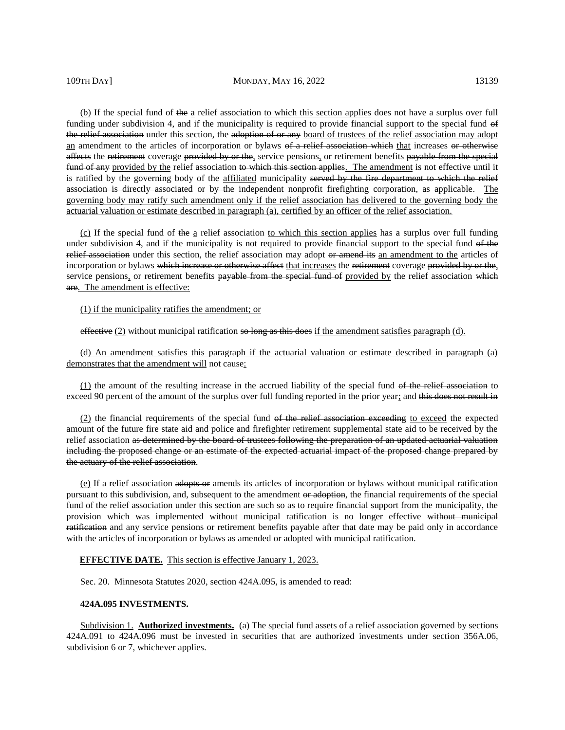(b) If the special fund of the a relief association to which this section applies does not have a surplus over full funding under subdivision 4, and if the municipality is required to provide financial support to the special fund of the relief association under this section, the adoption of or any board of trustees of the relief association may adopt an amendment to the articles of incorporation or bylaws of a relief association which that increases or otherwise affects the retirement coverage provided by or the, service pensions, or retirement benefits payable from the special fund of any provided by the relief association to which this section applies. The amendment is not effective until it is ratified by the governing body of the affiliated municipality served by the fire department to which the relief association is directly associated or by the independent nonprofit firefighting corporation, as applicable. The governing body may ratify such amendment only if the relief association has delivered to the governing body the actuarial valuation or estimate described in paragraph (a), certified by an officer of the relief association.

 $(c)$  If the special fund of the a relief association to which this section applies has a surplus over full funding under subdivision 4, and if the municipality is not required to provide financial support to the special fund of the relief association under this section, the relief association may adopt or amend its an amendment to the articles of incorporation or bylaws which increase or otherwise affect that increases the retirement coverage provided by or the, service pensions, or retirement benefits payable from the special fund of provided by the relief association which are. The amendment is effective:

# (1) if the municipality ratifies the amendment; or

effective (2) without municipal ratification so long as this does if the amendment satisfies paragraph (d).

(d) An amendment satisfies this paragraph if the actuarial valuation or estimate described in paragraph (a) demonstrates that the amendment will not cause:

 $(1)$  the amount of the resulting increase in the accrued liability of the special fund of the relief association to exceed 90 percent of the amount of the surplus over full funding reported in the prior year; and this does not result in

(2) the financial requirements of the special fund of the relief association exceeding to exceed the expected amount of the future fire state aid and police and firefighter retirement supplemental state aid to be received by the relief association as determined by the board of trustees following the preparation of an updated actuarial valuation including the proposed change or an estimate of the expected actuarial impact of the proposed change prepared by the actuary of the relief association.

(e) If a relief association adopts or amends its articles of incorporation or bylaws without municipal ratification pursuant to this subdivision, and, subsequent to the amendment or adoption, the financial requirements of the special fund of the relief association under this section are such so as to require financial support from the municipality, the provision which was implemented without municipal ratification is no longer effective without municipal ratification and any service pensions or retirement benefits payable after that date may be paid only in accordance with the articles of incorporation or bylaws as amended or adopted with municipal ratification.

#### **EFFECTIVE DATE.** This section is effective January 1, 2023.

Sec. 20. Minnesota Statutes 2020, section 424A.095, is amended to read:

#### **424A.095 INVESTMENTS.**

Subdivision 1. **Authorized investments.** (a) The special fund assets of a relief association governed by sections 424A.091 to 424A.096 must be invested in securities that are authorized investments under section 356A.06, subdivision 6 or 7, whichever applies.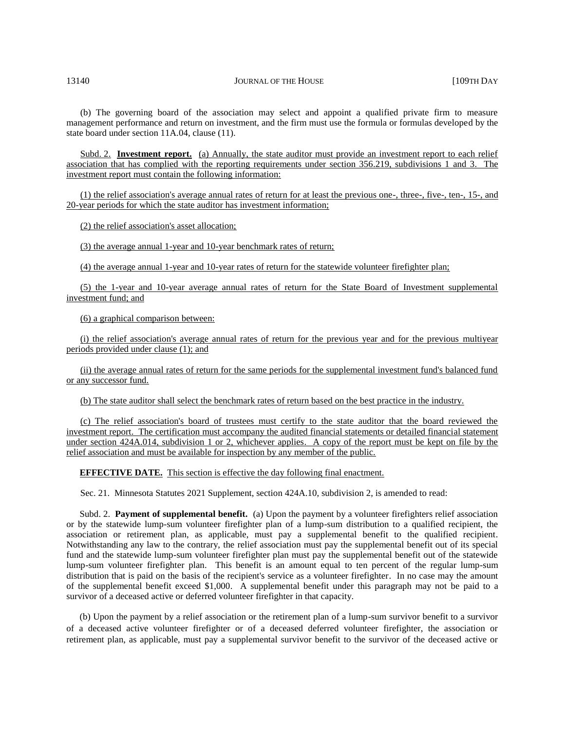(b) The governing board of the association may select and appoint a qualified private firm to measure management performance and return on investment, and the firm must use the formula or formulas developed by the state board under section 11A.04, clause (11).

Subd. 2. **Investment report.** (a) Annually, the state auditor must provide an investment report to each relief association that has complied with the reporting requirements under section 356.219, subdivisions 1 and 3. The investment report must contain the following information:

(1) the relief association's average annual rates of return for at least the previous one-, three-, five-, ten-, 15-, and 20-year periods for which the state auditor has investment information;

(2) the relief association's asset allocation;

(3) the average annual 1-year and 10-year benchmark rates of return;

(4) the average annual 1-year and 10-year rates of return for the statewide volunteer firefighter plan;

(5) the 1-year and 10-year average annual rates of return for the State Board of Investment supplemental investment fund; and

(6) a graphical comparison between:

(i) the relief association's average annual rates of return for the previous year and for the previous multiyear periods provided under clause (1); and

(ii) the average annual rates of return for the same periods for the supplemental investment fund's balanced fund or any successor fund.

(b) The state auditor shall select the benchmark rates of return based on the best practice in the industry.

(c) The relief association's board of trustees must certify to the state auditor that the board reviewed the investment report. The certification must accompany the audited financial statements or detailed financial statement under section 424A.014, subdivision 1 or 2, whichever applies. A copy of the report must be kept on file by the relief association and must be available for inspection by any member of the public.

**EFFECTIVE DATE.** This section is effective the day following final enactment.

Sec. 21. Minnesota Statutes 2021 Supplement, section 424A.10, subdivision 2, is amended to read:

Subd. 2. **Payment of supplemental benefit.** (a) Upon the payment by a volunteer firefighters relief association or by the statewide lump-sum volunteer firefighter plan of a lump-sum distribution to a qualified recipient, the association or retirement plan, as applicable, must pay a supplemental benefit to the qualified recipient. Notwithstanding any law to the contrary, the relief association must pay the supplemental benefit out of its special fund and the statewide lump-sum volunteer firefighter plan must pay the supplemental benefit out of the statewide lump-sum volunteer firefighter plan. This benefit is an amount equal to ten percent of the regular lump-sum distribution that is paid on the basis of the recipient's service as a volunteer firefighter. In no case may the amount of the supplemental benefit exceed \$1,000. A supplemental benefit under this paragraph may not be paid to a survivor of a deceased active or deferred volunteer firefighter in that capacity.

(b) Upon the payment by a relief association or the retirement plan of a lump-sum survivor benefit to a survivor of a deceased active volunteer firefighter or of a deceased deferred volunteer firefighter, the association or retirement plan, as applicable, must pay a supplemental survivor benefit to the survivor of the deceased active or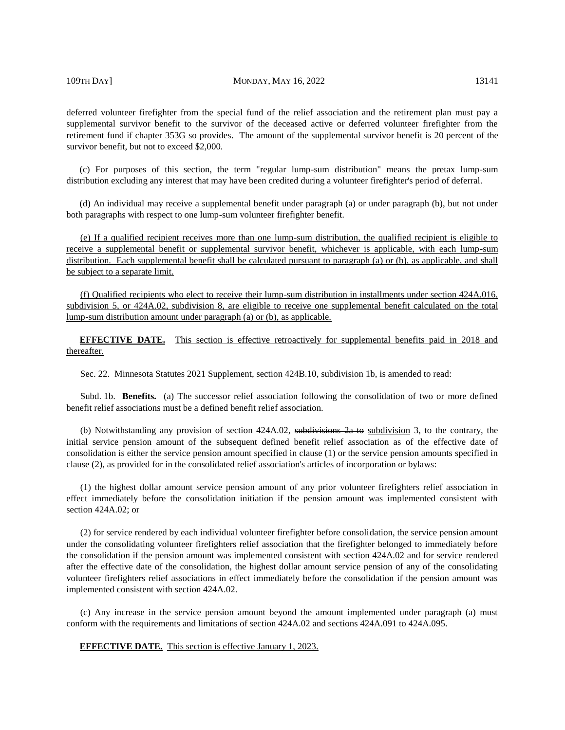#### 109TH DAY] MONDAY, MAY 16, 2022 13141

deferred volunteer firefighter from the special fund of the relief association and the retirement plan must pay a supplemental survivor benefit to the survivor of the deceased active or deferred volunteer firefighter from the retirement fund if chapter 353G so provides. The amount of the supplemental survivor benefit is 20 percent of the survivor benefit, but not to exceed \$2,000.

(c) For purposes of this section, the term "regular lump-sum distribution" means the pretax lump-sum distribution excluding any interest that may have been credited during a volunteer firefighter's period of deferral.

(d) An individual may receive a supplemental benefit under paragraph (a) or under paragraph (b), but not under both paragraphs with respect to one lump-sum volunteer firefighter benefit.

(e) If a qualified recipient receives more than one lump-sum distribution, the qualified recipient is eligible to receive a supplemental benefit or supplemental survivor benefit, whichever is applicable, with each lump-sum distribution. Each supplemental benefit shall be calculated pursuant to paragraph (a) or (b), as applicable, and shall be subject to a separate limit.

(f) Qualified recipients who elect to receive their lump-sum distribution in installments under section 424A.016, subdivision 5, or 424A.02, subdivision 8, are eligible to receive one supplemental benefit calculated on the total lump-sum distribution amount under paragraph (a) or (b), as applicable.

**EFFECTIVE DATE.** This section is effective retroactively for supplemental benefits paid in 2018 and thereafter.

Sec. 22. Minnesota Statutes 2021 Supplement, section 424B.10, subdivision 1b, is amended to read:

Subd. 1b. **Benefits.** (a) The successor relief association following the consolidation of two or more defined benefit relief associations must be a defined benefit relief association.

(b) Notwithstanding any provision of section 424A.02, subdivisions 2a to subdivision 3, to the contrary, the initial service pension amount of the subsequent defined benefit relief association as of the effective date of consolidation is either the service pension amount specified in clause (1) or the service pension amounts specified in clause (2), as provided for in the consolidated relief association's articles of incorporation or bylaws:

(1) the highest dollar amount service pension amount of any prior volunteer firefighters relief association in effect immediately before the consolidation initiation if the pension amount was implemented consistent with section 424A.02; or

(2) for service rendered by each individual volunteer firefighter before consolidation, the service pension amount under the consolidating volunteer firefighters relief association that the firefighter belonged to immediately before the consolidation if the pension amount was implemented consistent with section 424A.02 and for service rendered after the effective date of the consolidation, the highest dollar amount service pension of any of the consolidating volunteer firefighters relief associations in effect immediately before the consolidation if the pension amount was implemented consistent with section 424A.02.

(c) Any increase in the service pension amount beyond the amount implemented under paragraph (a) must conform with the requirements and limitations of section 424A.02 and sections 424A.091 to 424A.095.

**EFFECTIVE DATE.** This section is effective January 1, 2023.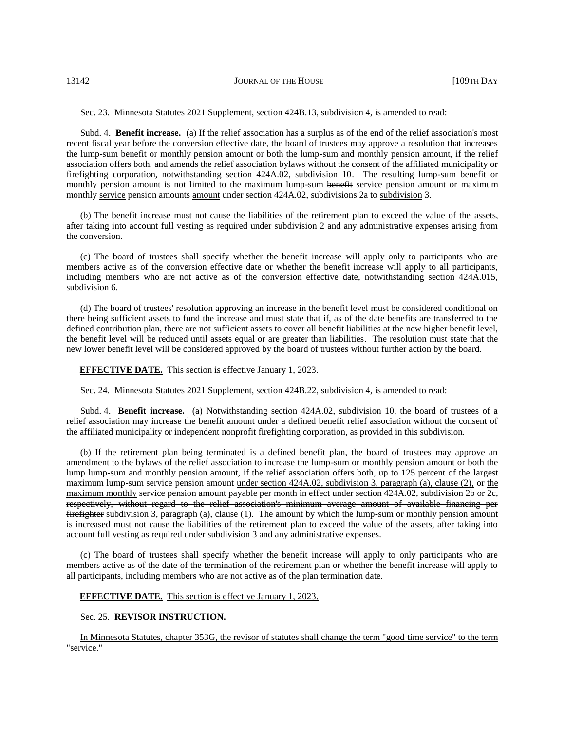Sec. 23. Minnesota Statutes 2021 Supplement, section 424B.13, subdivision 4, is amended to read:

Subd. 4. **Benefit increase.** (a) If the relief association has a surplus as of the end of the relief association's most recent fiscal year before the conversion effective date, the board of trustees may approve a resolution that increases the lump-sum benefit or monthly pension amount or both the lump-sum and monthly pension amount, if the relief association offers both, and amends the relief association bylaws without the consent of the affiliated municipality or firefighting corporation, notwithstanding section 424A.02, subdivision 10. The resulting lump-sum benefit or monthly pension amount is not limited to the maximum lump-sum benefit service pension amount or maximum monthly service pension amounts amount under section 424A.02, subdivisions 2a to subdivision 3.

(b) The benefit increase must not cause the liabilities of the retirement plan to exceed the value of the assets, after taking into account full vesting as required under subdivision 2 and any administrative expenses arising from the conversion.

(c) The board of trustees shall specify whether the benefit increase will apply only to participants who are members active as of the conversion effective date or whether the benefit increase will apply to all participants, including members who are not active as of the conversion effective date, notwithstanding section 424A.015, subdivision 6.

(d) The board of trustees' resolution approving an increase in the benefit level must be considered conditional on there being sufficient assets to fund the increase and must state that if, as of the date benefits are transferred to the defined contribution plan, there are not sufficient assets to cover all benefit liabilities at the new higher benefit level, the benefit level will be reduced until assets equal or are greater than liabilities. The resolution must state that the new lower benefit level will be considered approved by the board of trustees without further action by the board.

#### **EFFECTIVE DATE.** This section is effective January 1, 2023.

Sec. 24. Minnesota Statutes 2021 Supplement, section 424B.22, subdivision 4, is amended to read:

Subd. 4. **Benefit increase.** (a) Notwithstanding section 424A.02, subdivision 10, the board of trustees of a relief association may increase the benefit amount under a defined benefit relief association without the consent of the affiliated municipality or independent nonprofit firefighting corporation, as provided in this subdivision.

(b) If the retirement plan being terminated is a defined benefit plan, the board of trustees may approve an amendment to the bylaws of the relief association to increase the lump-sum or monthly pension amount or both the lump lump-sum and monthly pension amount, if the relief association offers both, up to 125 percent of the largest maximum lump-sum service pension amount under section 424A.02, subdivision 3, paragraph (a), clause (2), or the maximum monthly service pension amount payable per month in effect under section 424A.02, subdivision 2b or 2e, respectively, without regard to the relief association's minimum average amount of available financing per  $f$ irefighter subdivision 3, paragraph (a), clause (1). The amount by which the lump-sum or monthly pension amount is increased must not cause the liabilities of the retirement plan to exceed the value of the assets, after taking into account full vesting as required under subdivision 3 and any administrative expenses.

(c) The board of trustees shall specify whether the benefit increase will apply to only participants who are members active as of the date of the termination of the retirement plan or whether the benefit increase will apply to all participants, including members who are not active as of the plan termination date.

# **EFFECTIVE DATE.** This section is effective January 1, 2023.

#### Sec. 25. **REVISOR INSTRUCTION.**

In Minnesota Statutes, chapter 353G, the revisor of statutes shall change the term "good time service" to the term "service."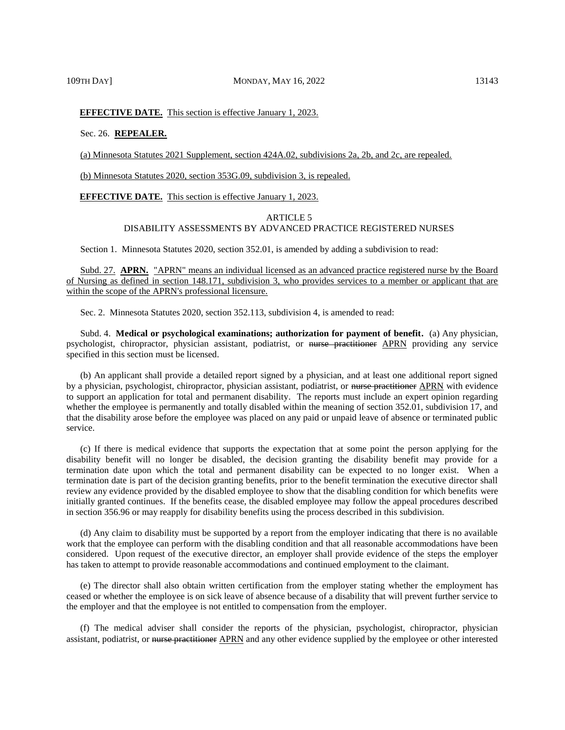# 109TH DAY] MONDAY, MAY 16, 2022 13143

# **EFFECTIVE DATE.** This section is effective January 1, 2023.

#### Sec. 26. **REPEALER.**

(a) Minnesota Statutes 2021 Supplement, section 424A.02, subdivisions 2a, 2b, and 2c, are repealed.

(b) Minnesota Statutes 2020, section 353G.09, subdivision 3, is repealed.

**EFFECTIVE DATE.** This section is effective January 1, 2023.

# ARTICLE 5 DISABILITY ASSESSMENTS BY ADVANCED PRACTICE REGISTERED NURSES

Section 1. Minnesota Statutes 2020, section 352.01, is amended by adding a subdivision to read:

Subd. 27. **APRN.** "APRN" means an individual licensed as an advanced practice registered nurse by the Board of Nursing as defined in section 148.171, subdivision 3, who provides services to a member or applicant that are within the scope of the APRN's professional licensure.

Sec. 2. Minnesota Statutes 2020, section 352.113, subdivision 4, is amended to read:

Subd. 4. **Medical or psychological examinations; authorization for payment of benefit.** (a) Any physician, psychologist, chiropractor, physician assistant, podiatrist, or nurse practitioner APRN providing any service specified in this section must be licensed.

(b) An applicant shall provide a detailed report signed by a physician, and at least one additional report signed by a physician, psychologist, chiropractor, physician assistant, podiatrist, or nurse practitioner APRN with evidence to support an application for total and permanent disability. The reports must include an expert opinion regarding whether the employee is permanently and totally disabled within the meaning of section 352.01, subdivision 17, and that the disability arose before the employee was placed on any paid or unpaid leave of absence or terminated public service.

(c) If there is medical evidence that supports the expectation that at some point the person applying for the disability benefit will no longer be disabled, the decision granting the disability benefit may provide for a termination date upon which the total and permanent disability can be expected to no longer exist. When a termination date is part of the decision granting benefits, prior to the benefit termination the executive director shall review any evidence provided by the disabled employee to show that the disabling condition for which benefits were initially granted continues. If the benefits cease, the disabled employee may follow the appeal procedures described in section 356.96 or may reapply for disability benefits using the process described in this subdivision.

(d) Any claim to disability must be supported by a report from the employer indicating that there is no available work that the employee can perform with the disabling condition and that all reasonable accommodations have been considered. Upon request of the executive director, an employer shall provide evidence of the steps the employer has taken to attempt to provide reasonable accommodations and continued employment to the claimant.

(e) The director shall also obtain written certification from the employer stating whether the employment has ceased or whether the employee is on sick leave of absence because of a disability that will prevent further service to the employer and that the employee is not entitled to compensation from the employer.

(f) The medical adviser shall consider the reports of the physician, psychologist, chiropractor, physician assistant, podiatrist, or nurse practitioner APRN and any other evidence supplied by the employee or other interested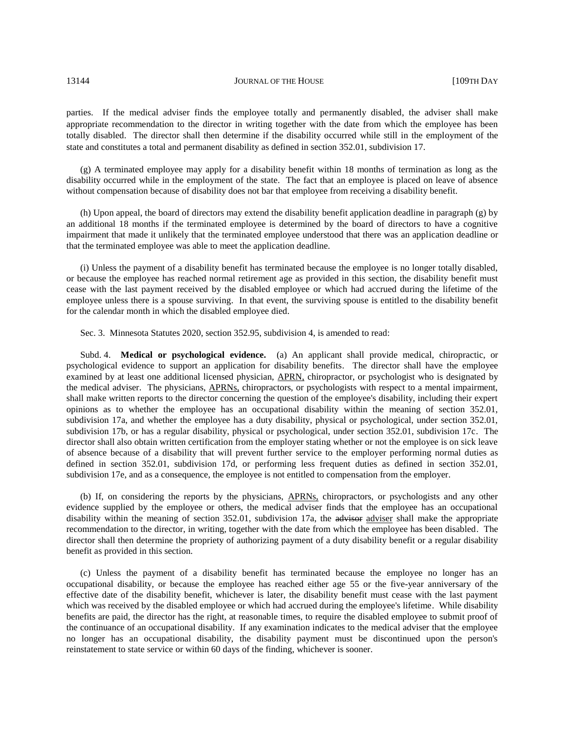parties. If the medical adviser finds the employee totally and permanently disabled, the adviser shall make appropriate recommendation to the director in writing together with the date from which the employee has been totally disabled. The director shall then determine if the disability occurred while still in the employment of the state and constitutes a total and permanent disability as defined in section 352.01, subdivision 17.

(g) A terminated employee may apply for a disability benefit within 18 months of termination as long as the disability occurred while in the employment of the state. The fact that an employee is placed on leave of absence without compensation because of disability does not bar that employee from receiving a disability benefit.

(h) Upon appeal, the board of directors may extend the disability benefit application deadline in paragraph (g) by an additional 18 months if the terminated employee is determined by the board of directors to have a cognitive impairment that made it unlikely that the terminated employee understood that there was an application deadline or that the terminated employee was able to meet the application deadline.

(i) Unless the payment of a disability benefit has terminated because the employee is no longer totally disabled, or because the employee has reached normal retirement age as provided in this section, the disability benefit must cease with the last payment received by the disabled employee or which had accrued during the lifetime of the employee unless there is a spouse surviving. In that event, the surviving spouse is entitled to the disability benefit for the calendar month in which the disabled employee died.

Sec. 3. Minnesota Statutes 2020, section 352.95, subdivision 4, is amended to read:

Subd. 4. **Medical or psychological evidence.** (a) An applicant shall provide medical, chiropractic, or psychological evidence to support an application for disability benefits. The director shall have the employee examined by at least one additional licensed physician, APRN, chiropractor, or psychologist who is designated by the medical adviser. The physicians, APRNs, chiropractors, or psychologists with respect to a mental impairment, shall make written reports to the director concerning the question of the employee's disability, including their expert opinions as to whether the employee has an occupational disability within the meaning of section 352.01, subdivision 17a, and whether the employee has a duty disability, physical or psychological, under section 352.01, subdivision 17b, or has a regular disability, physical or psychological, under section 352.01, subdivision 17c. The director shall also obtain written certification from the employer stating whether or not the employee is on sick leave of absence because of a disability that will prevent further service to the employer performing normal duties as defined in section 352.01, subdivision 17d, or performing less frequent duties as defined in section 352.01, subdivision 17e, and as a consequence, the employee is not entitled to compensation from the employer.

(b) If, on considering the reports by the physicians, APRNs, chiropractors, or psychologists and any other evidence supplied by the employee or others, the medical adviser finds that the employee has an occupational disability within the meaning of section 352.01, subdivision 17a, the adviser adviser shall make the appropriate recommendation to the director, in writing, together with the date from which the employee has been disabled. The director shall then determine the propriety of authorizing payment of a duty disability benefit or a regular disability benefit as provided in this section.

(c) Unless the payment of a disability benefit has terminated because the employee no longer has an occupational disability, or because the employee has reached either age 55 or the five-year anniversary of the effective date of the disability benefit, whichever is later, the disability benefit must cease with the last payment which was received by the disabled employee or which had accrued during the employee's lifetime. While disability benefits are paid, the director has the right, at reasonable times, to require the disabled employee to submit proof of the continuance of an occupational disability. If any examination indicates to the medical adviser that the employee no longer has an occupational disability, the disability payment must be discontinued upon the person's reinstatement to state service or within 60 days of the finding, whichever is sooner.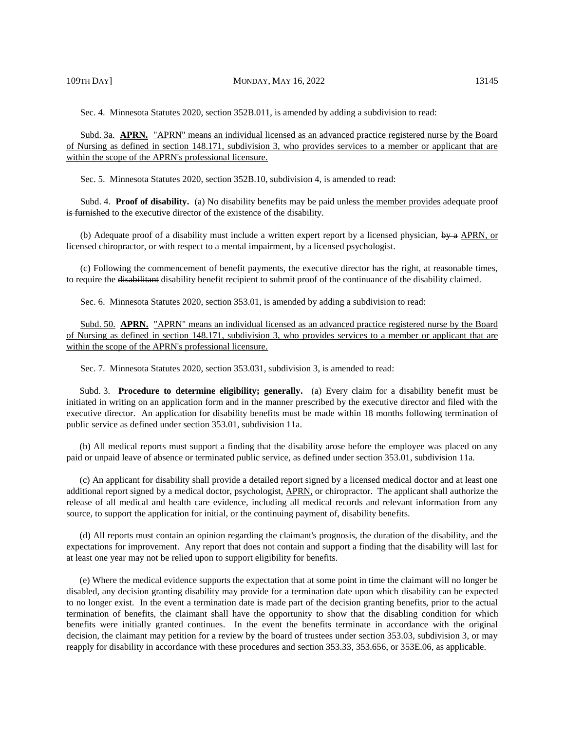Sec. 4. Minnesota Statutes 2020, section 352B.011, is amended by adding a subdivision to read:

Subd. 3a. **APRN.** "APRN" means an individual licensed as an advanced practice registered nurse by the Board of Nursing as defined in section 148.171, subdivision 3, who provides services to a member or applicant that are within the scope of the APRN's professional licensure.

Sec. 5. Minnesota Statutes 2020, section 352B.10, subdivision 4, is amended to read:

Subd. 4. **Proof of disability.** (a) No disability benefits may be paid unless the member provides adequate proof is furnished to the executive director of the existence of the disability.

(b) Adequate proof of a disability must include a written expert report by a licensed physician,  $\frac{dy}{dx}$  APRN, or licensed chiropractor, or with respect to a mental impairment, by a licensed psychologist.

(c) Following the commencement of benefit payments, the executive director has the right, at reasonable times, to require the disabilitant disability benefit recipient to submit proof of the continuance of the disability claimed.

Sec. 6. Minnesota Statutes 2020, section 353.01, is amended by adding a subdivision to read:

Subd. 50. **APRN.** "APRN" means an individual licensed as an advanced practice registered nurse by the Board of Nursing as defined in section 148.171, subdivision 3, who provides services to a member or applicant that are within the scope of the APRN's professional licensure.

Sec. 7. Minnesota Statutes 2020, section 353.031, subdivision 3, is amended to read:

Subd. 3. **Procedure to determine eligibility; generally.** (a) Every claim for a disability benefit must be initiated in writing on an application form and in the manner prescribed by the executive director and filed with the executive director. An application for disability benefits must be made within 18 months following termination of public service as defined under section 353.01, subdivision 11a.

(b) All medical reports must support a finding that the disability arose before the employee was placed on any paid or unpaid leave of absence or terminated public service, as defined under section 353.01, subdivision 11a.

(c) An applicant for disability shall provide a detailed report signed by a licensed medical doctor and at least one additional report signed by a medical doctor, psychologist, APRN, or chiropractor. The applicant shall authorize the release of all medical and health care evidence, including all medical records and relevant information from any source, to support the application for initial, or the continuing payment of, disability benefits.

(d) All reports must contain an opinion regarding the claimant's prognosis, the duration of the disability, and the expectations for improvement. Any report that does not contain and support a finding that the disability will last for at least one year may not be relied upon to support eligibility for benefits.

(e) Where the medical evidence supports the expectation that at some point in time the claimant will no longer be disabled, any decision granting disability may provide for a termination date upon which disability can be expected to no longer exist. In the event a termination date is made part of the decision granting benefits, prior to the actual termination of benefits, the claimant shall have the opportunity to show that the disabling condition for which benefits were initially granted continues. In the event the benefits terminate in accordance with the original decision, the claimant may petition for a review by the board of trustees under section 353.03, subdivision 3, or may reapply for disability in accordance with these procedures and section 353.33, 353.656, or 353E.06, as applicable.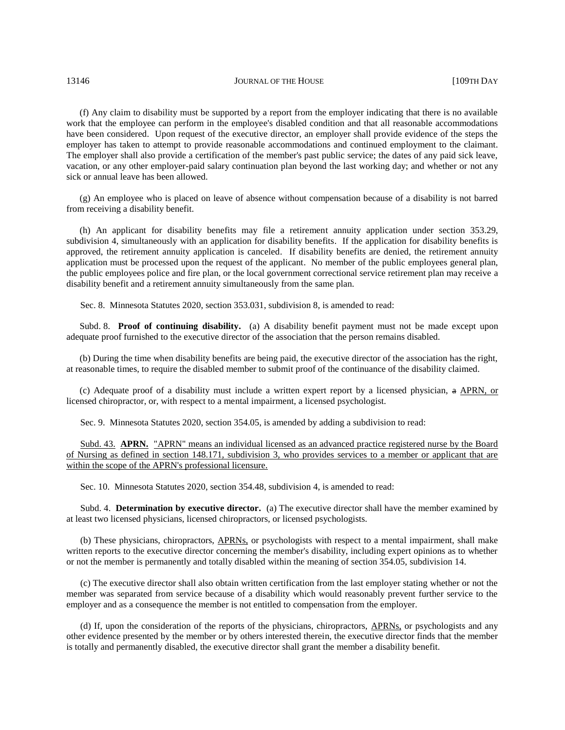(f) Any claim to disability must be supported by a report from the employer indicating that there is no available work that the employee can perform in the employee's disabled condition and that all reasonable accommodations have been considered. Upon request of the executive director, an employer shall provide evidence of the steps the employer has taken to attempt to provide reasonable accommodations and continued employment to the claimant. The employer shall also provide a certification of the member's past public service; the dates of any paid sick leave, vacation, or any other employer-paid salary continuation plan beyond the last working day; and whether or not any sick or annual leave has been allowed.

(g) An employee who is placed on leave of absence without compensation because of a disability is not barred from receiving a disability benefit.

(h) An applicant for disability benefits may file a retirement annuity application under section 353.29, subdivision 4, simultaneously with an application for disability benefits. If the application for disability benefits is approved, the retirement annuity application is canceled. If disability benefits are denied, the retirement annuity application must be processed upon the request of the applicant. No member of the public employees general plan, the public employees police and fire plan, or the local government correctional service retirement plan may receive a disability benefit and a retirement annuity simultaneously from the same plan.

Sec. 8. Minnesota Statutes 2020, section 353.031, subdivision 8, is amended to read:

Subd. 8. **Proof of continuing disability.** (a) A disability benefit payment must not be made except upon adequate proof furnished to the executive director of the association that the person remains disabled.

(b) During the time when disability benefits are being paid, the executive director of the association has the right, at reasonable times, to require the disabled member to submit proof of the continuance of the disability claimed.

(c) Adequate proof of a disability must include a written expert report by a licensed physician, a APRN, or licensed chiropractor, or, with respect to a mental impairment, a licensed psychologist.

Sec. 9. Minnesota Statutes 2020, section 354.05, is amended by adding a subdivision to read:

Subd. 43. **APRN.** "APRN" means an individual licensed as an advanced practice registered nurse by the Board of Nursing as defined in section 148.171, subdivision 3, who provides services to a member or applicant that are within the scope of the APRN's professional licensure.

Sec. 10. Minnesota Statutes 2020, section 354.48, subdivision 4, is amended to read:

Subd. 4. **Determination by executive director.** (a) The executive director shall have the member examined by at least two licensed physicians, licensed chiropractors, or licensed psychologists.

(b) These physicians, chiropractors, APRNs, or psychologists with respect to a mental impairment, shall make written reports to the executive director concerning the member's disability, including expert opinions as to whether or not the member is permanently and totally disabled within the meaning of section 354.05, subdivision 14.

(c) The executive director shall also obtain written certification from the last employer stating whether or not the member was separated from service because of a disability which would reasonably prevent further service to the employer and as a consequence the member is not entitled to compensation from the employer.

(d) If, upon the consideration of the reports of the physicians, chiropractors, APRNs, or psychologists and any other evidence presented by the member or by others interested therein, the executive director finds that the member is totally and permanently disabled, the executive director shall grant the member a disability benefit.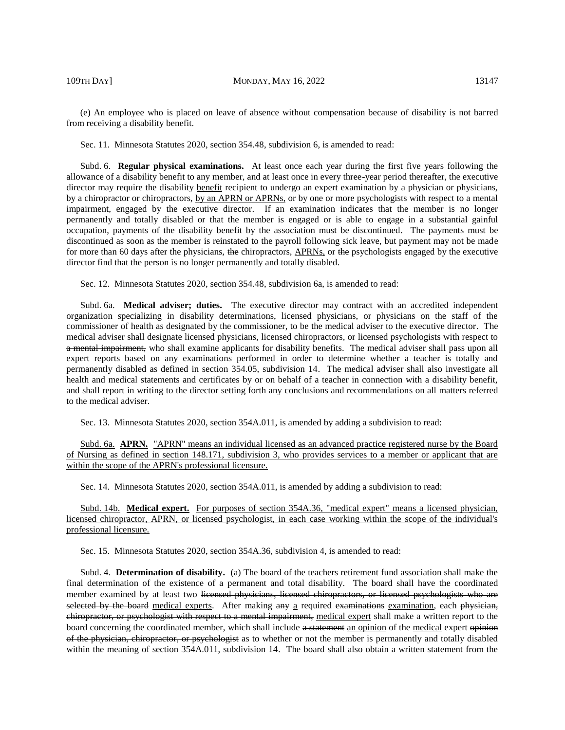(e) An employee who is placed on leave of absence without compensation because of disability is not barred from receiving a disability benefit.

Sec. 11. Minnesota Statutes 2020, section 354.48, subdivision 6, is amended to read:

Subd. 6. **Regular physical examinations.** At least once each year during the first five years following the allowance of a disability benefit to any member, and at least once in every three-year period thereafter, the executive director may require the disability benefit recipient to undergo an expert examination by a physician or physicians, by a chiropractor or chiropractors, by an APRN or APRNs, or by one or more psychologists with respect to a mental impairment, engaged by the executive director. If an examination indicates that the member is no longer permanently and totally disabled or that the member is engaged or is able to engage in a substantial gainful occupation, payments of the disability benefit by the association must be discontinued. The payments must be discontinued as soon as the member is reinstated to the payroll following sick leave, but payment may not be made for more than 60 days after the physicians, the chiropractors, APRNs, or the psychologists engaged by the executive director find that the person is no longer permanently and totally disabled.

Sec. 12. Minnesota Statutes 2020, section 354.48, subdivision 6a, is amended to read:

Subd. 6a. **Medical adviser; duties.** The executive director may contract with an accredited independent organization specializing in disability determinations, licensed physicians, or physicians on the staff of the commissioner of health as designated by the commissioner, to be the medical adviser to the executive director. The medical adviser shall designate licensed physicians, licensed chiropractors, or licensed psychologists with respect to a mental impairment, who shall examine applicants for disability benefits. The medical adviser shall pass upon all expert reports based on any examinations performed in order to determine whether a teacher is totally and permanently disabled as defined in section 354.05, subdivision 14. The medical adviser shall also investigate all health and medical statements and certificates by or on behalf of a teacher in connection with a disability benefit, and shall report in writing to the director setting forth any conclusions and recommendations on all matters referred to the medical adviser.

Sec. 13. Minnesota Statutes 2020, section 354A.011, is amended by adding a subdivision to read:

Subd. 6a. **APRN.** "APRN" means an individual licensed as an advanced practice registered nurse by the Board of Nursing as defined in section 148.171, subdivision 3, who provides services to a member or applicant that are within the scope of the APRN's professional licensure.

Sec. 14. Minnesota Statutes 2020, section 354A.011, is amended by adding a subdivision to read:

Subd. 14b. **Medical expert.** For purposes of section 354A.36, "medical expert" means a licensed physician, licensed chiropractor, APRN, or licensed psychologist, in each case working within the scope of the individual's professional licensure.

Sec. 15. Minnesota Statutes 2020, section 354A.36, subdivision 4, is amended to read:

Subd. 4. **Determination of disability.** (a) The board of the teachers retirement fund association shall make the final determination of the existence of a permanent and total disability. The board shall have the coordinated member examined by at least two licensed physicians, licensed chiropractors, or licensed psychologists who are selected by the board medical experts. After making  $a_n \mu$  a required examinations examination, each physician, chiropractor, or psychologist with respect to a mental impairment, medical expert shall make a written report to the board concerning the coordinated member, which shall include a statement an opinion of the medical expert opinion of the physician, chiropractor, or psychologist as to whether or not the member is permanently and totally disabled within the meaning of section 354A.011, subdivision 14. The board shall also obtain a written statement from the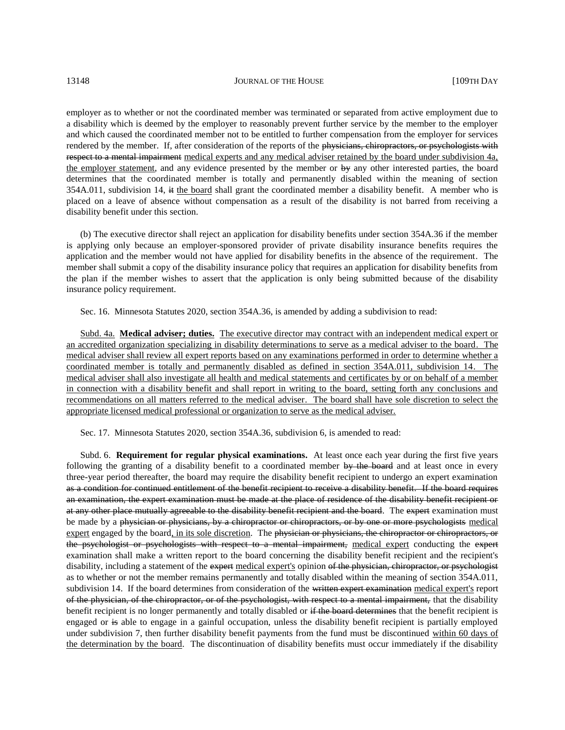employer as to whether or not the coordinated member was terminated or separated from active employment due to a disability which is deemed by the employer to reasonably prevent further service by the member to the employer and which caused the coordinated member not to be entitled to further compensation from the employer for services rendered by the member. If, after consideration of the reports of the physicians, chiropractors, or psychologists with respect to a mental impairment medical experts and any medical adviser retained by the board under subdivision 4a, the employer statement, and any evidence presented by the member or by any other interested parties, the board determines that the coordinated member is totally and permanently disabled within the meaning of section 354A.011, subdivision 14, it the board shall grant the coordinated member a disability benefit. A member who is placed on a leave of absence without compensation as a result of the disability is not barred from receiving a disability benefit under this section.

(b) The executive director shall reject an application for disability benefits under section 354A.36 if the member is applying only because an employer-sponsored provider of private disability insurance benefits requires the application and the member would not have applied for disability benefits in the absence of the requirement. The member shall submit a copy of the disability insurance policy that requires an application for disability benefits from the plan if the member wishes to assert that the application is only being submitted because of the disability insurance policy requirement.

Sec. 16. Minnesota Statutes 2020, section 354A.36, is amended by adding a subdivision to read:

Subd. 4a. **Medical adviser; duties.** The executive director may contract with an independent medical expert or an accredited organization specializing in disability determinations to serve as a medical adviser to the board. The medical adviser shall review all expert reports based on any examinations performed in order to determine whether a coordinated member is totally and permanently disabled as defined in section 354A.011, subdivision 14. The medical adviser shall also investigate all health and medical statements and certificates by or on behalf of a member in connection with a disability benefit and shall report in writing to the board, setting forth any conclusions and recommendations on all matters referred to the medical adviser. The board shall have sole discretion to select the appropriate licensed medical professional or organization to serve as the medical adviser.

Sec. 17. Minnesota Statutes 2020, section 354A.36, subdivision 6, is amended to read:

Subd. 6. **Requirement for regular physical examinations.** At least once each year during the first five years following the granting of a disability benefit to a coordinated member by the board and at least once in every three-year period thereafter, the board may require the disability benefit recipient to undergo an expert examination as a condition for continued entitlement of the benefit recipient to receive a disability benefit. If the board requires an examination, the expert examination must be made at the place of residence of the disability benefit recipient or at any other place mutually agreeable to the disability benefit recipient and the board. The expert examination must be made by a physician or physicians, by a chiropractor or chiropractors, or by one or more psychologists medical expert engaged by the board, in its sole discretion. The physician or physicians, the chiropractor or chiropractors, or the psychologist or psychologists with respect to a mental impairment, medical expert conducting the expert examination shall make a written report to the board concerning the disability benefit recipient and the recipient's disability, including a statement of the expert medical expert's opinion of the physician, chiropractor, or psychologist as to whether or not the member remains permanently and totally disabled within the meaning of section 354A.011, subdivision 14. If the board determines from consideration of the written expert examination medical expert's report of the physician, of the chiropractor, or of the psychologist, with respect to a mental impairment, that the disability benefit recipient is no longer permanently and totally disabled or if the board determines that the benefit recipient is engaged or is able to engage in a gainful occupation, unless the disability benefit recipient is partially employed under subdivision 7, then further disability benefit payments from the fund must be discontinued within 60 days of the determination by the board. The discontinuation of disability benefits must occur immediately if the disability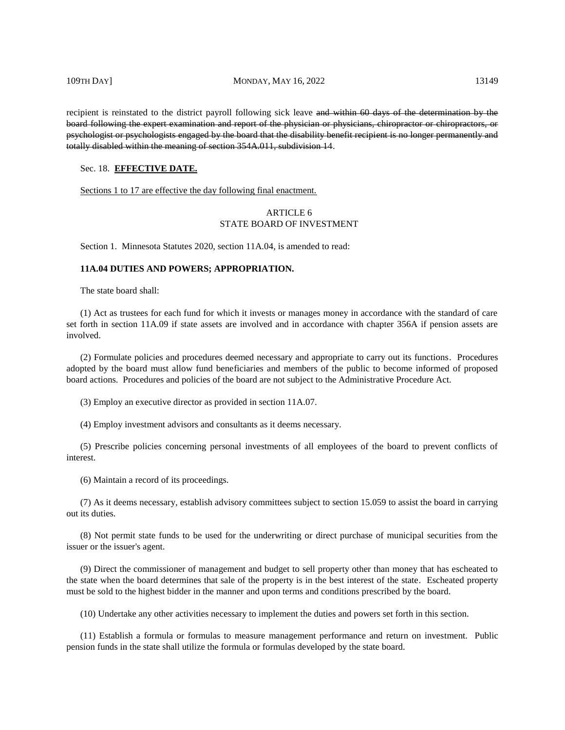recipient is reinstated to the district payroll following sick leave and within 60 days of the determination by the board following the expert examination and report of the physician or physicians, chiropractor or chiropractors, or psychologist or psychologists engaged by the board that the disability benefit recipient is no longer permanently and totally disabled within the meaning of section 354A.011, subdivision 14.

#### Sec. 18. **EFFECTIVE DATE.**

Sections 1 to 17 are effective the day following final enactment.

# ARTICLE 6 STATE BOARD OF INVESTMENT

Section 1. Minnesota Statutes 2020, section 11A.04, is amended to read:

# **11A.04 DUTIES AND POWERS; APPROPRIATION.**

The state board shall:

(1) Act as trustees for each fund for which it invests or manages money in accordance with the standard of care set forth in section 11A.09 if state assets are involved and in accordance with chapter 356A if pension assets are involved.

(2) Formulate policies and procedures deemed necessary and appropriate to carry out its functions. Procedures adopted by the board must allow fund beneficiaries and members of the public to become informed of proposed board actions. Procedures and policies of the board are not subject to the Administrative Procedure Act.

(3) Employ an executive director as provided in section 11A.07.

(4) Employ investment advisors and consultants as it deems necessary.

(5) Prescribe policies concerning personal investments of all employees of the board to prevent conflicts of interest.

(6) Maintain a record of its proceedings.

(7) As it deems necessary, establish advisory committees subject to section 15.059 to assist the board in carrying out its duties.

(8) Not permit state funds to be used for the underwriting or direct purchase of municipal securities from the issuer or the issuer's agent.

(9) Direct the commissioner of management and budget to sell property other than money that has escheated to the state when the board determines that sale of the property is in the best interest of the state. Escheated property must be sold to the highest bidder in the manner and upon terms and conditions prescribed by the board.

(10) Undertake any other activities necessary to implement the duties and powers set forth in this section.

(11) Establish a formula or formulas to measure management performance and return on investment. Public pension funds in the state shall utilize the formula or formulas developed by the state board.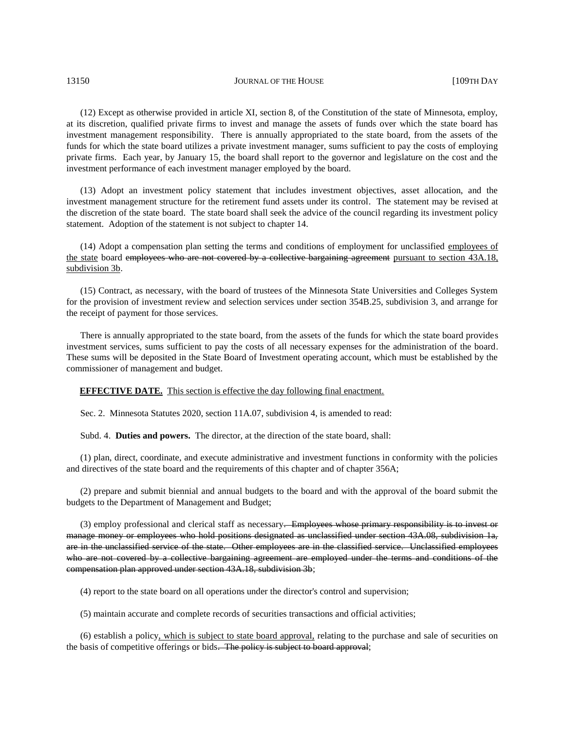(12) Except as otherwise provided in article XI, section 8, of the Constitution of the state of Minnesota, employ, at its discretion, qualified private firms to invest and manage the assets of funds over which the state board has investment management responsibility. There is annually appropriated to the state board, from the assets of the funds for which the state board utilizes a private investment manager, sums sufficient to pay the costs of employing private firms. Each year, by January 15, the board shall report to the governor and legislature on the cost and the investment performance of each investment manager employed by the board.

(13) Adopt an investment policy statement that includes investment objectives, asset allocation, and the investment management structure for the retirement fund assets under its control. The statement may be revised at the discretion of the state board. The state board shall seek the advice of the council regarding its investment policy statement. Adoption of the statement is not subject to chapter 14.

(14) Adopt a compensation plan setting the terms and conditions of employment for unclassified employees of the state board employees who are not covered by a collective bargaining agreement pursuant to section 43A.18, subdivision 3b.

(15) Contract, as necessary, with the board of trustees of the Minnesota State Universities and Colleges System for the provision of investment review and selection services under section 354B.25, subdivision 3, and arrange for the receipt of payment for those services.

There is annually appropriated to the state board, from the assets of the funds for which the state board provides investment services, sums sufficient to pay the costs of all necessary expenses for the administration of the board. These sums will be deposited in the State Board of Investment operating account, which must be established by the commissioner of management and budget.

**EFFECTIVE DATE.** This section is effective the day following final enactment.

Sec. 2. Minnesota Statutes 2020, section 11A.07, subdivision 4, is amended to read:

Subd. 4. **Duties and powers.** The director, at the direction of the state board, shall:

(1) plan, direct, coordinate, and execute administrative and investment functions in conformity with the policies and directives of the state board and the requirements of this chapter and of chapter 356A;

(2) prepare and submit biennial and annual budgets to the board and with the approval of the board submit the budgets to the Department of Management and Budget;

(3) employ professional and clerical staff as necessary. Employees whose primary responsibility is to invest or manage money or employees who hold positions designated as unclassified under section 43A.08, subdivision 1a, are in the unclassified service of the state. Other employees are in the classified service. Unclassified employees who are not covered by a collective bargaining agreement are employed under the terms and conditions of the compensation plan approved under section 43A.18, subdivision 3b;

(4) report to the state board on all operations under the director's control and supervision;

(5) maintain accurate and complete records of securities transactions and official activities;

(6) establish a policy, which is subject to state board approval, relating to the purchase and sale of securities on the basis of competitive offerings or bids. The policy is subject to board approval;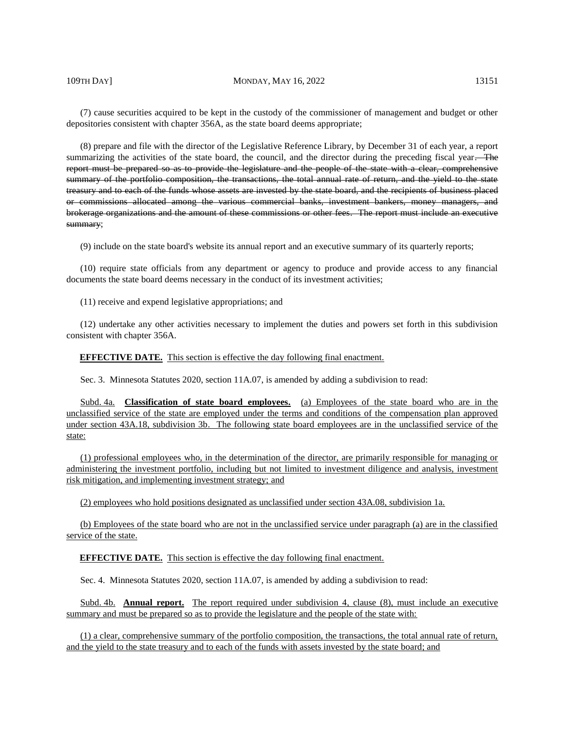(7) cause securities acquired to be kept in the custody of the commissioner of management and budget or other depositories consistent with chapter 356A, as the state board deems appropriate;

(8) prepare and file with the director of the Legislative Reference Library, by December 31 of each year, a report summarizing the activities of the state board, the council, and the director during the preceding fiscal year. The report must be prepared so as to provide the legislature and the people of the state with a clear, comprehensive summary of the portfolio composition, the transactions, the total annual rate of return, and the yield to the state treasury and to each of the funds whose assets are invested by the state board, and the recipients of business placed or commissions allocated among the various commercial banks, investment bankers, money managers, and brokerage organizations and the amount of these commissions or other fees. The report must include an executive summary;

(9) include on the state board's website its annual report and an executive summary of its quarterly reports;

(10) require state officials from any department or agency to produce and provide access to any financial documents the state board deems necessary in the conduct of its investment activities;

(11) receive and expend legislative appropriations; and

(12) undertake any other activities necessary to implement the duties and powers set forth in this subdivision consistent with chapter 356A.

#### **EFFECTIVE DATE.** This section is effective the day following final enactment.

Sec. 3. Minnesota Statutes 2020, section 11A.07, is amended by adding a subdivision to read:

Subd. 4a. **Classification of state board employees.** (a) Employees of the state board who are in the unclassified service of the state are employed under the terms and conditions of the compensation plan approved under section 43A.18, subdivision 3b. The following state board employees are in the unclassified service of the state:

(1) professional employees who, in the determination of the director, are primarily responsible for managing or administering the investment portfolio, including but not limited to investment diligence and analysis, investment risk mitigation, and implementing investment strategy; and

(2) employees who hold positions designated as unclassified under section 43A.08, subdivision 1a.

(b) Employees of the state board who are not in the unclassified service under paragraph (a) are in the classified service of the state.

**EFFECTIVE DATE.** This section is effective the day following final enactment.

Sec. 4. Minnesota Statutes 2020, section 11A.07, is amended by adding a subdivision to read:

Subd. 4b. **Annual report.** The report required under subdivision 4, clause (8), must include an executive summary and must be prepared so as to provide the legislature and the people of the state with:

(1) a clear, comprehensive summary of the portfolio composition, the transactions, the total annual rate of return, and the yield to the state treasury and to each of the funds with assets invested by the state board; and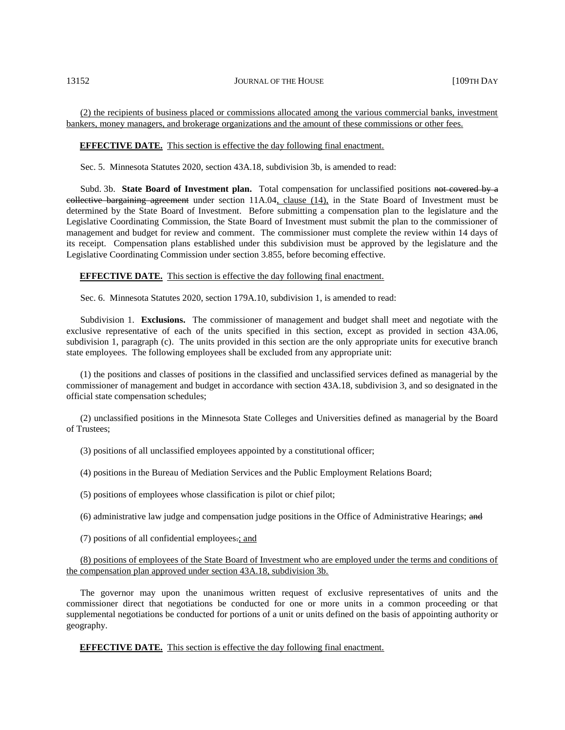# (2) the recipients of business placed or commissions allocated among the various commercial banks, investment bankers, money managers, and brokerage organizations and the amount of these commissions or other fees.

#### **EFFECTIVE DATE.** This section is effective the day following final enactment.

Sec. 5. Minnesota Statutes 2020, section 43A.18, subdivision 3b, is amended to read:

Subd. 3b. **State Board of Investment plan.** Total compensation for unclassified positions not covered by a collective bargaining agreement under section 11A.04, clause (14), in the State Board of Investment must be determined by the State Board of Investment. Before submitting a compensation plan to the legislature and the Legislative Coordinating Commission, the State Board of Investment must submit the plan to the commissioner of management and budget for review and comment. The commissioner must complete the review within 14 days of its receipt. Compensation plans established under this subdivision must be approved by the legislature and the Legislative Coordinating Commission under section 3.855, before becoming effective.

**EFFECTIVE DATE.** This section is effective the day following final enactment.

Sec. 6. Minnesota Statutes 2020, section 179A.10, subdivision 1, is amended to read:

Subdivision 1. **Exclusions.** The commissioner of management and budget shall meet and negotiate with the exclusive representative of each of the units specified in this section, except as provided in section 43A.06, subdivision 1, paragraph (c). The units provided in this section are the only appropriate units for executive branch state employees. The following employees shall be excluded from any appropriate unit:

(1) the positions and classes of positions in the classified and unclassified services defined as managerial by the commissioner of management and budget in accordance with section 43A.18, subdivision 3, and so designated in the official state compensation schedules;

(2) unclassified positions in the Minnesota State Colleges and Universities defined as managerial by the Board of Trustees;

(3) positions of all unclassified employees appointed by a constitutional officer;

(4) positions in the Bureau of Mediation Services and the Public Employment Relations Board;

- (5) positions of employees whose classification is pilot or chief pilot;
- (6) administrative law judge and compensation judge positions in the Office of Administrative Hearings; and
- (7) positions of all confidential employees.; and

(8) positions of employees of the State Board of Investment who are employed under the terms and conditions of the compensation plan approved under section 43A.18, subdivision 3b.

The governor may upon the unanimous written request of exclusive representatives of units and the commissioner direct that negotiations be conducted for one or more units in a common proceeding or that supplemental negotiations be conducted for portions of a unit or units defined on the basis of appointing authority or geography.

**EFFECTIVE DATE.** This section is effective the day following final enactment.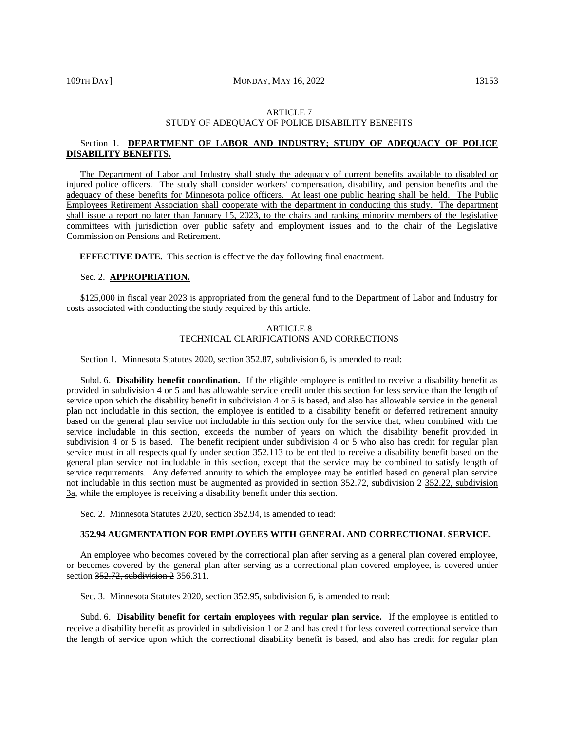# ARTICLE 7 STUDY OF ADEQUACY OF POLICE DISABILITY BENEFITS

# Section 1. **DEPARTMENT OF LABOR AND INDUSTRY; STUDY OF ADEQUACY OF POLICE DISABILITY BENEFITS.**

The Department of Labor and Industry shall study the adequacy of current benefits available to disabled or injured police officers. The study shall consider workers' compensation, disability, and pension benefits and the adequacy of these benefits for Minnesota police officers. At least one public hearing shall be held. The Public Employees Retirement Association shall cooperate with the department in conducting this study. The department shall issue a report no later than January 15, 2023, to the chairs and ranking minority members of the legislative committees with jurisdiction over public safety and employment issues and to the chair of the Legislative Commission on Pensions and Retirement.

#### **EFFECTIVE DATE.** This section is effective the day following final enactment.

#### Sec. 2. **APPROPRIATION.**

\$125,000 in fiscal year 2023 is appropriated from the general fund to the Department of Labor and Industry for costs associated with conducting the study required by this article.

# ARTICLE 8 TECHNICAL CLARIFICATIONS AND CORRECTIONS

Section 1. Minnesota Statutes 2020, section 352.87, subdivision 6, is amended to read:

Subd. 6. **Disability benefit coordination.** If the eligible employee is entitled to receive a disability benefit as provided in subdivision 4 or 5 and has allowable service credit under this section for less service than the length of service upon which the disability benefit in subdivision 4 or 5 is based, and also has allowable service in the general plan not includable in this section, the employee is entitled to a disability benefit or deferred retirement annuity based on the general plan service not includable in this section only for the service that, when combined with the service includable in this section, exceeds the number of years on which the disability benefit provided in subdivision 4 or 5 is based. The benefit recipient under subdivision 4 or 5 who also has credit for regular plan service must in all respects qualify under section 352.113 to be entitled to receive a disability benefit based on the general plan service not includable in this section, except that the service may be combined to satisfy length of service requirements. Any deferred annuity to which the employee may be entitled based on general plan service not includable in this section must be augmented as provided in section 352.72, subdivision 2 352.22, subdivision 3a, while the employee is receiving a disability benefit under this section.

Sec. 2. Minnesota Statutes 2020, section 352.94, is amended to read:

# **352.94 AUGMENTATION FOR EMPLOYEES WITH GENERAL AND CORRECTIONAL SERVICE.**

An employee who becomes covered by the correctional plan after serving as a general plan covered employee, or becomes covered by the general plan after serving as a correctional plan covered employee, is covered under section 352.72, subdivision 2 356.311.

Sec. 3. Minnesota Statutes 2020, section 352.95, subdivision 6, is amended to read:

Subd. 6. **Disability benefit for certain employees with regular plan service.** If the employee is entitled to receive a disability benefit as provided in subdivision 1 or 2 and has credit for less covered correctional service than the length of service upon which the correctional disability benefit is based, and also has credit for regular plan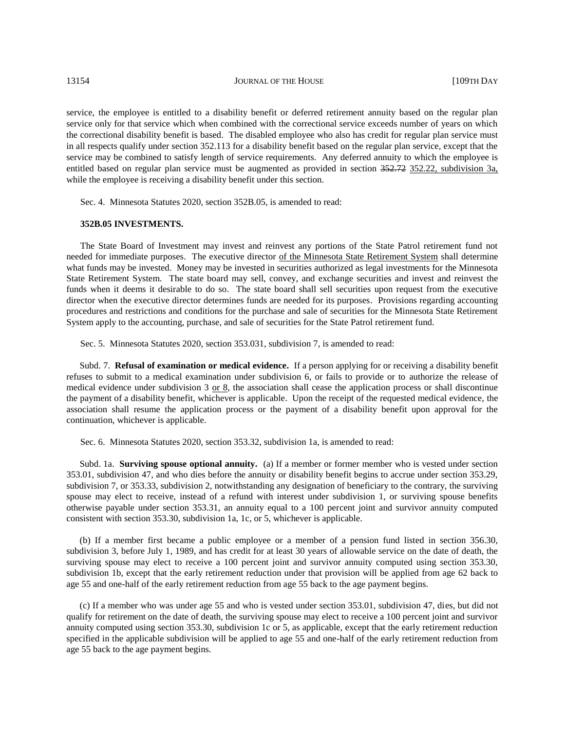service, the employee is entitled to a disability benefit or deferred retirement annuity based on the regular plan service only for that service which when combined with the correctional service exceeds number of years on which the correctional disability benefit is based. The disabled employee who also has credit for regular plan service must in all respects qualify under section 352.113 for a disability benefit based on the regular plan service, except that the service may be combined to satisfy length of service requirements. Any deferred annuity to which the employee is entitled based on regular plan service must be augmented as provided in section 352.72 352.22, subdivision 3a, while the employee is receiving a disability benefit under this section.

Sec. 4. Minnesota Statutes 2020, section 352B.05, is amended to read:

### **352B.05 INVESTMENTS.**

The State Board of Investment may invest and reinvest any portions of the State Patrol retirement fund not needed for immediate purposes. The executive director of the Minnesota State Retirement System shall determine what funds may be invested. Money may be invested in securities authorized as legal investments for the Minnesota State Retirement System. The state board may sell, convey, and exchange securities and invest and reinvest the funds when it deems it desirable to do so. The state board shall sell securities upon request from the executive director when the executive director determines funds are needed for its purposes. Provisions regarding accounting procedures and restrictions and conditions for the purchase and sale of securities for the Minnesota State Retirement System apply to the accounting, purchase, and sale of securities for the State Patrol retirement fund.

Sec. 5. Minnesota Statutes 2020, section 353.031, subdivision 7, is amended to read:

Subd. 7. **Refusal of examination or medical evidence.** If a person applying for or receiving a disability benefit refuses to submit to a medical examination under subdivision 6, or fails to provide or to authorize the release of medical evidence under subdivision  $3 \text{ or } 8$ , the association shall cease the application process or shall discontinue the payment of a disability benefit, whichever is applicable. Upon the receipt of the requested medical evidence, the association shall resume the application process or the payment of a disability benefit upon approval for the continuation, whichever is applicable.

Sec. 6. Minnesota Statutes 2020, section 353.32, subdivision 1a, is amended to read:

Subd. 1a. **Surviving spouse optional annuity.** (a) If a member or former member who is vested under section 353.01, subdivision 47, and who dies before the annuity or disability benefit begins to accrue under section 353.29, subdivision 7, or 353.33, subdivision 2, notwithstanding any designation of beneficiary to the contrary, the surviving spouse may elect to receive, instead of a refund with interest under subdivision 1, or surviving spouse benefits otherwise payable under section 353.31, an annuity equal to a 100 percent joint and survivor annuity computed consistent with section 353.30, subdivision 1a, 1c, or 5, whichever is applicable.

(b) If a member first became a public employee or a member of a pension fund listed in section 356.30, subdivision 3, before July 1, 1989, and has credit for at least 30 years of allowable service on the date of death, the surviving spouse may elect to receive a 100 percent joint and survivor annuity computed using section 353.30, subdivision 1b, except that the early retirement reduction under that provision will be applied from age 62 back to age 55 and one-half of the early retirement reduction from age 55 back to the age payment begins.

(c) If a member who was under age 55 and who is vested under section 353.01, subdivision 47, dies, but did not qualify for retirement on the date of death, the surviving spouse may elect to receive a 100 percent joint and survivor annuity computed using section 353.30, subdivision 1c or 5, as applicable, except that the early retirement reduction specified in the applicable subdivision will be applied to age 55 and one-half of the early retirement reduction from age 55 back to the age payment begins.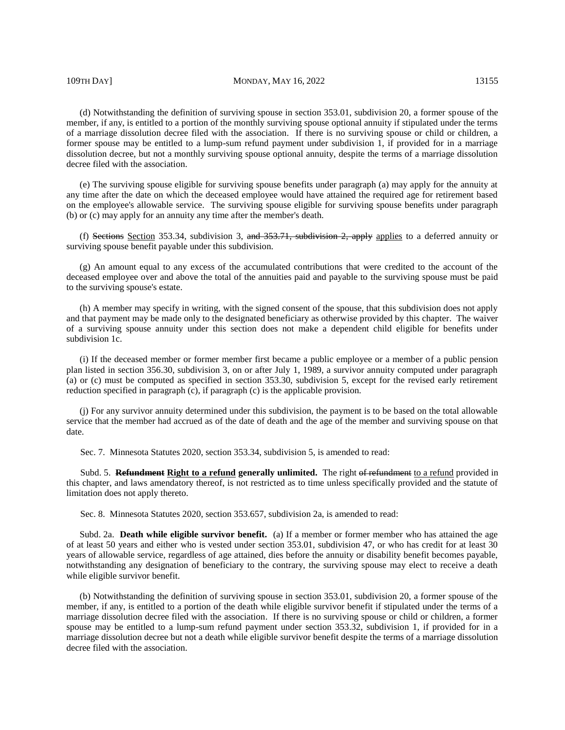109TH DAY] MONDAY, MAY 16, 2022 13155

(d) Notwithstanding the definition of surviving spouse in section 353.01, subdivision 20, a former spouse of the member, if any, is entitled to a portion of the monthly surviving spouse optional annuity if stipulated under the terms of a marriage dissolution decree filed with the association. If there is no surviving spouse or child or children, a former spouse may be entitled to a lump-sum refund payment under subdivision 1, if provided for in a marriage dissolution decree, but not a monthly surviving spouse optional annuity, despite the terms of a marriage dissolution decree filed with the association.

(e) The surviving spouse eligible for surviving spouse benefits under paragraph (a) may apply for the annuity at any time after the date on which the deceased employee would have attained the required age for retirement based on the employee's allowable service. The surviving spouse eligible for surviving spouse benefits under paragraph (b) or (c) may apply for an annuity any time after the member's death.

(f) Sections Section 353.34, subdivision 3, and 353.71, subdivision 2, apply applies to a deferred annuity or surviving spouse benefit payable under this subdivision.

(g) An amount equal to any excess of the accumulated contributions that were credited to the account of the deceased employee over and above the total of the annuities paid and payable to the surviving spouse must be paid to the surviving spouse's estate.

(h) A member may specify in writing, with the signed consent of the spouse, that this subdivision does not apply and that payment may be made only to the designated beneficiary as otherwise provided by this chapter. The waiver of a surviving spouse annuity under this section does not make a dependent child eligible for benefits under subdivision 1c.

(i) If the deceased member or former member first became a public employee or a member of a public pension plan listed in section 356.30, subdivision 3, on or after July 1, 1989, a survivor annuity computed under paragraph (a) or (c) must be computed as specified in section 353.30, subdivision 5, except for the revised early retirement reduction specified in paragraph (c), if paragraph (c) is the applicable provision.

(j) For any survivor annuity determined under this subdivision, the payment is to be based on the total allowable service that the member had accrued as of the date of death and the age of the member and surviving spouse on that date.

Sec. 7. Minnesota Statutes 2020, section 353.34, subdivision 5, is amended to read:

Subd. 5. **Refundment Right to a refund generally unlimited.** The right of refundment to a refund provided in this chapter, and laws amendatory thereof, is not restricted as to time unless specifically provided and the statute of limitation does not apply thereto.

Sec. 8. Minnesota Statutes 2020, section 353.657, subdivision 2a, is amended to read:

Subd. 2a. **Death while eligible survivor benefit.** (a) If a member or former member who has attained the age of at least 50 years and either who is vested under section 353.01, subdivision 47, or who has credit for at least 30 years of allowable service, regardless of age attained, dies before the annuity or disability benefit becomes payable, notwithstanding any designation of beneficiary to the contrary, the surviving spouse may elect to receive a death while eligible survivor benefit.

(b) Notwithstanding the definition of surviving spouse in section 353.01, subdivision 20, a former spouse of the member, if any, is entitled to a portion of the death while eligible survivor benefit if stipulated under the terms of a marriage dissolution decree filed with the association. If there is no surviving spouse or child or children, a former spouse may be entitled to a lump-sum refund payment under section 353.32, subdivision 1, if provided for in a marriage dissolution decree but not a death while eligible survivor benefit despite the terms of a marriage dissolution decree filed with the association.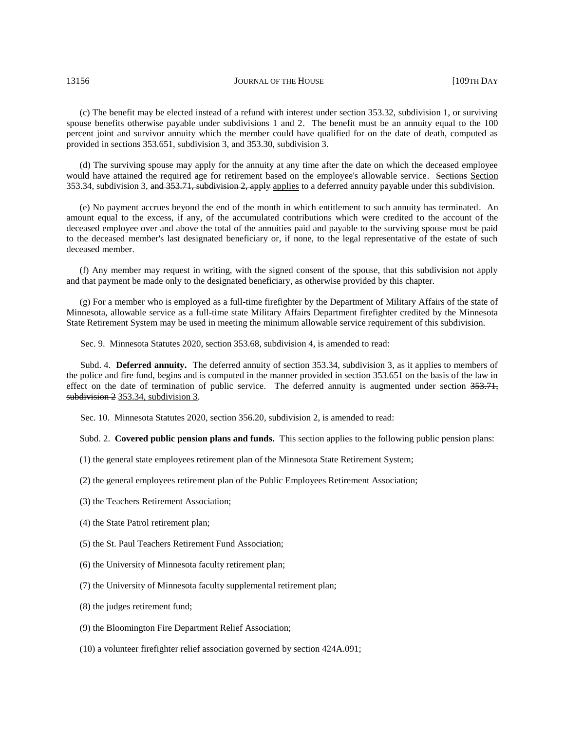(c) The benefit may be elected instead of a refund with interest under section 353.32, subdivision 1, or surviving spouse benefits otherwise payable under subdivisions 1 and 2. The benefit must be an annuity equal to the 100 percent joint and survivor annuity which the member could have qualified for on the date of death, computed as provided in sections 353.651, subdivision 3, and 353.30, subdivision 3.

(d) The surviving spouse may apply for the annuity at any time after the date on which the deceased employee would have attained the required age for retirement based on the employee's allowable service. Sections Section 353.34, subdivision 3, and 353.71, subdivision 2, apply applies to a deferred annuity payable under this subdivision.

(e) No payment accrues beyond the end of the month in which entitlement to such annuity has terminated. An amount equal to the excess, if any, of the accumulated contributions which were credited to the account of the deceased employee over and above the total of the annuities paid and payable to the surviving spouse must be paid to the deceased member's last designated beneficiary or, if none, to the legal representative of the estate of such deceased member.

(f) Any member may request in writing, with the signed consent of the spouse, that this subdivision not apply and that payment be made only to the designated beneficiary, as otherwise provided by this chapter.

(g) For a member who is employed as a full-time firefighter by the Department of Military Affairs of the state of Minnesota, allowable service as a full-time state Military Affairs Department firefighter credited by the Minnesota State Retirement System may be used in meeting the minimum allowable service requirement of this subdivision.

Sec. 9. Minnesota Statutes 2020, section 353.68, subdivision 4, is amended to read:

Subd. 4. **Deferred annuity.** The deferred annuity of section 353.34, subdivision 3, as it applies to members of the police and fire fund, begins and is computed in the manner provided in section 353.651 on the basis of the law in effect on the date of termination of public service. The deferred annuity is augmented under section 353.71, subdivision 2 353.34, subdivision 3.

Sec. 10. Minnesota Statutes 2020, section 356.20, subdivision 2, is amended to read:

Subd. 2. **Covered public pension plans and funds.** This section applies to the following public pension plans:

(1) the general state employees retirement plan of the Minnesota State Retirement System;

(2) the general employees retirement plan of the Public Employees Retirement Association;

- (3) the Teachers Retirement Association;
- (4) the State Patrol retirement plan;
- (5) the St. Paul Teachers Retirement Fund Association;
- (6) the University of Minnesota faculty retirement plan;
- (7) the University of Minnesota faculty supplemental retirement plan;
- (8) the judges retirement fund;
- (9) the Bloomington Fire Department Relief Association;
- (10) a volunteer firefighter relief association governed by section 424A.091;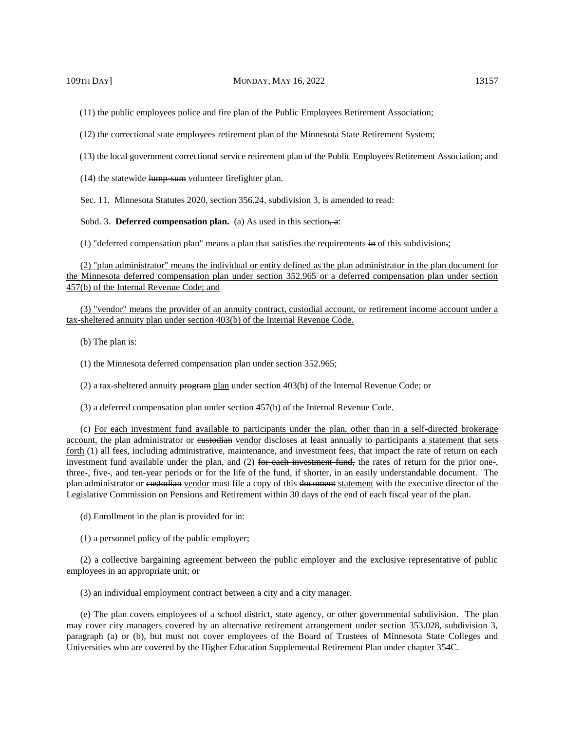(11) the public employees police and fire plan of the Public Employees Retirement Association;

(12) the correctional state employees retirement plan of the Minnesota State Retirement System;

(13) the local government correctional service retirement plan of the Public Employees Retirement Association; and

 $(14)$  the statewide lump-sum volunteer firefighter plan.

Sec. 11. Minnesota Statutes 2020, section 356.24, subdivision 3, is amended to read:

Subd. 3. **Deferred compensation plan.** (a) As used in this section.

 $(1)$  "deferred compensation plan" means a plan that satisfies the requirements in of this subdivision.;

(2) "plan administrator" means the individual or entity defined as the plan administrator in the plan document for the Minnesota deferred compensation plan under section 352.965 or a deferred compensation plan under section 457(b) of the Internal Revenue Code; and

(3) "vendor" means the provider of an annuity contract, custodial account, or retirement income account under a tax-sheltered annuity plan under section 403(b) of the Internal Revenue Code.

(b) The plan is:

(1) the Minnesota deferred compensation plan under section 352.965;

(2) a tax-sheltered annuity program plan under section 403(b) of the Internal Revenue Code; or

(3) a deferred compensation plan under section 457(b) of the Internal Revenue Code.

(c) For each investment fund available to participants under the plan, other than in a self-directed brokerage account, the plan administrator or eustodian vendor discloses at least annually to participants a statement that sets forth (1) all fees, including administrative, maintenance, and investment fees, that impact the rate of return on each investment fund available under the plan, and (2) for each investment fund, the rates of return for the prior one-, three-, five-, and ten-year periods or for the life of the fund, if shorter, in an easily understandable document. The plan administrator or custodian vendor must file a copy of this document statement with the executive director of the Legislative Commission on Pensions and Retirement within 30 days of the end of each fiscal year of the plan.

- (d) Enrollment in the plan is provided for in:
- (1) a personnel policy of the public employer;

(2) a collective bargaining agreement between the public employer and the exclusive representative of public employees in an appropriate unit; or

(3) an individual employment contract between a city and a city manager.

(e) The plan covers employees of a school district, state agency, or other governmental subdivision. The plan may cover city managers covered by an alternative retirement arrangement under section 353.028, subdivision 3, paragraph (a) or (b), but must not cover employees of the Board of Trustees of Minnesota State Colleges and Universities who are covered by the Higher Education Supplemental Retirement Plan under chapter 354C.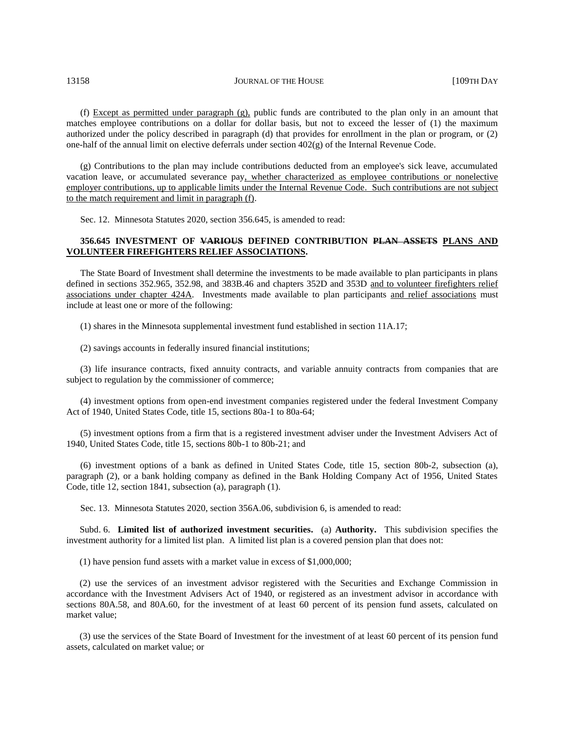(f) Except as permitted under paragraph (g), public funds are contributed to the plan only in an amount that matches employee contributions on a dollar for dollar basis, but not to exceed the lesser of (1) the maximum authorized under the policy described in paragraph (d) that provides for enrollment in the plan or program, or (2) one-half of the annual limit on elective deferrals under section  $402(g)$  of the Internal Revenue Code.

(g) Contributions to the plan may include contributions deducted from an employee's sick leave, accumulated vacation leave, or accumulated severance pay, whether characterized as employee contributions or nonelective employer contributions, up to applicable limits under the Internal Revenue Code. Such contributions are not subject to the match requirement and limit in paragraph (f).

Sec. 12. Minnesota Statutes 2020, section 356.645, is amended to read:

# **356.645 INVESTMENT OF VARIOUS DEFINED CONTRIBUTION PLAN ASSETS PLANS AND VOLUNTEER FIREFIGHTERS RELIEF ASSOCIATIONS.**

The State Board of Investment shall determine the investments to be made available to plan participants in plans defined in sections 352.965, 352.98, and 383B.46 and chapters 352D and 353D and to volunteer firefighters relief associations under chapter 424A. Investments made available to plan participants and relief associations must include at least one or more of the following:

(1) shares in the Minnesota supplemental investment fund established in section 11A.17;

(2) savings accounts in federally insured financial institutions;

(3) life insurance contracts, fixed annuity contracts, and variable annuity contracts from companies that are subject to regulation by the commissioner of commerce;

(4) investment options from open-end investment companies registered under the federal Investment Company Act of 1940, United States Code, title 15, sections 80a-1 to 80a-64;

(5) investment options from a firm that is a registered investment adviser under the Investment Advisers Act of 1940, United States Code, title 15, sections 80b-1 to 80b-21; and

(6) investment options of a bank as defined in United States Code, title 15, section 80b-2, subsection (a), paragraph (2), or a bank holding company as defined in the Bank Holding Company Act of 1956, United States Code, title 12, section 1841, subsection (a), paragraph (1).

Sec. 13. Minnesota Statutes 2020, section 356A.06, subdivision 6, is amended to read:

Subd. 6. **Limited list of authorized investment securities.** (a) **Authority.** This subdivision specifies the investment authority for a limited list plan. A limited list plan is a covered pension plan that does not:

(1) have pension fund assets with a market value in excess of \$1,000,000;

(2) use the services of an investment advisor registered with the Securities and Exchange Commission in accordance with the Investment Advisers Act of 1940, or registered as an investment advisor in accordance with sections 80A.58, and 80A.60, for the investment of at least 60 percent of its pension fund assets, calculated on market value;

(3) use the services of the State Board of Investment for the investment of at least 60 percent of its pension fund assets, calculated on market value; or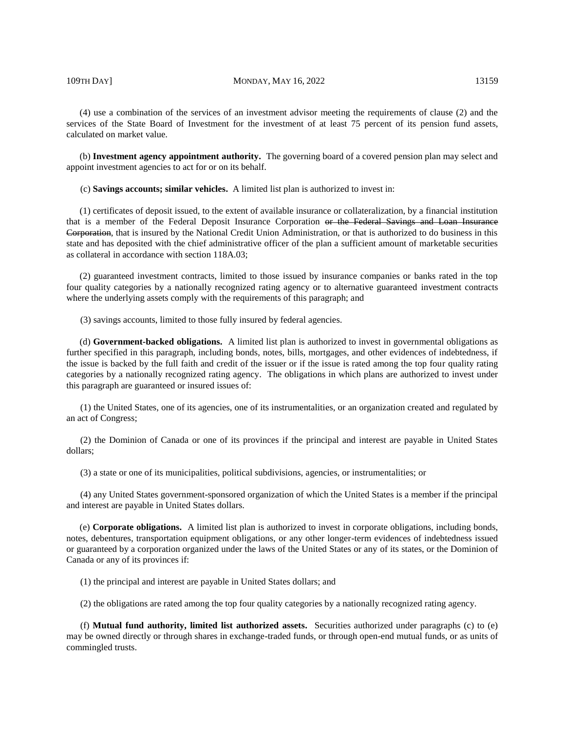#### 109TH DAY] MONDAY, MAY 16, 2022 13159

(4) use a combination of the services of an investment advisor meeting the requirements of clause (2) and the services of the State Board of Investment for the investment of at least 75 percent of its pension fund assets, calculated on market value.

(b) **Investment agency appointment authority.** The governing board of a covered pension plan may select and appoint investment agencies to act for or on its behalf.

(c) **Savings accounts; similar vehicles.** A limited list plan is authorized to invest in:

(1) certificates of deposit issued, to the extent of available insurance or collateralization, by a financial institution that is a member of the Federal Deposit Insurance Corporation or the Federal Savings and Loan Insurance Corporation, that is insured by the National Credit Union Administration, or that is authorized to do business in this state and has deposited with the chief administrative officer of the plan a sufficient amount of marketable securities as collateral in accordance with section 118A.03;

(2) guaranteed investment contracts, limited to those issued by insurance companies or banks rated in the top four quality categories by a nationally recognized rating agency or to alternative guaranteed investment contracts where the underlying assets comply with the requirements of this paragraph; and

(3) savings accounts, limited to those fully insured by federal agencies.

(d) **Government-backed obligations.** A limited list plan is authorized to invest in governmental obligations as further specified in this paragraph, including bonds, notes, bills, mortgages, and other evidences of indebtedness, if the issue is backed by the full faith and credit of the issuer or if the issue is rated among the top four quality rating categories by a nationally recognized rating agency. The obligations in which plans are authorized to invest under this paragraph are guaranteed or insured issues of:

(1) the United States, one of its agencies, one of its instrumentalities, or an organization created and regulated by an act of Congress;

(2) the Dominion of Canada or one of its provinces if the principal and interest are payable in United States dollars;

(3) a state or one of its municipalities, political subdivisions, agencies, or instrumentalities; or

(4) any United States government-sponsored organization of which the United States is a member if the principal and interest are payable in United States dollars.

(e) **Corporate obligations.** A limited list plan is authorized to invest in corporate obligations, including bonds, notes, debentures, transportation equipment obligations, or any other longer-term evidences of indebtedness issued or guaranteed by a corporation organized under the laws of the United States or any of its states, or the Dominion of Canada or any of its provinces if:

(1) the principal and interest are payable in United States dollars; and

(2) the obligations are rated among the top four quality categories by a nationally recognized rating agency.

(f) **Mutual fund authority, limited list authorized assets.** Securities authorized under paragraphs (c) to (e) may be owned directly or through shares in exchange-traded funds, or through open-end mutual funds, or as units of commingled trusts.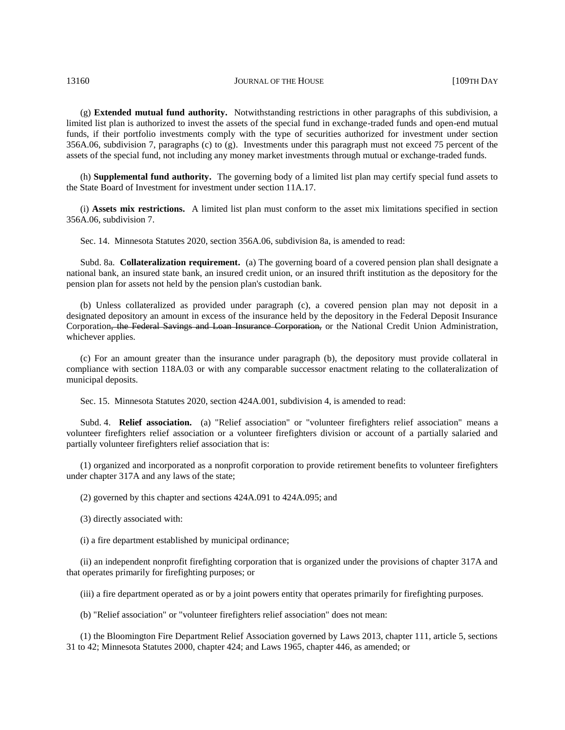13160 **JOURNAL OF THE HOUSE COMPANY JOURNAL OF THE HOUSE FILM** 

(g) **Extended mutual fund authority.** Notwithstanding restrictions in other paragraphs of this subdivision, a limited list plan is authorized to invest the assets of the special fund in exchange-traded funds and open-end mutual funds, if their portfolio investments comply with the type of securities authorized for investment under section 356A.06, subdivision 7, paragraphs (c) to (g). Investments under this paragraph must not exceed 75 percent of the assets of the special fund, not including any money market investments through mutual or exchange-traded funds.

(h) **Supplemental fund authority.** The governing body of a limited list plan may certify special fund assets to the State Board of Investment for investment under section 11A.17.

(i) **Assets mix restrictions.** A limited list plan must conform to the asset mix limitations specified in section 356A.06, subdivision 7.

Sec. 14. Minnesota Statutes 2020, section 356A.06, subdivision 8a, is amended to read:

Subd. 8a. **Collateralization requirement.** (a) The governing board of a covered pension plan shall designate a national bank, an insured state bank, an insured credit union, or an insured thrift institution as the depository for the pension plan for assets not held by the pension plan's custodian bank.

(b) Unless collateralized as provided under paragraph (c), a covered pension plan may not deposit in a designated depository an amount in excess of the insurance held by the depository in the Federal Deposit Insurance Corporation, the Federal Savings and Loan Insurance Corporation, or the National Credit Union Administration, whichever applies.

(c) For an amount greater than the insurance under paragraph (b), the depository must provide collateral in compliance with section 118A.03 or with any comparable successor enactment relating to the collateralization of municipal deposits.

Sec. 15. Minnesota Statutes 2020, section 424A.001, subdivision 4, is amended to read:

Subd. 4. **Relief association.** (a) "Relief association" or "volunteer firefighters relief association" means a volunteer firefighters relief association or a volunteer firefighters division or account of a partially salaried and partially volunteer firefighters relief association that is:

(1) organized and incorporated as a nonprofit corporation to provide retirement benefits to volunteer firefighters under chapter 317A and any laws of the state;

(2) governed by this chapter and sections 424A.091 to 424A.095; and

(3) directly associated with:

(i) a fire department established by municipal ordinance;

(ii) an independent nonprofit firefighting corporation that is organized under the provisions of chapter 317A and that operates primarily for firefighting purposes; or

(iii) a fire department operated as or by a joint powers entity that operates primarily for firefighting purposes.

(b) "Relief association" or "volunteer firefighters relief association" does not mean:

(1) the Bloomington Fire Department Relief Association governed by Laws 2013, chapter 111, article 5, sections 31 to 42; Minnesota Statutes 2000, chapter 424; and Laws 1965, chapter 446, as amended; or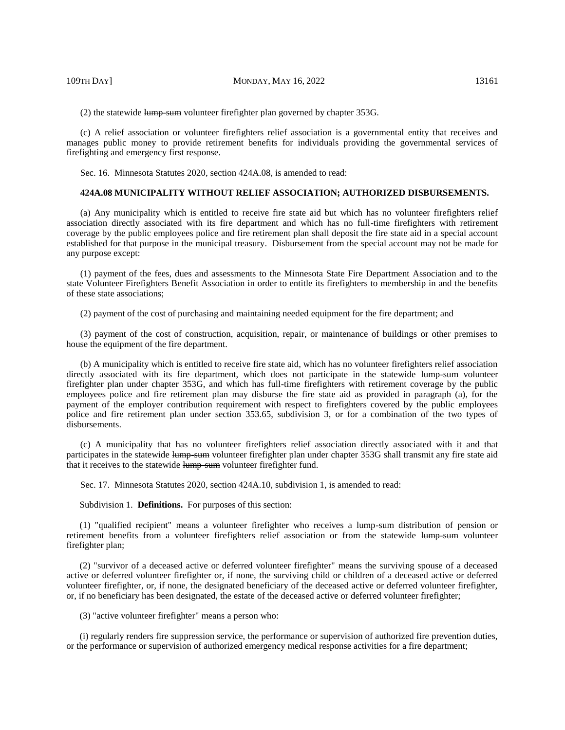(2) the statewide lump-sum volunteer firefighter plan governed by chapter 353G.

(c) A relief association or volunteer firefighters relief association is a governmental entity that receives and manages public money to provide retirement benefits for individuals providing the governmental services of firefighting and emergency first response.

Sec. 16. Minnesota Statutes 2020, section 424A.08, is amended to read:

#### **424A.08 MUNICIPALITY WITHOUT RELIEF ASSOCIATION; AUTHORIZED DISBURSEMENTS.**

(a) Any municipality which is entitled to receive fire state aid but which has no volunteer firefighters relief association directly associated with its fire department and which has no full-time firefighters with retirement coverage by the public employees police and fire retirement plan shall deposit the fire state aid in a special account established for that purpose in the municipal treasury. Disbursement from the special account may not be made for any purpose except:

(1) payment of the fees, dues and assessments to the Minnesota State Fire Department Association and to the state Volunteer Firefighters Benefit Association in order to entitle its firefighters to membership in and the benefits of these state associations;

(2) payment of the cost of purchasing and maintaining needed equipment for the fire department; and

(3) payment of the cost of construction, acquisition, repair, or maintenance of buildings or other premises to house the equipment of the fire department.

(b) A municipality which is entitled to receive fire state aid, which has no volunteer firefighters relief association directly associated with its fire department, which does not participate in the statewide lump-sum volunteer firefighter plan under chapter 353G, and which has full-time firefighters with retirement coverage by the public employees police and fire retirement plan may disburse the fire state aid as provided in paragraph (a), for the payment of the employer contribution requirement with respect to firefighters covered by the public employees police and fire retirement plan under section 353.65, subdivision 3, or for a combination of the two types of disbursements.

(c) A municipality that has no volunteer firefighters relief association directly associated with it and that participates in the statewide lump-sum volunteer firefighter plan under chapter 353G shall transmit any fire state aid that it receives to the statewide lump-sum volunteer firefighter fund.

Sec. 17. Minnesota Statutes 2020, section 424A.10, subdivision 1, is amended to read:

Subdivision 1. **Definitions.** For purposes of this section:

(1) "qualified recipient" means a volunteer firefighter who receives a lump-sum distribution of pension or retirement benefits from a volunteer firefighters relief association or from the statewide lump-sum volunteer firefighter plan;

(2) "survivor of a deceased active or deferred volunteer firefighter" means the surviving spouse of a deceased active or deferred volunteer firefighter or, if none, the surviving child or children of a deceased active or deferred volunteer firefighter, or, if none, the designated beneficiary of the deceased active or deferred volunteer firefighter, or, if no beneficiary has been designated, the estate of the deceased active or deferred volunteer firefighter;

(3) "active volunteer firefighter" means a person who:

(i) regularly renders fire suppression service, the performance or supervision of authorized fire prevention duties, or the performance or supervision of authorized emergency medical response activities for a fire department;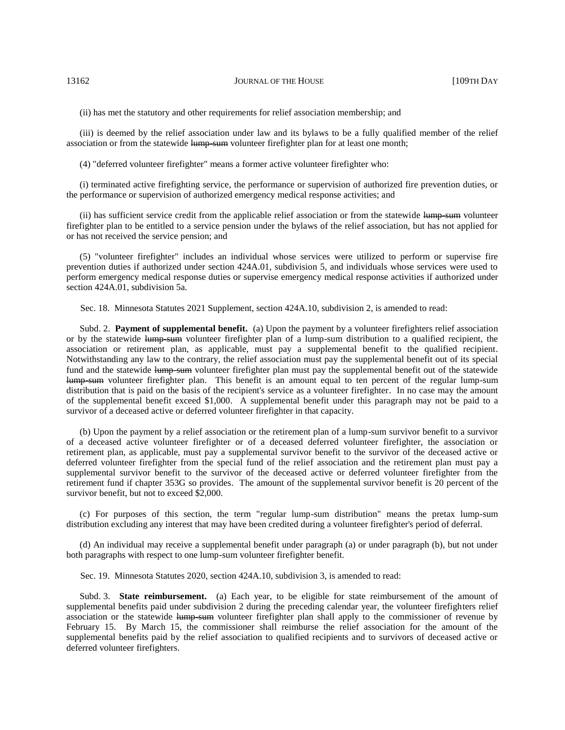(ii) has met the statutory and other requirements for relief association membership; and

(iii) is deemed by the relief association under law and its bylaws to be a fully qualified member of the relief association or from the statewide lump-sum volunteer firefighter plan for at least one month;

(4) "deferred volunteer firefighter" means a former active volunteer firefighter who:

(i) terminated active firefighting service, the performance or supervision of authorized fire prevention duties, or the performance or supervision of authorized emergency medical response activities; and

(ii) has sufficient service credit from the applicable relief association or from the statewide lump-sum volunteer firefighter plan to be entitled to a service pension under the bylaws of the relief association, but has not applied for or has not received the service pension; and

(5) "volunteer firefighter" includes an individual whose services were utilized to perform or supervise fire prevention duties if authorized under section 424A.01, subdivision 5, and individuals whose services were used to perform emergency medical response duties or supervise emergency medical response activities if authorized under section 424A.01, subdivision 5a.

Sec. 18. Minnesota Statutes 2021 Supplement, section 424A.10, subdivision 2, is amended to read:

Subd. 2. **Payment of supplemental benefit.** (a) Upon the payment by a volunteer firefighters relief association or by the statewide lump-sum volunteer firefighter plan of a lump-sum distribution to a qualified recipient, the association or retirement plan, as applicable, must pay a supplemental benefit to the qualified recipient. Notwithstanding any law to the contrary, the relief association must pay the supplemental benefit out of its special fund and the statewide lump-sum volunteer firefighter plan must pay the supplemental benefit out of the statewide lump-sum volunteer firefighter plan. This benefit is an amount equal to ten percent of the regular lump-sum distribution that is paid on the basis of the recipient's service as a volunteer firefighter. In no case may the amount of the supplemental benefit exceed \$1,000. A supplemental benefit under this paragraph may not be paid to a survivor of a deceased active or deferred volunteer firefighter in that capacity.

(b) Upon the payment by a relief association or the retirement plan of a lump-sum survivor benefit to a survivor of a deceased active volunteer firefighter or of a deceased deferred volunteer firefighter, the association or retirement plan, as applicable, must pay a supplemental survivor benefit to the survivor of the deceased active or deferred volunteer firefighter from the special fund of the relief association and the retirement plan must pay a supplemental survivor benefit to the survivor of the deceased active or deferred volunteer firefighter from the retirement fund if chapter 353G so provides. The amount of the supplemental survivor benefit is 20 percent of the survivor benefit, but not to exceed \$2,000.

(c) For purposes of this section, the term "regular lump-sum distribution" means the pretax lump-sum distribution excluding any interest that may have been credited during a volunteer firefighter's period of deferral.

(d) An individual may receive a supplemental benefit under paragraph (a) or under paragraph (b), but not under both paragraphs with respect to one lump-sum volunteer firefighter benefit.

Sec. 19. Minnesota Statutes 2020, section 424A.10, subdivision 3, is amended to read:

Subd. 3. **State reimbursement.** (a) Each year, to be eligible for state reimbursement of the amount of supplemental benefits paid under subdivision 2 during the preceding calendar year, the volunteer firefighters relief association or the statewide lump-sum volunteer firefighter plan shall apply to the commissioner of revenue by February 15. By March 15, the commissioner shall reimburse the relief association for the amount of the supplemental benefits paid by the relief association to qualified recipients and to survivors of deceased active or deferred volunteer firefighters.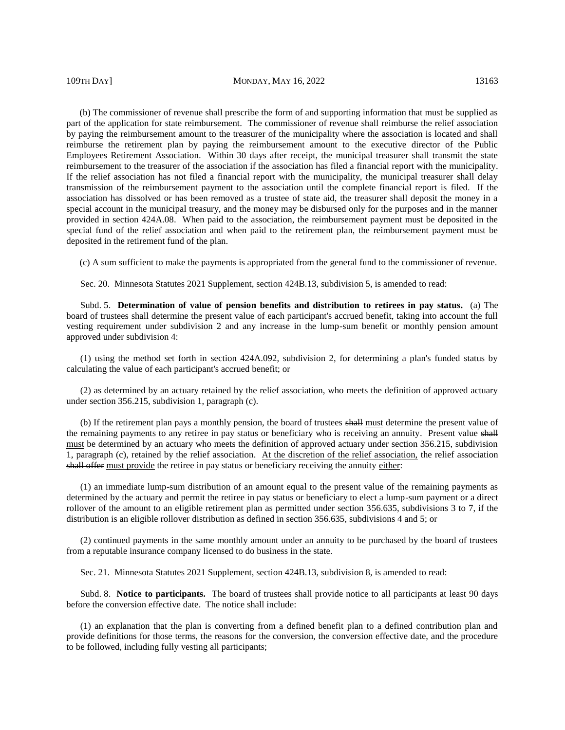(b) The commissioner of revenue shall prescribe the form of and supporting information that must be supplied as part of the application for state reimbursement. The commissioner of revenue shall reimburse the relief association by paying the reimbursement amount to the treasurer of the municipality where the association is located and shall reimburse the retirement plan by paying the reimbursement amount to the executive director of the Public Employees Retirement Association. Within 30 days after receipt, the municipal treasurer shall transmit the state reimbursement to the treasurer of the association if the association has filed a financial report with the municipality. If the relief association has not filed a financial report with the municipality, the municipal treasurer shall delay transmission of the reimbursement payment to the association until the complete financial report is filed. If the association has dissolved or has been removed as a trustee of state aid, the treasurer shall deposit the money in a special account in the municipal treasury, and the money may be disbursed only for the purposes and in the manner provided in section 424A.08. When paid to the association, the reimbursement payment must be deposited in the special fund of the relief association and when paid to the retirement plan, the reimbursement payment must be deposited in the retirement fund of the plan.

(c) A sum sufficient to make the payments is appropriated from the general fund to the commissioner of revenue.

Sec. 20. Minnesota Statutes 2021 Supplement, section 424B.13, subdivision 5, is amended to read:

Subd. 5. **Determination of value of pension benefits and distribution to retirees in pay status.** (a) The board of trustees shall determine the present value of each participant's accrued benefit, taking into account the full vesting requirement under subdivision 2 and any increase in the lump-sum benefit or monthly pension amount approved under subdivision 4:

(1) using the method set forth in section 424A.092, subdivision 2, for determining a plan's funded status by calculating the value of each participant's accrued benefit; or

(2) as determined by an actuary retained by the relief association, who meets the definition of approved actuary under section 356.215, subdivision 1, paragraph (c).

(b) If the retirement plan pays a monthly pension, the board of trustees shall must determine the present value of the remaining payments to any retiree in pay status or beneficiary who is receiving an annuity. Present value shall must be determined by an actuary who meets the definition of approved actuary under section 356.215, subdivision 1, paragraph (c), retained by the relief association. At the discretion of the relief association, the relief association shall offer must provide the retiree in pay status or beneficiary receiving the annuity either:

(1) an immediate lump-sum distribution of an amount equal to the present value of the remaining payments as determined by the actuary and permit the retiree in pay status or beneficiary to elect a lump-sum payment or a direct rollover of the amount to an eligible retirement plan as permitted under section 356.635, subdivisions 3 to 7, if the distribution is an eligible rollover distribution as defined in section 356.635, subdivisions 4 and 5; or

(2) continued payments in the same monthly amount under an annuity to be purchased by the board of trustees from a reputable insurance company licensed to do business in the state.

Sec. 21. Minnesota Statutes 2021 Supplement, section 424B.13, subdivision 8, is amended to read:

Subd. 8. **Notice to participants.** The board of trustees shall provide notice to all participants at least 90 days before the conversion effective date. The notice shall include:

(1) an explanation that the plan is converting from a defined benefit plan to a defined contribution plan and provide definitions for those terms, the reasons for the conversion, the conversion effective date, and the procedure to be followed, including fully vesting all participants;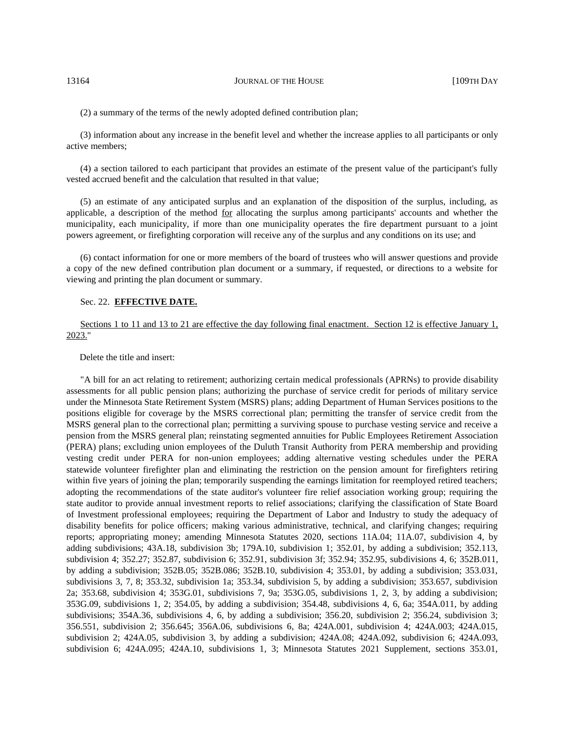(2) a summary of the terms of the newly adopted defined contribution plan;

(3) information about any increase in the benefit level and whether the increase applies to all participants or only active members;

(4) a section tailored to each participant that provides an estimate of the present value of the participant's fully vested accrued benefit and the calculation that resulted in that value;

(5) an estimate of any anticipated surplus and an explanation of the disposition of the surplus, including, as applicable, a description of the method for allocating the surplus among participants' accounts and whether the municipality, each municipality, if more than one municipality operates the fire department pursuant to a joint powers agreement, or firefighting corporation will receive any of the surplus and any conditions on its use; and

(6) contact information for one or more members of the board of trustees who will answer questions and provide a copy of the new defined contribution plan document or a summary, if requested, or directions to a website for viewing and printing the plan document or summary.

#### Sec. 22. **EFFECTIVE DATE.**

Sections 1 to 11 and 13 to 21 are effective the day following final enactment. Section 12 is effective January 1, 2023."

Delete the title and insert:

"A bill for an act relating to retirement; authorizing certain medical professionals (APRNs) to provide disability assessments for all public pension plans; authorizing the purchase of service credit for periods of military service under the Minnesota State Retirement System (MSRS) plans; adding Department of Human Services positions to the positions eligible for coverage by the MSRS correctional plan; permitting the transfer of service credit from the MSRS general plan to the correctional plan; permitting a surviving spouse to purchase vesting service and receive a pension from the MSRS general plan; reinstating segmented annuities for Public Employees Retirement Association (PERA) plans; excluding union employees of the Duluth Transit Authority from PERA membership and providing vesting credit under PERA for non-union employees; adding alternative vesting schedules under the PERA statewide volunteer firefighter plan and eliminating the restriction on the pension amount for firefighters retiring within five years of joining the plan; temporarily suspending the earnings limitation for reemployed retired teachers; adopting the recommendations of the state auditor's volunteer fire relief association working group; requiring the state auditor to provide annual investment reports to relief associations; clarifying the classification of State Board of Investment professional employees; requiring the Department of Labor and Industry to study the adequacy of disability benefits for police officers; making various administrative, technical, and clarifying changes; requiring reports; appropriating money; amending Minnesota Statutes 2020, sections 11A.04; 11A.07, subdivision 4, by adding subdivisions; 43A.18, subdivision 3b; 179A.10, subdivision 1; 352.01, by adding a subdivision; 352.113, subdivision 4; 352.27; 352.87, subdivision 6; 352.91, subdivision 3f; 352.94; 352.95, subdivisions 4, 6; 352B.011, by adding a subdivision; 352B.05; 352B.086; 352B.10, subdivision 4; 353.01, by adding a subdivision; 353.031, subdivisions 3, 7, 8; 353.32, subdivision 1a; 353.34, subdivision 5, by adding a subdivision; 353.657, subdivision 2a; 353.68, subdivision 4; 353G.01, subdivisions 7, 9a; 353G.05, subdivisions 1, 2, 3, by adding a subdivision; 353G.09, subdivisions 1, 2; 354.05, by adding a subdivision; 354.48, subdivisions 4, 6, 6a; 354A.011, by adding subdivisions; 354A.36, subdivisions 4, 6, by adding a subdivision; 356.20, subdivision 2; 356.24, subdivision 3; 356.551, subdivision 2; 356.645; 356A.06, subdivisions 6, 8a; 424A.001, subdivision 4; 424A.003; 424A.015, subdivision 2; 424A.05, subdivision 3, by adding a subdivision; 424A.08; 424A.092, subdivision 6; 424A.093, subdivision 6; 424A.095; 424A.10, subdivisions 1, 3; Minnesota Statutes 2021 Supplement, sections 353.01,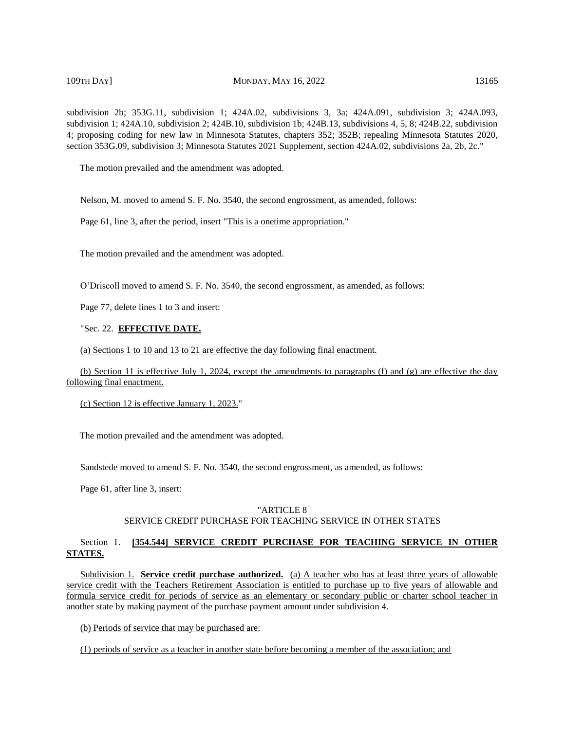# 109TH DAY] MONDAY, MAY 16, 2022 13165

subdivision 1; 424A.10, subdivision 2; 424B.10, subdivision 1b; 424B.13, subdivisions 4, 5, 8; 424B.22, subdivision 4; proposing coding for new law in Minnesota Statutes, chapters 352; 352B; repealing Minnesota Statutes 2020, section 353G.09, subdivision 3; Minnesota Statutes 2021 Supplement, section 424A.02, subdivisions 2a, 2b, 2c."

The motion prevailed and the amendment was adopted.

Nelson, M. moved to amend S. F. No. 3540, the second engrossment, as amended, follows:

Page 61, line 3, after the period, insert "This is a onetime appropriation."

The motion prevailed and the amendment was adopted.

O'Driscoll moved to amend S. F. No. 3540, the second engrossment, as amended, as follows:

Page 77, delete lines 1 to 3 and insert:

# "Sec. 22. **EFFECTIVE DATE.**

(a) Sections 1 to 10 and 13 to 21 are effective the day following final enactment.

(b) Section 11 is effective July 1, 2024, except the amendments to paragraphs (f) and (g) are effective the day following final enactment.

(c) Section 12 is effective January 1, 2023."

The motion prevailed and the amendment was adopted.

Sandstede moved to amend S. F. No. 3540, the second engrossment, as amended, as follows:

Page 61, after line 3, insert:

#### "ARTICLE 8

#### SERVICE CREDIT PURCHASE FOR TEACHING SERVICE IN OTHER STATES

# Section 1. **[354.544] SERVICE CREDIT PURCHASE FOR TEACHING SERVICE IN OTHER STATES.**

Subdivision 1. **Service credit purchase authorized.** (a) A teacher who has at least three years of allowable service credit with the Teachers Retirement Association is entitled to purchase up to five years of allowable and formula service credit for periods of service as an elementary or secondary public or charter school teacher in another state by making payment of the purchase payment amount under subdivision 4.

(b) Periods of service that may be purchased are:

(1) periods of service as a teacher in another state before becoming a member of the association; and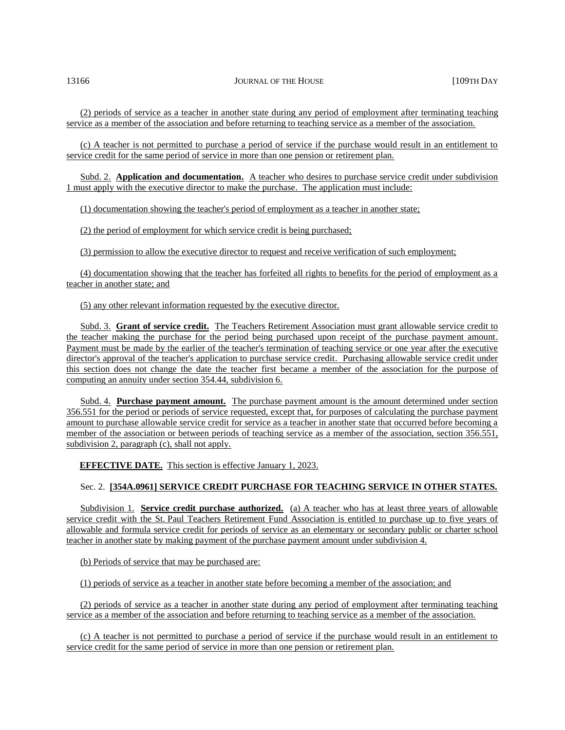(2) periods of service as a teacher in another state during any period of employment after terminating teaching service as a member of the association and before returning to teaching service as a member of the association.

(c) A teacher is not permitted to purchase a period of service if the purchase would result in an entitlement to service credit for the same period of service in more than one pension or retirement plan.

Subd. 2. **Application and documentation.** A teacher who desires to purchase service credit under subdivision 1 must apply with the executive director to make the purchase. The application must include:

(1) documentation showing the teacher's period of employment as a teacher in another state;

(2) the period of employment for which service credit is being purchased;

(3) permission to allow the executive director to request and receive verification of such employment;

(4) documentation showing that the teacher has forfeited all rights to benefits for the period of employment as a teacher in another state; and

#### (5) any other relevant information requested by the executive director.

Subd. 3. **Grant of service credit.** The Teachers Retirement Association must grant allowable service credit to the teacher making the purchase for the period being purchased upon receipt of the purchase payment amount. Payment must be made by the earlier of the teacher's termination of teaching service or one year after the executive director's approval of the teacher's application to purchase service credit. Purchasing allowable service credit under this section does not change the date the teacher first became a member of the association for the purpose of computing an annuity under section 354.44, subdivision 6.

Subd. 4. **Purchase payment amount.** The purchase payment amount is the amount determined under section 356.551 for the period or periods of service requested, except that, for purposes of calculating the purchase payment amount to purchase allowable service credit for service as a teacher in another state that occurred before becoming a member of the association or between periods of teaching service as a member of the association, section 356.551, subdivision 2, paragraph (c), shall not apply.

**EFFECTIVE DATE.** This section is effective January 1, 2023.

# Sec. 2. **[354A.0961] SERVICE CREDIT PURCHASE FOR TEACHING SERVICE IN OTHER STATES.**

Subdivision 1. **Service credit purchase authorized.** (a) A teacher who has at least three years of allowable service credit with the St. Paul Teachers Retirement Fund Association is entitled to purchase up to five years of allowable and formula service credit for periods of service as an elementary or secondary public or charter school teacher in another state by making payment of the purchase payment amount under subdivision 4.

(b) Periods of service that may be purchased are:

(1) periods of service as a teacher in another state before becoming a member of the association; and

(2) periods of service as a teacher in another state during any period of employment after terminating teaching service as a member of the association and before returning to teaching service as a member of the association.

(c) A teacher is not permitted to purchase a period of service if the purchase would result in an entitlement to service credit for the same period of service in more than one pension or retirement plan.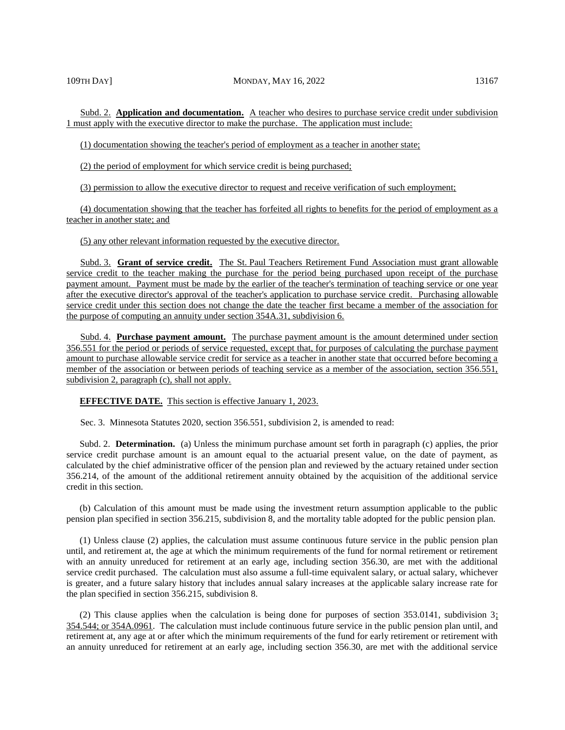Subd. 2. **Application and documentation.** A teacher who desires to purchase service credit under subdivision 1 must apply with the executive director to make the purchase. The application must include:

(1) documentation showing the teacher's period of employment as a teacher in another state;

(2) the period of employment for which service credit is being purchased;

(3) permission to allow the executive director to request and receive verification of such employment;

(4) documentation showing that the teacher has forfeited all rights to benefits for the period of employment as a teacher in another state; and

(5) any other relevant information requested by the executive director.

Subd. 3. **Grant of service credit.** The St. Paul Teachers Retirement Fund Association must grant allowable service credit to the teacher making the purchase for the period being purchased upon receipt of the purchase payment amount. Payment must be made by the earlier of the teacher's termination of teaching service or one year after the executive director's approval of the teacher's application to purchase service credit. Purchasing allowable service credit under this section does not change the date the teacher first became a member of the association for the purpose of computing an annuity under section 354A.31, subdivision 6.

Subd. 4. **Purchase payment amount.** The purchase payment amount is the amount determined under section 356.551 for the period or periods of service requested, except that, for purposes of calculating the purchase payment amount to purchase allowable service credit for service as a teacher in another state that occurred before becoming a member of the association or between periods of teaching service as a member of the association, section 356.551, subdivision 2, paragraph (c), shall not apply.

**EFFECTIVE DATE.** This section is effective January 1, 2023.

Sec. 3. Minnesota Statutes 2020, section 356.551, subdivision 2, is amended to read:

Subd. 2. **Determination.** (a) Unless the minimum purchase amount set forth in paragraph (c) applies, the prior service credit purchase amount is an amount equal to the actuarial present value, on the date of payment, as calculated by the chief administrative officer of the pension plan and reviewed by the actuary retained under section 356.214, of the amount of the additional retirement annuity obtained by the acquisition of the additional service credit in this section.

(b) Calculation of this amount must be made using the investment return assumption applicable to the public pension plan specified in section 356.215, subdivision 8, and the mortality table adopted for the public pension plan.

(1) Unless clause (2) applies, the calculation must assume continuous future service in the public pension plan until, and retirement at, the age at which the minimum requirements of the fund for normal retirement or retirement with an annuity unreduced for retirement at an early age, including section 356.30, are met with the additional service credit purchased. The calculation must also assume a full-time equivalent salary, or actual salary, whichever is greater, and a future salary history that includes annual salary increases at the applicable salary increase rate for the plan specified in section 356.215, subdivision 8.

(2) This clause applies when the calculation is being done for purposes of section 353.0141, subdivision 3; 354.544; or 354A.0961. The calculation must include continuous future service in the public pension plan until, and retirement at, any age at or after which the minimum requirements of the fund for early retirement or retirement with an annuity unreduced for retirement at an early age, including section 356.30, are met with the additional service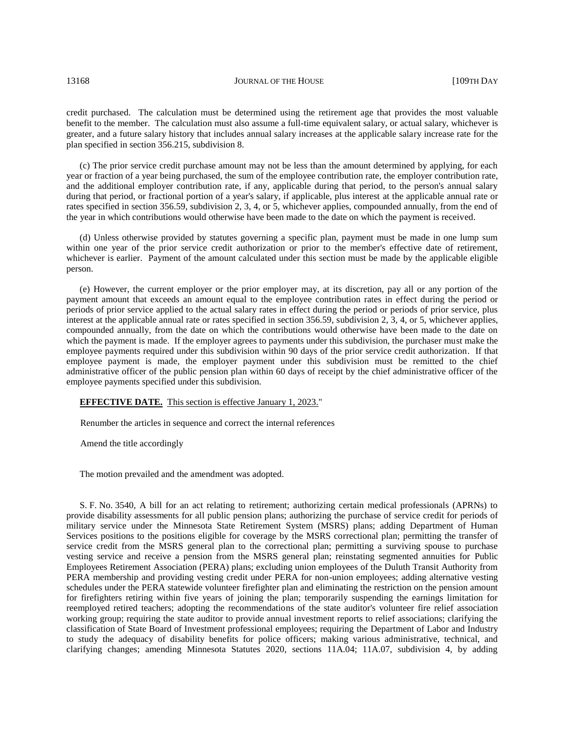credit purchased. The calculation must be determined using the retirement age that provides the most valuable benefit to the member. The calculation must also assume a full-time equivalent salary, or actual salary, whichever is greater, and a future salary history that includes annual salary increases at the applicable salary increase rate for the plan specified in section 356.215, subdivision 8.

(c) The prior service credit purchase amount may not be less than the amount determined by applying, for each year or fraction of a year being purchased, the sum of the employee contribution rate, the employer contribution rate, and the additional employer contribution rate, if any, applicable during that period, to the person's annual salary during that period, or fractional portion of a year's salary, if applicable, plus interest at the applicable annual rate or rates specified in section 356.59, subdivision 2, 3, 4, or 5, whichever applies, compounded annually, from the end of the year in which contributions would otherwise have been made to the date on which the payment is received.

(d) Unless otherwise provided by statutes governing a specific plan, payment must be made in one lump sum within one year of the prior service credit authorization or prior to the member's effective date of retirement, whichever is earlier. Payment of the amount calculated under this section must be made by the applicable eligible person.

(e) However, the current employer or the prior employer may, at its discretion, pay all or any portion of the payment amount that exceeds an amount equal to the employee contribution rates in effect during the period or periods of prior service applied to the actual salary rates in effect during the period or periods of prior service, plus interest at the applicable annual rate or rates specified in section 356.59, subdivision 2, 3, 4, or 5, whichever applies, compounded annually, from the date on which the contributions would otherwise have been made to the date on which the payment is made. If the employer agrees to payments under this subdivision, the purchaser must make the employee payments required under this subdivision within 90 days of the prior service credit authorization. If that employee payment is made, the employer payment under this subdivision must be remitted to the chief administrative officer of the public pension plan within 60 days of receipt by the chief administrative officer of the employee payments specified under this subdivision.

#### **EFFECTIVE DATE.** This section is effective January 1, 2023."

Renumber the articles in sequence and correct the internal references

Amend the title accordingly

The motion prevailed and the amendment was adopted.

S. F. No. 3540, A bill for an act relating to retirement; authorizing certain medical professionals (APRNs) to provide disability assessments for all public pension plans; authorizing the purchase of service credit for periods of military service under the Minnesota State Retirement System (MSRS) plans; adding Department of Human Services positions to the positions eligible for coverage by the MSRS correctional plan; permitting the transfer of service credit from the MSRS general plan to the correctional plan; permitting a surviving spouse to purchase vesting service and receive a pension from the MSRS general plan; reinstating segmented annuities for Public Employees Retirement Association (PERA) plans; excluding union employees of the Duluth Transit Authority from PERA membership and providing vesting credit under PERA for non-union employees; adding alternative vesting schedules under the PERA statewide volunteer firefighter plan and eliminating the restriction on the pension amount for firefighters retiring within five years of joining the plan; temporarily suspending the earnings limitation for reemployed retired teachers; adopting the recommendations of the state auditor's volunteer fire relief association working group; requiring the state auditor to provide annual investment reports to relief associations; clarifying the classification of State Board of Investment professional employees; requiring the Department of Labor and Industry to study the adequacy of disability benefits for police officers; making various administrative, technical, and clarifying changes; amending Minnesota Statutes 2020, sections 11A.04; 11A.07, subdivision 4, by adding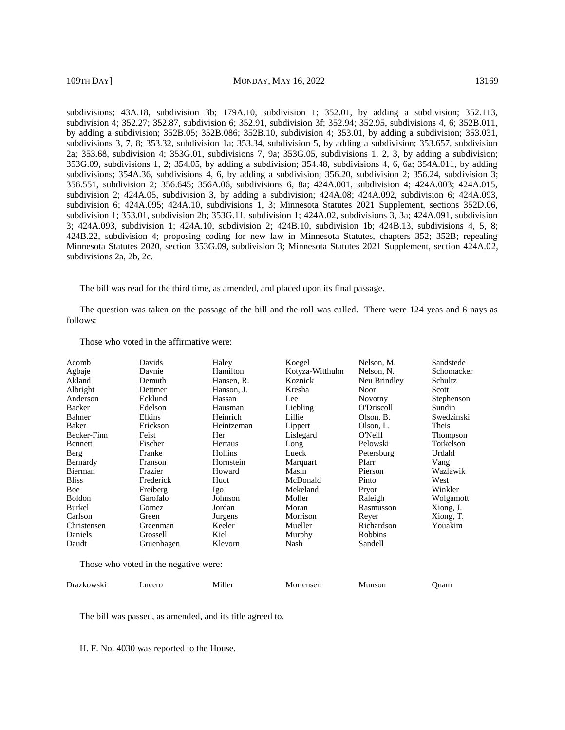subdivisions; 43A.18, subdivision 3b; 179A.10, subdivision 1; 352.01, by adding a subdivision; 352.113, subdivision 4; 352.27; 352.87, subdivision 6; 352.91, subdivision 3f; 352.94; 352.95, subdivisions 4, 6; 352B.011, by adding a subdivision; 352B.05; 352B.086; 352B.10, subdivision 4; 353.01, by adding a subdivision; 353.031, subdivisions 3, 7, 8; 353.32, subdivision 1a; 353.34, subdivision 5, by adding a subdivision; 353.657, subdivision 2a; 353.68, subdivision 4; 353G.01, subdivisions 7, 9a; 353G.05, subdivisions 1, 2, 3, by adding a subdivision; 353G.09, subdivisions 1, 2; 354.05, by adding a subdivision; 354.48, subdivisions 4, 6, 6a; 354A.011, by adding subdivisions; 354A.36, subdivisions 4, 6, by adding a subdivision; 356.20, subdivision 2; 356.24, subdivision 3; 356.551, subdivision 2; 356.645; 356A.06, subdivisions 6, 8a; 424A.001, subdivision 4; 424A.003; 424A.015, subdivision 2; 424A.05, subdivision 3, by adding a subdivision; 424A.08; 424A.092, subdivision 6; 424A.093, subdivision 6; 424A.095; 424A.10, subdivisions 1, 3; Minnesota Statutes 2021 Supplement, sections 352D.06, subdivision 1; 353.01, subdivision 2b; 353G.11, subdivision 1; 424A.02, subdivisions 3, 3a; 424A.091, subdivision 3; 424A.093, subdivision 1; 424A.10, subdivision 2; 424B.10, subdivision 1b; 424B.13, subdivisions 4, 5, 8; 424B.22, subdivision 4; proposing coding for new law in Minnesota Statutes, chapters 352; 352B; repealing Minnesota Statutes 2020, section 353G.09, subdivision 3; Minnesota Statutes 2021 Supplement, section 424A.02, subdivisions 2a, 2b, 2c.

The bill was read for the third time, as amended, and placed upon its final passage.

The question was taken on the passage of the bill and the roll was called. There were 124 yeas and 6 nays as follows:

| Acomb          | Davids                                | Haley      | Koegel          | Nelson, M.        | Sandstede  |  |  |
|----------------|---------------------------------------|------------|-----------------|-------------------|------------|--|--|
| Agbaje         | Davnie                                | Hamilton   | Kotyza-Witthuhn | Nelson, N.        | Schomacker |  |  |
| Akland         | Demuth                                | Hansen, R. | Koznick         | Neu Brindley      | Schultz    |  |  |
| Albright       | Dettmer                               | Hanson, J. | Kresha          | Noor              | Scott      |  |  |
| Anderson       | Ecklund                               | Hassan     | Lee             | <b>Novotny</b>    | Stephenson |  |  |
| Backer         | Edelson                               | Hausman    | Liebling        | <b>O'Driscoll</b> | Sundin     |  |  |
| Bahner         | Elkins                                | Heinrich   | Lillie          | Olson, B.         | Swedzinski |  |  |
| Baker          | Erickson                              | Heintzeman | Lippert         | Olson, L.         | Theis      |  |  |
| Becker-Finn    | Feist                                 | Her        | Lislegard       | O'Neill           | Thompson   |  |  |
| Bennett        | Fischer                               | Hertaus    | Long            | Pelowski          | Torkelson  |  |  |
| Berg           | Franke                                | Hollins    | Lueck           | Petersburg        | Urdahl     |  |  |
| Bernardy       | Franson                               | Hornstein  | Marquart        | Pfarr             | Vang       |  |  |
| <b>Bierman</b> | Frazier                               | Howard     | Masin           | Pierson           | Wazlawik   |  |  |
| <b>Bliss</b>   | Frederick                             | Huot       | McDonald        | Pinto             | West       |  |  |
| Boe            | Freiberg                              | Igo        | Mekeland        | Pryor             | Winkler    |  |  |
| Boldon         | Garofalo                              | Johnson    | Moller          | Raleigh           | Wolgamott  |  |  |
| Burkel         | Gomez                                 | Jordan     | Moran           | Rasmusson         | Xiong, J.  |  |  |
| Carlson        | Green                                 | Jurgens    | Morrison        | Reyer             | Xiong, T.  |  |  |
| Christensen    | Greenman                              | Keeler     | Mueller         | Richardson        | Youakim    |  |  |
| Daniels        | Grossell                              | Kiel       | Murphy          | Robbins           |            |  |  |
| Daudt          | Gruenhagen                            | Klevorn    | Nash            | Sandell           |            |  |  |
|                | Those who voted in the negative were: |            |                 |                   |            |  |  |

Those who voted in the affirmative were:

Drazkowski Lucero Miller Mortensen Munson Quam

The bill was passed, as amended, and its title agreed to.

H. F. No. 4030 was reported to the House.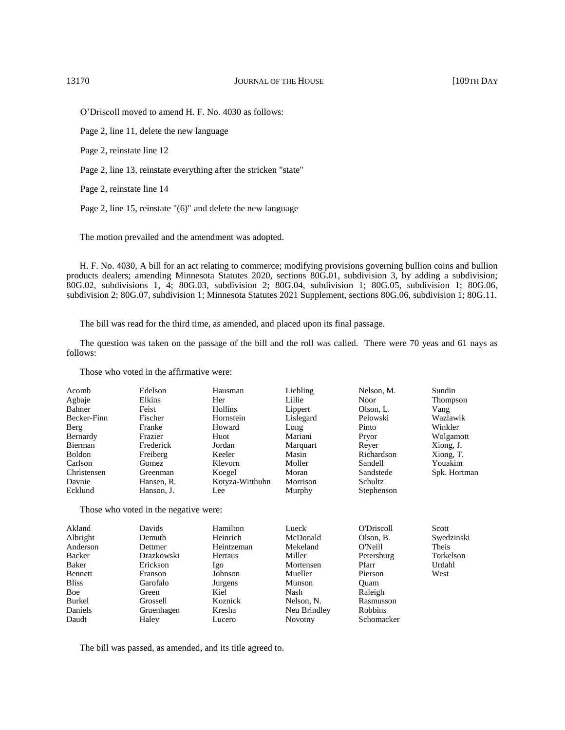O'Driscoll moved to amend H. F. No. 4030 as follows:

Page 2, line 11, delete the new language

Page 2, reinstate line 12

Page 2, line 13, reinstate everything after the stricken "state"

Page 2, reinstate line 14

Page 2, line 15, reinstate "(6)" and delete the new language

The motion prevailed and the amendment was adopted.

H. F. No. 4030, A bill for an act relating to commerce; modifying provisions governing bullion coins and bullion products dealers; amending Minnesota Statutes 2020, sections 80G.01, subdivision 3, by adding a subdivision; 80G.02, subdivisions 1, 4; 80G.03, subdivision 2; 80G.04, subdivision 1; 80G.05, subdivision 1; 80G.06, subdivision 2; 80G.07, subdivision 1; Minnesota Statutes 2021 Supplement, sections 80G.06, subdivision 1; 80G.11.

The bill was read for the third time, as amended, and placed upon its final passage.

The question was taken on the passage of the bill and the roll was called. There were 70 yeas and 61 nays as follows:

Those who voted in the affirmative were:

| Acomb         | Edelson    | Hausman         | Liebling  | Nelson, M. | Sundin       |
|---------------|------------|-----------------|-----------|------------|--------------|
| Agbaje        | Elkins     | Her             | Lillie    | Noor       | Thompson     |
| Bahner        | Feist      | Hollins         | Lippert   | Olson, L.  | Vang         |
| Becker-Finn   | Fischer    | Hornstein       | Lislegard | Pelowski   | Wazlawik     |
| Berg          | Franke     | Howard          | Long      | Pinto      | Winkler      |
| Bernardy      | Frazier    | Huot            | Mariani   | Pryor      | Wolgamott    |
| Bierman       | Frederick  | Jordan          | Marquart  | Rever      | Xiong, J.    |
| <b>Boldon</b> | Freiberg   | Keeler          | Masin     | Richardson | Xiong, T.    |
| Carlson       | Gomez      | Klevorn         | Moller    | Sandell    | Youakim      |
| Christensen   | Greenman   | Koegel          | Moran     | Sandstede  | Spk. Hortman |
| Davnie        | Hansen, R. | Kotyza-Witthuhn | Morrison  | Schultz    |              |
| Ecklund       | Hanson, J. | Lee             | Murphy    | Stephenson |              |

Those who voted in the negative were:

| Davids     | Hamilton       | Lueck          | O'Driscoll     | Scott      |
|------------|----------------|----------------|----------------|------------|
| Demuth     | Heinrich       | McDonald       | Olson, B.      | Swedzinski |
| Dettmer    | Heintzeman     | Mekeland       | O'Neill        | Theis      |
| Drazkowski | <b>Hertaus</b> | Miller         |                | Torkelson  |
| Erickson   | lgo.           | Mortensen      | Pfarr          | Urdahl     |
| Franson    | Johnson        | Mueller        | Pierson        | West       |
| Garofalo   | Jurgens        | Munson         | Ouam           |            |
| Green      | Kiel           | Nash           | Raleigh        |            |
| Grossell   | Koznick        | Nelson, N.     | Rasmusson      |            |
| Gruenhagen | Kresha         | Neu Brindley   | <b>Robbins</b> |            |
| Haley      | Lucero         | <b>Novotny</b> | Schomacker     |            |
|            |                |                |                | Petersburg |

The bill was passed, as amended, and its title agreed to.